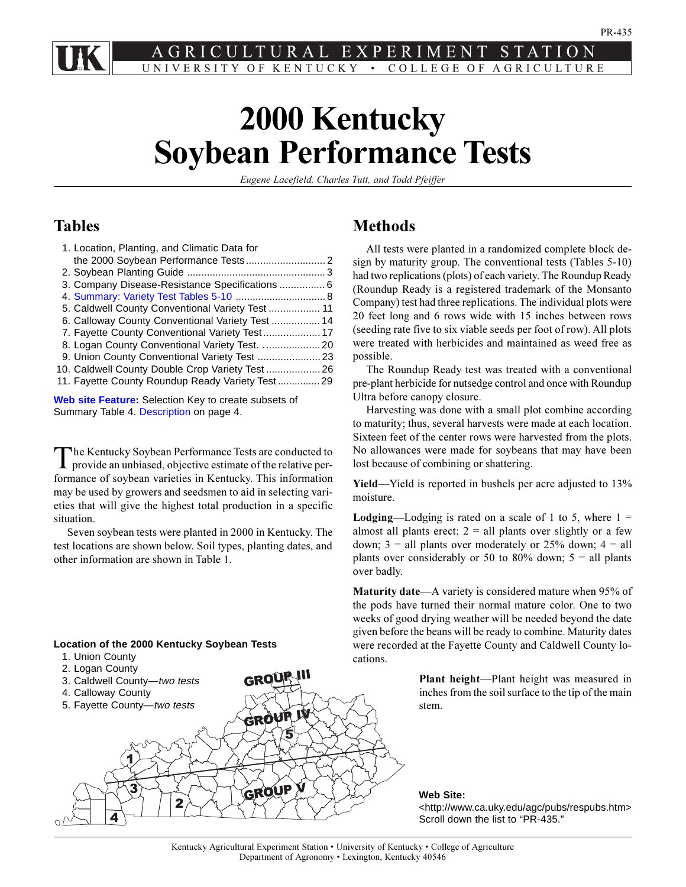<span id="page-0-0"></span>LTURAL EXPERIMENT STATION UNIVERSITY OF KENTUCKY • COLLEGE OF AGRICULTURE

# **2000 Kentucky Soybean Performance Tests**

*Eugene Lacefield, Charles Tutt, and Todd Pfeiffer*

# **Tables**

| 1. Location, Planting, and Climatic Data for     |  |
|--------------------------------------------------|--|
|                                                  |  |
|                                                  |  |
| 3. Company Disease-Resistance Specifications  6  |  |
| 4. Summary: Variety Test Tables 5-10  8          |  |
| 5. Caldwell County Conventional Variety Test  11 |  |
| 6. Calloway County Conventional Variety Test  14 |  |
|                                                  |  |
|                                                  |  |
|                                                  |  |
| 10. Caldwell County Double Crop Variety Test 26  |  |
| 11. Fayette County Roundup Ready Variety Test29  |  |
|                                                  |  |

**[Web site Feature:](#page-31-0)** Selection Key to create subsets of Summary Table 4. [Description o](#page-3-0)n page 4.

The Kentucky Soybean Performance Tests are conducted to provide an unbiased, objective estimate of the relative performance of soybean varieties in Kentucky. This information may be used by growers and seedsmen to aid in selecting varieties that will give the highest total production in a specific situation.

Seven soybean tests were planted in 2000 in Kentucky. The test locations are shown below. Soil types, planting dates, and other information are shown in Table 1.

### **Location of the 2000 Kentucky Soybean Tests**

- 1. Union County
- 2. Logan County

1

 $\overrightarrow{3}$ 

4

**GROUP V** 

GROUP III GROUP IV 5 3. Caldwell County—two tests 4. Calloway County 5. Fayette County—two tests

2

# **Methods**

All tests were planted in a randomized complete block design by maturity group. The conventional tests (Tables 5-10) had two replications (plots) of each variety. The Roundup Ready (Roundup Ready is a registered trademark of the Monsanto Company) test had three replications. The individual plots were 20 feet long and 6 rows wide with 15 inches between rows (seeding rate five to six viable seeds per foot of row). All plots were treated with herbicides and maintained as weed free as possible.

The Roundup Ready test was treated with a conventional pre-plant herbicide for nutsedge control and once with Roundup Ultra before canopy closure.

Harvesting was done with a small plot combine according to maturity; thus, several harvests were made at each location. Sixteen feet of the center rows were harvested from the plots. No allowances were made for soybeans that may have been lost because of combining or shattering.

**Yield**—Yield is reported in bushels per acre adjusted to 13% moisture.

**Lodging**—Lodging is rated on a scale of 1 to 5, where  $1 =$ almost all plants erect;  $2 =$  all plants over slightly or a few down;  $3 =$  all plants over moderately or 25% down;  $4 =$  all plants over considerably or 50 to 80% down;  $5 =$  all plants over badly.

**Maturity date—A** variety is considered mature when 95% of the pods have turned their normal mature color. One to two weeks of good drying weather will be needed beyond the date given before the beans will be ready to combine. Maturity dates were recorded at the Fayette County and Caldwell County locations.

> **Plant height**—Plant height was measured in inches from the soil surface to the tip of the main stem.

**Web Site:**

<http://www.ca.uky.edu/agc/pubs/respubs.htm> Scroll down the list to "PR-435."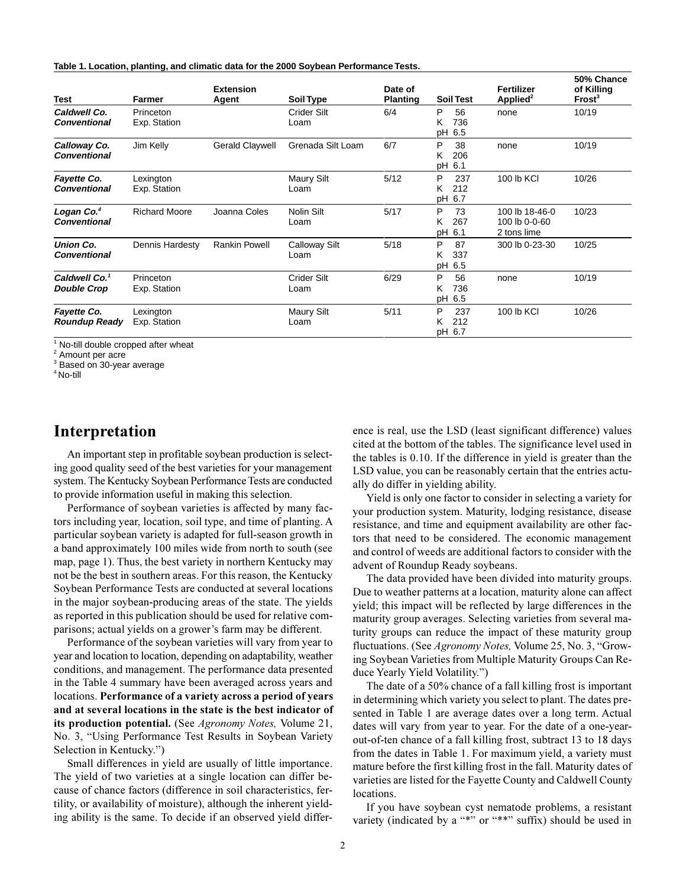|  |  | Table 1. Location, planting, and climatic data for the 2000 Soybean Performance Tests. |  |  |
|--|--|----------------------------------------------------------------------------------------|--|--|
|--|--|----------------------------------------------------------------------------------------|--|--|

| <b>Test</b>                                     | Farmer                    | <b>Extension</b><br>Agent | <b>Soil Type</b>             | Date of<br><b>Planting</b> | <b>Soil Test</b>                 | <b>Fertilizer</b><br>Applied <sup>2</sup>      | 50% Chance<br>of Killing<br>Frost <sup>3</sup> |
|-------------------------------------------------|---------------------------|---------------------------|------------------------------|----------------------------|----------------------------------|------------------------------------------------|------------------------------------------------|
| Caldwell Co.<br><b>Conventional</b>             | Princeton<br>Exp. Station |                           | Crider Silt<br>Loam          | 6/4                        | P<br>56<br>736<br>ĸ<br>pH 6.5    | none                                           | 10/19                                          |
| Calloway Co.<br><b>Conventional</b>             | Jim Kelly                 | Gerald Claywell           | Grenada Silt Loam            | 6/7                        | P<br>38<br>206<br>K.<br>pH 6.1   | none                                           | 10/19                                          |
| Fayette Co.<br>Conventional                     | Lexington<br>Exp. Station |                           | <b>Maury Silt</b><br>Loam    | 5/12                       | P<br>237<br>Κ<br>212<br>pH 6.7   | 100 lb KCI                                     | 10/26                                          |
| Logan Co. <sup>4</sup><br><b>Conventional</b>   | <b>Richard Moore</b>      | Joanna Coles              | Nolin Silt<br>Loam           | 5/17                       | P<br>73<br>267<br>ĸ<br>рH<br>6.1 | 100 lb 18-46-0<br>100 lb 0-0-60<br>2 tons lime | 10/23                                          |
| Union Co.<br><b>Conventional</b>                | Dennis Hardesty           | <b>Rankin Powell</b>      | <b>Calloway Silt</b><br>Loam | 5/18                       | P<br>87<br>337<br>Κ<br>рH<br>6.5 | 300 lb 0-23-30                                 | 10/25                                          |
| Caldwell Co. <sup>1</sup><br><b>Double Crop</b> | Princeton<br>Exp. Station |                           | <b>Crider Silt</b><br>Loam   | 6/29                       | P<br>56<br>736<br>ĸ<br>pH 6.5    | none                                           | 10/19                                          |
| Fayette Co.<br>Roundup Ready                    | Lexington<br>Exp. Station |                           | Maury Silt<br>Loam           | 5/11                       | P<br>237<br>212<br>K.<br>pH 6.7  | 100 lb KCI                                     | 10/26                                          |

<sup>1</sup> No-till double cropped after wheat

<sup>2</sup> Amount per acre

<sup>3</sup> Based on 30-year average

4 No-till

# **Interpretation**

An important step in profitable soybean production is selecting good quality seed of the best varieties for your management system. The Kentucky Soybean Performance Tests are conducted to provide information useful in making this selection.

Performance of soybean varieties is affected by many factors including year, location, soil type, and time of planting. A particular soybean variety is adapted for full-season growth in a band approximately 100 miles wide from north to south (see map, page 1). Thus, the best variety in northern Kentucky may not be the best in southern areas. For this reason, the Kentucky Soybean Performance Tests are conducted at several locations in the major soybean-producing areas of the state. The yields as reported in this publication should be used for relative comparisons; actual yields on a grower's farm may be different.

Performance of the soybean varieties will vary from year to year and location to location, depending on adaptability, weather conditions, and management. The performance data presented in the Table 4 summary have been averaged across years and locations. **Performance of a variety across a period of years and at several locations in the state is the best indicator of its production potential.** (See *Agronomy Notes,* Volume 21, No. 3, "Using Performance Test Results in Soybean Variety Selection in Kentucky.")

Small differences in yield are usually of little importance. The yield of two varieties at a single location can differ because of chance factors (difference in soil characteristics, fertility, or availability of moisture), although the inherent yielding ability is the same. To decide if an observed yield difference is real, use the LSD (least significant difference) values cited at the bottom of the tables. The significance level used in the tables is 0.10. If the difference in yield is greater than the LSD value, you can be reasonably certain that the entries actually do differ in yielding ability.

Yield is only one factor to consider in selecting a variety for your production system. Maturity, lodging resistance, disease resistance, and time and equipment availability are other factors that need to be considered. The economic management and control of weeds are additional factors to consider with the advent of Roundup Ready soybeans.

The data provided have been divided into maturity groups. Due to weather patterns at a location, maturity alone can affect yield; this impact will be reflected by large differences in the maturity group averages. Selecting varieties from several maturity groups can reduce the impact of these maturity group fluctuations. (See *Agronomy Notes*, Volume 25, No. 3, "Growing Soybean Varieties from Multiple Maturity Groups Can Reduce Yearly Yield Volatility.")

The date of a 50% chance of a fall killing frost is important in determining which variety you select to plant. The dates presented in Table 1 are average dates over a long term. Actual dates will vary from year to year. For the date of a one-yearout-of-ten chance of a fall killing frost, subtract 13 to 18 days from the dates in Table 1. For maximum yield, a variety must mature before the first killing frost in the fall. Maturity dates of varieties are listed for the Fayette County and Caldwell County locations.

If you have soybean cyst nematode problems, a resistant variety (indicated by a "\*" or "\*\*" suffix) should be used in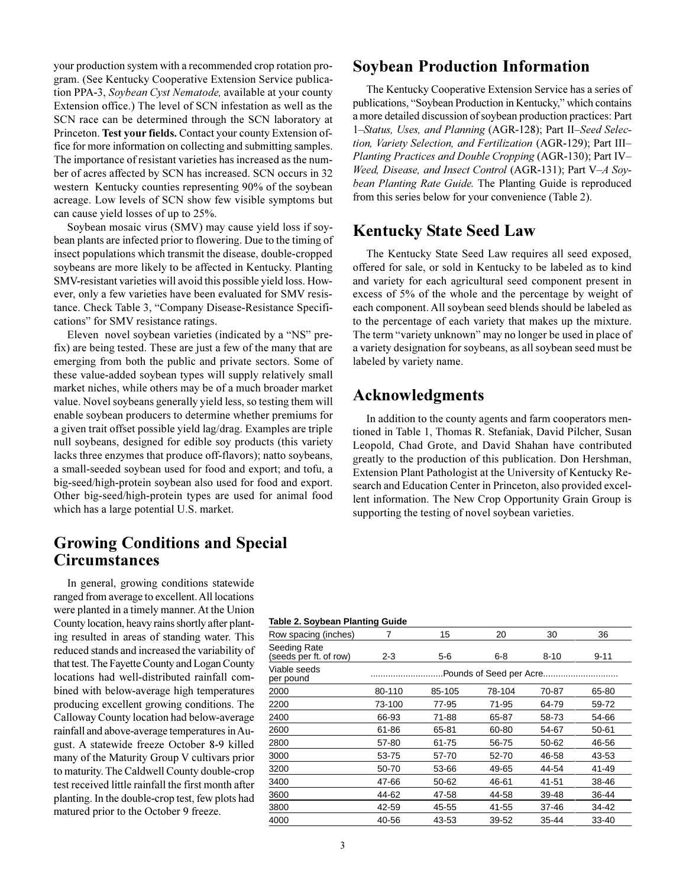your production system with a recommended crop rotation program. (See Kentucky Cooperative Extension Service publication PPA-3, *Soybean Cyst Nematode,* available at your county Extension office.) The level of SCN infestation as well as the SCN race can be determined through the SCN laboratory at Princeton. **Test your fields.** Contact your county Extension office for more information on collecting and submitting samples. The importance of resistant varieties has increased as the number of acres affected by SCN has increased. SCN occurs in 32 western Kentucky counties representing 90% of the soybean acreage. Low levels of SCN show few visible symptoms but can cause yield losses of up to 25%.

Soybean mosaic virus (SMV) may cause yield loss if soybean plants are infected prior to flowering. Due to the timing of insect populations which transmit the disease, double-cropped soybeans are more likely to be affected in Kentucky. Planting SMV-resistant varieties will avoid this possible yield loss. However, only a few varieties have been evaluated for SMV resistance. Check Table 3, "Company Disease-Resistance Specifications" for SMV resistance ratings.

Eleven novel soybean varieties (indicated by a "NS" prefix) are being tested. These are just a few of the many that are emerging from both the public and private sectors. Some of these value-added soybean types will supply relatively small market niches, while others may be of a much broader market value. Novel soybeans generally yield less, so testing them will enable soybean producers to determine whether premiums for a given trait offset possible yield lag/drag. Examples are triple null soybeans, designed for edible soy products (this variety lacks three enzymes that produce off-flavors); natto soybeans, a small-seeded soybean used for food and export; and tofu, a big-seed/high-protein soybean also used for food and export. Other big-seed/high-protein types are used for animal food which has a large potential U.S. market.

# **Growing Conditions and Special Circumstances**

In general, growing conditions statewide ranged from average to excellent. All locations were planted in a timely manner. At the Union County location, heavy rains shortly after planting resulted in areas of standing water. This reduced stands and increased the variability of that test. The Fayette County and Logan County locations had well-distributed rainfall combined with below-average high temperatures producing excellent growing conditions. The Calloway County location had below-average rainfall and above-average temperatures in August. A statewide freeze October 8-9 killed many of the Maturity Group V cultivars prior to maturity. The Caldwell County double-crop test received little rainfall the first month after planting. In the double-crop test, few plots had matured prior to the October 9 freeze.

# **Soybean Production Information**

The Kentucky Cooperative Extension Service has a series of publications, "Soybean Production in Kentucky," which contains a more detailed discussion of soybean production practices: Part 1-Status, Uses, and Planning (AGR-128); Part II-Seed Selec*tion, Variety Selection, and Fertilization* (AGR-129); Part III *Planting Practices and Double Cropping* (AGR-130); Part IV *Weed, Disease, and Insect Control* (AGR-131); Part V*A Soybean Planting Rate Guide.* The Planting Guide is reproduced from this series below for your convenience (Table 2).

# **Kentucky State Seed Law**

The Kentucky State Seed Law requires all seed exposed, offered for sale, or sold in Kentucky to be labeled as to kind and variety for each agricultural seed component present in excess of 5% of the whole and the percentage by weight of each component. All soybean seed blends should be labeled as to the percentage of each variety that makes up the mixture. The term "variety unknown" may no longer be used in place of a variety designation for soybeans, as all soybean seed must be labeled by variety name.

# **Acknowledgments**

In addition to the county agents and farm cooperators mentioned in Table 1, Thomas R. Stefaniak, David Pilcher, Susan Leopold, Chad Grote, and David Shahan have contributed greatly to the production of this publication. Don Hershman, Extension Plant Pathologist at the University of Kentucky Research and Education Center in Princeton, also provided excellent information. The New Crop Opportunity Grain Group is supporting the testing of novel soybean varieties.

### **Table 2. Soybean Planting Guide**

| Row spacing (inches)                   |         | 15     | 20                      | 30       | 36        |
|----------------------------------------|---------|--------|-------------------------|----------|-----------|
| Seeding Rate<br>(seeds per ft. of row) | $2 - 3$ | 5-6    | $6 - 8$                 | $8 - 10$ | $9 - 11$  |
| Viable seeds<br>per pound              |         |        | Pounds of Seed per Acre |          |           |
| 2000                                   | 80-110  | 85-105 | 78-104                  | 70-87    | 65-80     |
| 2200                                   | 73-100  | 77-95  | 71-95                   | 64-79    | 59-72     |
| 2400                                   | 66-93   | 71-88  | 65-87                   | 58-73    | 54-66     |
| 2600                                   | 61-86   | 65-81  | 60-80                   | 54-67    | $50 - 61$ |
| 2800                                   | 57-80   | 61-75  | 56-75                   | 50-62    | 46-56     |
| 3000                                   | 53-75   | 57-70  | 52-70                   | 46-58    | 43-53     |
| 3200                                   | 50-70   | 53-66  | 49-65                   | 44-54    | 41-49     |
| 3400                                   | 47-66   | 50-62  | 46-61                   | 41-51    | 38-46     |
| 3600                                   | 44-62   | 47-58  | 44-58                   | 39-48    | 36-44     |
| 3800                                   | 42-59   | 45-55  | 41-55                   | 37-46    | 34-42     |
| 4000                                   | 40-56   | 43-53  | 39-52                   | 35-44    | 33-40     |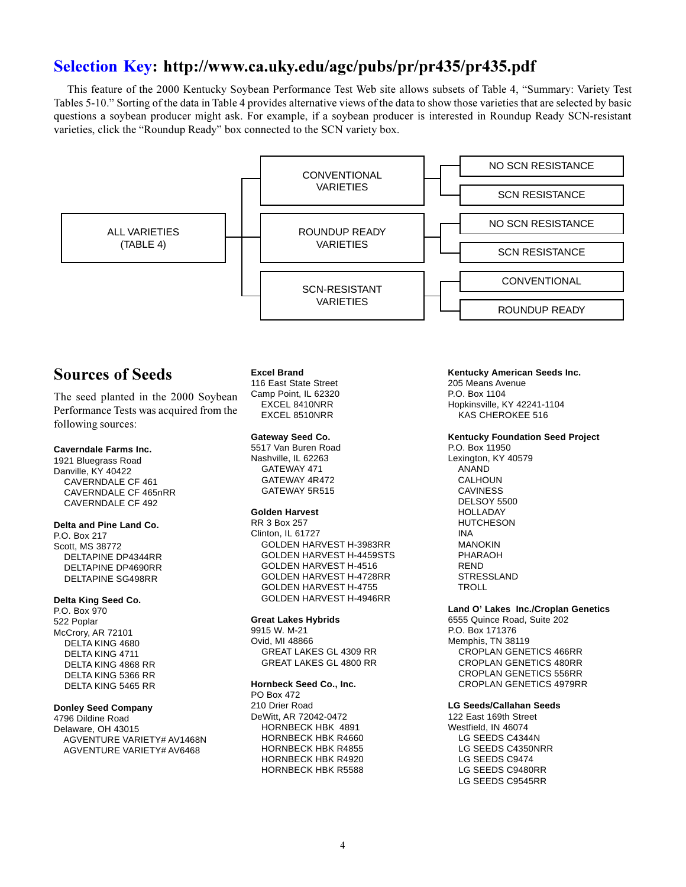# <span id="page-3-0"></span>**[Selection Key: h](#page-31-0)ttp://www.ca.uky.edu/agc/pubs/pr/pr435/pr435.pdf**

This feature of the 2000 Kentucky Soybean Performance Test Web site allows subsets of Table 4, "Summary: Variety Test Tables 5-10. Sorting of the data in Table 4 provides alternative views of the data to show those varieties that are selected by basic questions a soybean producer might ask. For example, if a soybean producer is interested in Roundup Ready SCN-resistant varieties, click the "Roundup Ready" box connected to the SCN variety box.



1921 Bluegrass Road Danville, KY 40422 CAVERNDALE CF 461 CAVERNDALE CF 465nRR CAVERNDALE CF 492

#### **Delta and Pine Land Co.**

P.O. Box 217 Scott, MS 38772 DELTAPINE DP4344RR DELTAPINE DP4690RR DELTAPINE SG498RR

#### **Delta King Seed Co.**

P.O. Box 970 522 Poplar McCrory, AR 72101 DELTA KING 4680 DELTA KING 4711 DELTA KING 4868 RR DELTA KING 5366 RR DELTA KING 5465 RR

### **Donley Seed Company**

4796 Dildine Road Delaware, OH 43015 AGVENTURE VARIETY# AV1468N AGVENTURE VARIETY# AV6468

Nashville, IL 62263 GATEWAY 471 GATEWAY 4R472 GATEWAY 5R515

#### **Golden Harvest**

RR 3 Box 257 Clinton, IL 61727 GOLDEN HARVEST H-3983RR GOLDEN HARVEST H-4459STS GOLDEN HARVEST H-4516 GOLDEN HARVEST H-4728RR GOLDEN HARVEST H-4755 GOLDEN HARVEST H-4946RR

#### **Great Lakes Hybrids**

9915 W. M-21 Ovid, MI 48866 GREAT LAKES GL 4309 RR GREAT LAKES GL 4800 RR

### **Hornbeck Seed Co., Inc.**

PO Box 472 210 Drier Road DeWitt, AR 72042-0472 HORNBECK HBK 4891 HORNBECK HBK R4660 HORNBECK HBK R4855 HORNBECK HBK R4920 HORNBECK HBK R5588

P.O. Box 11950 Lexington, KY 40579 ANAND CALHOUN CAVINESS DELSOY 5500 HOLLADAY **HUTCHESON** INA MANOKIN PHARAOH REND STRESSLAND TROLL

### **Land O' Lakes Inc./Croplan Genetics**

6555 Quince Road, Suite 202 P.O. Box 171376 Memphis, TN 38119 CROPLAN GENETICS 466RR CROPLAN GENETICS 480RR CROPLAN GENETICS 556RR CROPLAN GENETICS 4979RR

#### **LG Seeds/Callahan Seeds**

122 East 169th Street Westfield, IN 46074 LG SEEDS C4344N LG SEEDS C4350NRR LG SEEDS C9474 LG SEEDS C9480RR LG SEEDS C9545RR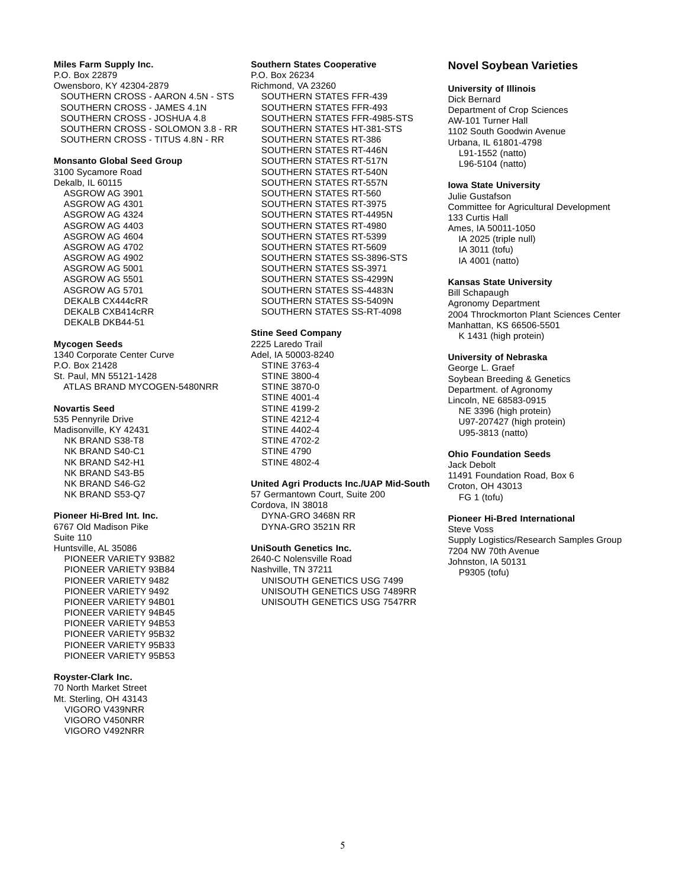#### **Miles Farm Supply Inc.**

P.O. Box 22879 Owensboro, KY 42304-2879 SOUTHERN CROSS - AARON 4.5N - STS SOUTHERN CROSS - JAMES 4.1N SOUTHERN CROSS - JOSHUA 4.8 SOUTHERN CROSS - SOLOMON 3.8 - RR SOUTHERN CROSS - TITUS 4.8N - RR

#### **Monsanto Global Seed Group**

3100 Sycamore Road Dekalb, IL 60115 ASGROW AG 3901 ASGROW AG 4301 ASGROW AG 4324 ASGROW AG 4403 ASGROW AG 4604 ASGROW AG 4702 ASGROW AG 4902 ASGROW AG 5001 ASGROW AG 5501 ASGROW AG 5701 DEKALB CX444cRR DEKALB CXB414cRR DEKALB DKB44-51

#### **Mycogen Seeds**

1340 Corporate Center Curve P.O. Box 21428 St. Paul, MN 55121-1428 ATLAS BRAND MYCOGEN-5480NRR

#### **Novartis Seed**

535 Pennyrile Drive Madisonville, KY 42431 NK BRAND S38-T8 NK BRAND S40-C1 NK BRAND S42-H1 NK BRAND S43-B5 NK BRAND S46-G2 NK BRAND S53-Q7

#### **Pioneer Hi-Bred Int. Inc.**

6767 Old Madison Pike Suite 110 Huntsville, AL 35086 PIONEER VARIETY 93B82 PIONEER VARIETY 93B84 PIONEER VARIETY 9482 PIONEER VARIETY 9492 PIONEER VARIETY 94B01 PIONEER VARIETY 94B45 PIONEER VARIETY 94B53 PIONEER VARIETY 95B32 PIONEER VARIETY 95B33 PIONEER VARIETY 95B53

#### **Royster-Clark Inc.**

70 North Market Street Mt. Sterling, OH 43143 VIGORO V439NRR VIGORO V450NRR VIGORO V492NRR

#### **Southern States Cooperative** P.O. Box 26234

Richmond, VA 23260 SOUTHERN STATES FFR-439 SOUTHERN STATES FFR-493 SOUTHERN STATES FFR-4985-STS SOUTHERN STATES HT-381-STS SOUTHERN STATES RT-386 SOUTHERN STATES RT-446N SOUTHERN STATES RT-517N SOUTHERN STATES RT-540N SOUTHERN STATES RT-557N SOUTHERN STATES RT-560 SOUTHERN STATES RT-3975 SOUTHERN STATES RT-4495N SOUTHERN STATES RT-4980 SOUTHERN STATES RT-5399 SOUTHERN STATES RT-5609 SOUTHERN STATES SS-3896-STS SOUTHERN STATES SS-3971 SOUTHERN STATES SS-4299N SOUTHERN STATES SS-4483N SOUTHERN STATES SS-5409N SOUTHERN STATES SS-RT-4098

#### **Stine Seed Company**

2225 Laredo Trail Adel, IA 50003-8240 STINE 3763-4 STINE 3800-4 STINE 3870-0 STINE 4001-4 STINE 4199-2 STINE 4212-4 STINE 4402-4 STINE 4702-2 STINE 4790 STINE 4802-4

#### **United Agri Products Inc./UAP Mid-South**

57 Germantown Court, Suite 200 Cordova, IN 38018 DYNA-GRO 3468N RR DYNA-GRO 3521N RR

#### **UniSouth Genetics Inc.**

2640-C Nolensville Road Nashville, TN 37211 UNISOUTH GENETICS USG 7499 UNISOUTH GENETICS USG 7489RR UNISOUTH GENETICS USG 7547RR

### **Novel Soybean Varieties**

#### **University of Illinois**

Dick Bernard Department of Crop Sciences AW-101 Turner Hall 1102 South Goodwin Avenue Urbana, IL 61801-4798 L91-1552 (natto) L96-5104 (natto)

### **Iowa State University**

Julie Gustafson Committee for Agricultural Development 133 Curtis Hall Ames, IA 50011-1050 IA 2025 (triple null) IA 3011 (tofu) IA 4001 (natto)

### **Kansas State University**

Bill Schapaugh Agronomy Department 2004 Throckmorton Plant Sciences Center Manhattan, KS 66506-5501 K 1431 (high protein)

#### **University of Nebraska**

George L. Graef Soybean Breeding & Genetics Department. of Agronomy Lincoln, NE 68583-0915 NE 3396 (high protein) U97-207427 (high protein) U95-3813 (natto)

#### **Ohio Foundation Seeds**

Jack Debolt 11491 Foundation Road, Box 6 Croton, OH 43013 FG 1 (tofu)

### **Pioneer Hi-Bred International**

Steve Voss Supply Logistics/Research Samples Group 7204 NW 70th Avenue Johnston, IA 50131 P9305 (tofu)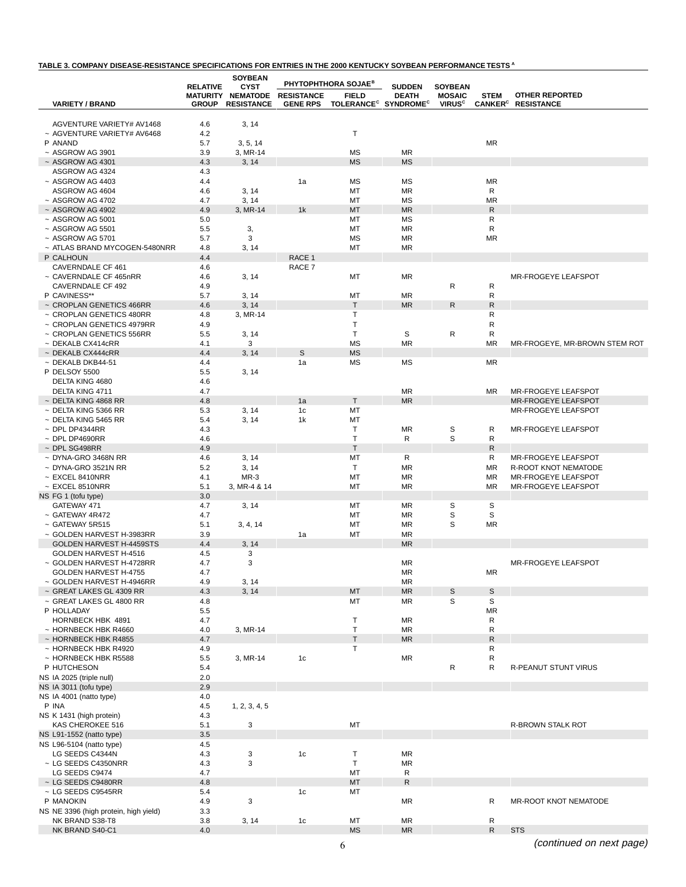### **TABLE 3. COMPANY DISEASE-RESISTANCE SPECIFICATIONS FOR ENTRIES IN THE 2000 KENTUCKY SOYBEAN PERFORMANCE TESTS <sup>A</sup>**

|                                                          | <b>RELATIVE</b> | <b>SOYBEAN</b><br><b>CYST</b> |                   | <b>PHYTOPHTHORA SOJAE<sup>B</sup></b>        | <b>SUDDEN</b>   | <b>SOYBEAN</b>           |                           |                                                   |
|----------------------------------------------------------|-----------------|-------------------------------|-------------------|----------------------------------------------|-----------------|--------------------------|---------------------------|---------------------------------------------------|
|                                                          | <b>MATURITY</b> | <b>NEMATODE</b>               | <b>RESISTANCE</b> | <b>FIELD</b>                                 | <b>DEATH</b>    | <b>MOSAIC</b>            | <b>STEM</b>               | <b>OTHER REPORTED</b>                             |
| <b>VARIETY / BRAND</b>                                   | <b>GROUP</b>    | <b>RESISTANCE</b>             | <b>GENE RPS</b>   | TOLERANCE <sup>C</sup> SYNDROME <sup>C</sup> |                 | <b>VIRUS<sup>c</sup></b> | <b>CANKER<sup>C</sup></b> | <b>RESISTANCE</b>                                 |
| AGVENTURE VARIETY# AV1468                                | 4.6             | 3, 14                         |                   |                                              |                 |                          |                           |                                                   |
| ~ AGVENTURE VARIETY# AV6468                              | 4.2             |                               |                   | T                                            |                 |                          |                           |                                                   |
| P ANAND                                                  | 5.7             | 3, 5, 14                      |                   |                                              |                 |                          | <b>MR</b>                 |                                                   |
| $~\sim$ ASGROW AG 3901                                   | 3.9             | 3, MR-14                      |                   | MS                                           | MR              |                          |                           |                                                   |
| $~\sim$ ASGROW AG 4301                                   | 4.3             | 3, 14                         |                   | <b>MS</b>                                    | <b>MS</b>       |                          |                           |                                                   |
| ASGROW AG 4324                                           | 4.3             |                               |                   |                                              |                 |                          |                           |                                                   |
| $~\sim$ ASGROW AG 4403                                   | 4.4             |                               | 1a                | MS                                           | ΜS              |                          | <b>MR</b>                 |                                                   |
| ASGROW AG 4604                                           | 4.6             | 3, 14                         |                   | МT                                           | MR              |                          | R                         |                                                   |
| $~\sim$ ASGROW AG 4702<br>$~\sim$ ASGROW AG 4902         | 4.7             | 3, 14                         | 1k                | МT<br>MT                                     | MS<br><b>MR</b> |                          | <b>MR</b><br>$\mathsf{R}$ |                                                   |
| $~\sim$ ASGROW AG 5001                                   | 4.9<br>5.0      | 3, MR-14                      |                   | МT                                           | MS              |                          | R                         |                                                   |
| $~\sim$ ASGROW AG 5501                                   | 5.5             | 3,                            |                   | MT                                           | <b>MR</b>       |                          | $\mathsf{R}$              |                                                   |
| $~\sim$ ASGROW AG 5701                                   | 5.7             | 3                             |                   | MS                                           | MR              |                          | ΜR                        |                                                   |
| ~ ATLAS BRAND MYCOGEN-5480NRR                            | 4.8             | 3, 14                         |                   | МT                                           | MR              |                          |                           |                                                   |
| P CALHOUN                                                | 4.4             |                               | RACE 1            |                                              |                 |                          |                           |                                                   |
| CAVERNDALE CF 461                                        | 4.6             |                               | RACE 7            |                                              |                 |                          |                           |                                                   |
| ~ CAVERNDALE CF 465nRR                                   | 4.6             | 3, 14                         |                   | МT                                           | <b>MR</b>       |                          |                           | <b>MR-FROGEYE LEAFSPOT</b>                        |
| CAVERNDALE CF 492                                        | 4.9             |                               |                   |                                              |                 | R                        | R                         |                                                   |
| P CAVINESS**<br>~ CROPLAN GENETICS 466RR                 | 5.7<br>4.6      | 3, 14<br>3, 14                |                   | MT<br>Τ                                      | MR<br><b>MR</b> | R                        | R<br>${\sf R}$            |                                                   |
| ~ CROPLAN GENETICS 480RR                                 | 4.8             | 3, MR-14                      |                   | Т                                            |                 |                          | $\mathsf{R}$              |                                                   |
| ~ CROPLAN GENETICS 4979RR                                | 4.9             |                               |                   | Т                                            |                 |                          | $\mathsf{R}$              |                                                   |
| ~ CROPLAN GENETICS 556RR                                 | 5.5             | 3, 14                         |                   | T                                            | S               | R                        | R                         |                                                   |
| $~\sim$ DEKALB CX414cRR                                  | 4.1             | 3                             |                   | <b>MS</b>                                    | <b>MR</b>       |                          | <b>MR</b>                 | MR-FROGEYE, MR-BROWN STEM ROT                     |
| $\sim$ DEKALB CX444cRR                                   | 4.4             | 3, 14                         | S                 | <b>MS</b>                                    |                 |                          |                           |                                                   |
| $~\sim$ DEKALB DKB44-51                                  | 4.4             |                               | 1a                | MS                                           | MS              |                          | <b>MR</b>                 |                                                   |
| P DELSOY 5500                                            | 5.5             | 3, 14                         |                   |                                              |                 |                          |                           |                                                   |
| DELTA KING 4680                                          | 4.6             |                               |                   |                                              |                 |                          |                           |                                                   |
| DELTA KING 4711                                          | 4.7             |                               |                   |                                              | MR              |                          | MR                        | MR-FROGEYE LEAFSPOT                               |
| $\sim$ DELTA KING 4868 RR<br>$\sim$ DELTA KING 5366 RR   | 4.8             |                               | 1a<br>1c          | Т<br>MT                                      | <b>MR</b>       |                          |                           | <b>MR-FROGEYE LEAFSPOT</b><br>MR-FROGEYE LEAFSPOT |
| $~\sim$ DELTA KING 5465 RR                               | 5.3<br>5.4      | 3, 14<br>3, 14                | 1k                | МT                                           |                 |                          |                           |                                                   |
| $\sim$ DPL DP4344RR                                      | 4.3             |                               |                   | т                                            | MR              | $\mathbb S$              | R                         | MR-FROGEYE LEAFSPOT                               |
| $\sim$ DPL DP4690RR                                      | 4.6             |                               |                   | T                                            | R               | S                        | R                         |                                                   |
| $~\sim$ DPL SG498RR                                      | 4.9             |                               |                   | $\mathsf{T}$                                 |                 |                          | $\mathsf{R}$              |                                                   |
| $~\sim$ DYNA-GRO 3468N RR                                | 4.6             | 3, 14                         |                   | МT                                           | R               |                          | R                         | MR-FROGEYE LEAFSPOT                               |
| $~\sim$ DYNA-GRO 3521N RR                                | 5.2             | 3, 14                         |                   | $\mathsf{T}$                                 | <b>MR</b>       |                          | <b>MR</b>                 | R-ROOT KNOT NEMATODE                              |
| $~\sim$ EXCEL 8410NRR                                    | 4.1             | $MR-3$                        |                   | МT                                           | MR              |                          | MR                        | MR-FROGEYE LEAFSPOT                               |
| $~\sim$ EXCEL 8510NRR                                    | 5.1             | 3, MR-4 & 14                  |                   | МT                                           | MR              |                          | <b>MR</b>                 | MR-FROGEYE LEAFSPOT                               |
| NS FG 1 (tofu type)                                      | 3.0             |                               |                   |                                              |                 | S                        | S                         |                                                   |
| GATEWAY 471<br>~ GATEWAY 4R472                           | 4.7<br>4.7      | 3, 14                         |                   | МT<br>МT                                     | MR<br>MR        | S                        | S                         |                                                   |
| ~ GATEWAY 5R515                                          | 5.1             | 3, 4, 14                      |                   | MT                                           | <b>MR</b>       | S                        | ΜR                        |                                                   |
| ~ GOLDEN HARVEST H-3983RR                                | 3.9             |                               | 1a                | MT                                           | <b>MR</b>       |                          |                           |                                                   |
| GOLDEN HARVEST H-4459STS                                 | 4.4             | 3, 14                         |                   |                                              | <b>MR</b>       |                          |                           |                                                   |
| GOLDEN HARVEST H-4516                                    | 4.5             | 3                             |                   |                                              |                 |                          |                           |                                                   |
| ~ GOLDEN HARVEST H-4728RR                                | 4.7             | 3                             |                   |                                              | MR              |                          |                           | <b>MR-FROGEYE LEAFSPOT</b>                        |
| GOLDEN HARVEST H-4755                                    | 4.7             |                               |                   |                                              | MR              |                          | ΜR                        |                                                   |
| ~ GOLDEN HARVEST H-4946RR                                | 4.9             | 3, 14                         |                   |                                              | <b>MR</b>       |                          |                           |                                                   |
| ~ GREAT LAKES GL 4309 RR                                 | 4.3             | 3, 14                         |                   | MT                                           | <b>MR</b>       | $\mathsf S$              | S                         |                                                   |
| ~ GREAT LAKES GL 4800 RR<br>P HOLLADAY                   | 4.8<br>5.5      |                               |                   | MT                                           | MR              | S                        | S<br><b>MR</b>            |                                                   |
| HORNBECK HBK 4891                                        | 4.7             |                               |                   | Т                                            | <b>MR</b>       |                          | R                         |                                                   |
| ~ HORNBECK HBK R4660                                     | 4.0             | 3, MR-14                      |                   | T                                            | <b>MR</b>       |                          | $\mathsf{R}$              |                                                   |
| ~ HORNBECK HBK R4855                                     | 4.7             |                               |                   | $\sf T$                                      | <b>MR</b>       |                          | $\mathsf{R}$              |                                                   |
| ~ HORNBECK HBK R4920                                     | 4.9             |                               |                   | T                                            |                 |                          | R                         |                                                   |
| ~ HORNBECK HBK R5588                                     | 5.5             | 3, MR-14                      | 1 <sub>c</sub>    |                                              | <b>MR</b>       |                          | R                         |                                                   |
| P HUTCHESON                                              | 5.4             |                               |                   |                                              |                 | ${\sf R}$                | R                         | R-PEANUT STUNT VIRUS                              |
| NS IA 2025 (triple null)                                 | 2.0             |                               |                   |                                              |                 |                          |                           |                                                   |
| NS IA 3011 (tofu type)                                   | 2.9             |                               |                   |                                              |                 |                          |                           |                                                   |
| NS IA 4001 (natto type)<br>P INA                         | 4.0             |                               |                   |                                              |                 |                          |                           |                                                   |
| NS K 1431 (high protein)                                 | 4.5<br>4.3      | 1, 2, 3, 4, 5                 |                   |                                              |                 |                          |                           |                                                   |
| KAS CHEROKEE 516                                         | 5.1             | 3                             |                   | MT                                           |                 |                          |                           | R-BROWN STALK ROT                                 |
| NS L91-1552 (natto type)                                 | 3.5             |                               |                   |                                              |                 |                          |                           |                                                   |
| NS L96-5104 (natto type)                                 | 4.5             |                               |                   |                                              |                 |                          |                           |                                                   |
| LG SEEDS C4344N                                          | 4.3             | 3                             | 1 <sub>c</sub>    | $\mathsf T$                                  | <b>MR</b>       |                          |                           |                                                   |
| ~ LG SEEDS C4350NRR                                      | 4.3             | 3                             |                   | T                                            | <b>MR</b>       |                          |                           |                                                   |
| LG SEEDS C9474                                           | 4.7             |                               |                   | MT                                           | R               |                          |                           |                                                   |
| ~ LG SEEDS C9480RR                                       | 4.8             |                               |                   | MT                                           | $\mathsf{R}$    |                          |                           |                                                   |
| ~ LG SEEDS C9545RR                                       | 5.4             |                               | 1c                | МT                                           |                 |                          |                           |                                                   |
| P MANOKIN                                                | 4.9             | 3                             |                   |                                              | <b>MR</b>       |                          | R                         | MR-ROOT KNOT NEMATODE                             |
| NS NE 3396 (high protein, high yield)<br>NK BRAND S38-T8 | 3.3<br>3.8      | 3, 14                         | 1 <sub>c</sub>    | MT                                           | <b>MR</b>       |                          | R                         |                                                   |
| NK BRAND S40-C1                                          | 4.0             |                               |                   | <b>MS</b>                                    | <b>MR</b>       |                          | $\mathsf{R}$              | <b>STS</b>                                        |
|                                                          |                 |                               |                   |                                              |                 |                          |                           |                                                   |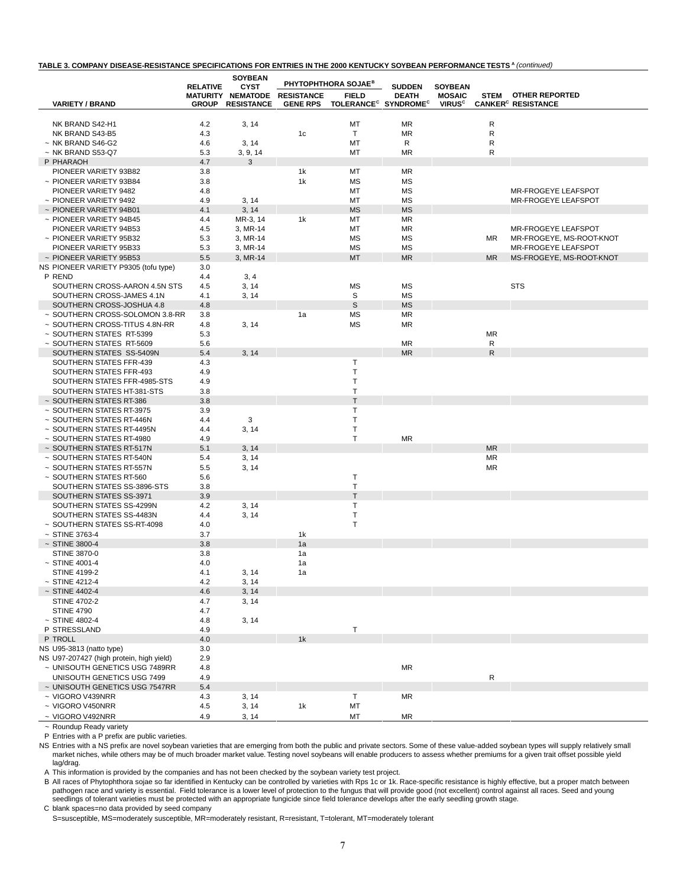#### **TABLE 3. COMPANY DISEASE-RESISTANCE SPECIFICATIONS FOR ENTRIES IN THE 2000 KENTUCKY SOYBEAN PERFORMANCE TESTS <sup>A</sup>** (continued)

|                                                            |                 | <b>SOYBEAN</b>                   |                   | PHYTOPHTHORA SOJAE <sup>B</sup>              |                               |                                 |              |                                      |
|------------------------------------------------------------|-----------------|----------------------------------|-------------------|----------------------------------------------|-------------------------------|---------------------------------|--------------|--------------------------------------|
|                                                            | <b>RELATIVE</b> | <b>CYST</b><br>MATURITY NEMATODE | <b>RESISTANCE</b> | <b>FIELD</b>                                 | <b>SUDDEN</b><br><b>DEATH</b> | <b>SOYBEAN</b><br><b>MOSAIC</b> | <b>STEM</b>  | <b>OTHER REPORTED</b>                |
| <b>VARIETY / BRAND</b>                                     | <b>GROUP</b>    | <b>RESISTANCE</b>                | <b>GENE RPS</b>   | TOLERANCE <sup>C</sup> SYNDROME <sup>C</sup> |                               | <b>VIRUS<sup>c</sup></b>        |              | <b>CANKER<sup>C</sup> RESISTANCE</b> |
|                                                            |                 |                                  |                   |                                              |                               |                                 |              |                                      |
| NK BRAND S42-H1                                            | 4.2             | 3, 14                            |                   | MT                                           | ΜR                            |                                 | R            |                                      |
| NK BRAND S43-B5                                            | 4.3             |                                  | 1 <sub>c</sub>    | T                                            | ΜR                            |                                 | R            |                                      |
| $~\sim$ NK BRAND S46-G2                                    | 4.6             | 3, 14                            |                   | МT                                           | R                             |                                 | R            |                                      |
| $~\sim$ NK BRAND S53-Q7                                    | 5.3             | 3, 9, 14                         |                   | МT                                           | <b>MR</b>                     |                                 | $\mathsf{R}$ |                                      |
| P PHARAOH<br>PIONEER VARIETY 93B82                         | 4.7<br>3.8      | 3                                | 1k                | МT                                           | ΜR                            |                                 |              |                                      |
| ~ PIONEER VARIETY 93B84                                    | 3.8             |                                  | 1k                | <b>MS</b>                                    | <b>MS</b>                     |                                 |              |                                      |
| PIONEER VARIETY 9482                                       | 4.8             |                                  |                   | МT                                           | <b>MS</b>                     |                                 |              | MR-FROGEYE LEAFSPOT                  |
| ~ PIONEER VARIETY 9492                                     | 4.9             | 3, 14                            |                   | МT                                           | ΜS                            |                                 |              | MR-FROGEYE LEAFSPOT                  |
| $\sim$ PIONEER VARIETY 94B01                               | 4.1             | 3, 14                            |                   | <b>MS</b>                                    | <b>MS</b>                     |                                 |              |                                      |
| ~ PIONEER VARIETY 94B45                                    | 4.4             | MR-3, 14                         | 1k                | МT                                           | ΜR                            |                                 |              |                                      |
| PIONEER VARIETY 94B53                                      | 4.5             | 3, MR-14                         |                   | MT                                           | <b>MR</b>                     |                                 |              | <b>MR-FROGEYE LEAFSPOT</b>           |
| ~ PIONEER VARIETY 95B32                                    | 5.3             | 3, MR-14                         |                   | МS                                           | MS                            |                                 | ΜR           | MR-FROGEYE, MS-ROOT-KNOT             |
| PIONEER VARIETY 95B33                                      | 5.3             | 3, MR-14                         |                   | MS                                           | <b>MS</b>                     |                                 |              | <b>MR-FROGEYE LEAFSPOT</b>           |
| ~ PIONEER VARIETY 95B53                                    | 5.5             | 3, MR-14                         |                   | MT                                           | <b>MR</b>                     |                                 | <b>MR</b>    | MS-FROGEYE, MS-ROOT-KNOT             |
| NS PIONEER VARIETY P9305 (tofu type)                       | 3.0             |                                  |                   |                                              |                               |                                 |              |                                      |
| P REND                                                     | 4.4             | 3, 4                             |                   |                                              |                               |                                 |              |                                      |
| SOUTHERN CROSS-AARON 4.5N STS<br>SOUTHERN CROSS-JAMES 4.1N | 4.5<br>4.1      | 3, 14<br>3, 14                   |                   | <b>MS</b><br>S                               | ΜS<br><b>MS</b>               |                                 |              | <b>STS</b>                           |
| SOUTHERN CROSS-JOSHUA 4.8                                  | 4.8             |                                  |                   | S                                            | <b>MS</b>                     |                                 |              |                                      |
| ~ SOUTHERN CROSS-SOLOMON 3.8-RR                            | 3.8             |                                  | 1a                | <b>MS</b>                                    | ΜR                            |                                 |              |                                      |
| ~ SOUTHERN CROSS-TITUS 4.8N-RR                             | 4.8             | 3, 14                            |                   | МS                                           | ΜR                            |                                 |              |                                      |
| ~ SOUTHERN STATES RT-5399                                  | 5.3             |                                  |                   |                                              |                               |                                 | <b>MR</b>    |                                      |
| ~ SOUTHERN STATES RT-5609                                  | 5.6             |                                  |                   |                                              | <b>MR</b>                     |                                 | R            |                                      |
| SOUTHERN STATES SS-5409N                                   | 5.4             | 3, 14                            |                   |                                              | <b>MR</b>                     |                                 | ${\sf R}$    |                                      |
| SOUTHERN STATES FFR-439                                    | 4.3             |                                  |                   | $\mathsf T$                                  |                               |                                 |              |                                      |
| SOUTHERN STATES FFR-493                                    | 4.9             |                                  |                   | T                                            |                               |                                 |              |                                      |
| SOUTHERN STATES FFR-4985-STS                               | 4.9             |                                  |                   | T                                            |                               |                                 |              |                                      |
| SOUTHERN STATES HT-381-STS                                 | 3.8             |                                  |                   | T                                            |                               |                                 |              |                                      |
| ~ SOUTHERN STATES RT-386<br>~ SOUTHERN STATES RT-3975      | 3.8             |                                  |                   | $\mathsf{T}$<br>$\sf T$                      |                               |                                 |              |                                      |
| ~ SOUTHERN STATES RT-446N                                  | 3.9<br>4.4      | 3                                |                   | T                                            |                               |                                 |              |                                      |
| ~ SOUTHERN STATES RT-4495N                                 | 4.4             | 3, 14                            |                   | T                                            |                               |                                 |              |                                      |
| ~ SOUTHERN STATES RT-4980                                  | 4.9             |                                  |                   | T                                            | <b>MR</b>                     |                                 |              |                                      |
| ~ SOUTHERN STATES RT-517N                                  | 5.1             | 3, 14                            |                   |                                              |                               |                                 | <b>MR</b>    |                                      |
| ~ SOUTHERN STATES RT-540N                                  | 5.4             | 3, 14                            |                   |                                              |                               |                                 | ΜR           |                                      |
| ~ SOUTHERN STATES RT-557N                                  | 5.5             | 3, 14                            |                   |                                              |                               |                                 | ΜR           |                                      |
| ~ SOUTHERN STATES RT-560                                   | 5.6             |                                  |                   | $\sf T$                                      |                               |                                 |              |                                      |
| SOUTHERN STATES SS-3896-STS                                | 3.8             |                                  |                   | T                                            |                               |                                 |              |                                      |
| SOUTHERN STATES SS-3971                                    | 3.9             |                                  |                   | $\mathsf T$                                  |                               |                                 |              |                                      |
| SOUTHERN STATES SS-4299N                                   | 4.2             | 3, 14                            |                   | T<br>T                                       |                               |                                 |              |                                      |
| SOUTHERN STATES SS-4483N<br>~ SOUTHERN STATES SS-RT-4098   | 4.4<br>4.0      | 3, 14                            |                   | T                                            |                               |                                 |              |                                      |
| $~\sim$ STINE 3763-4                                       | 3.7             |                                  | 1k                |                                              |                               |                                 |              |                                      |
| $~\sim$ STINE 3800-4                                       | 3.8             |                                  | 1a                |                                              |                               |                                 |              |                                      |
| STINE 3870-0                                               | 3.8             |                                  | 1a                |                                              |                               |                                 |              |                                      |
| $~\sim$ STINE 4001-4                                       | 4.0             |                                  | 1a                |                                              |                               |                                 |              |                                      |
| <b>STINE 4199-2</b>                                        | 4.1             | 3, 14                            | 1a                |                                              |                               |                                 |              |                                      |
| $~\sim$ STINE 4212-4                                       | 4.2             | 3, 14                            |                   |                                              |                               |                                 |              |                                      |
| $~\sim$ STINE 4402-4                                       | 4.6             | 3, 14                            |                   |                                              |                               |                                 |              |                                      |
| <b>STINE 4702-2</b>                                        | 4.7             | 3, 14                            |                   |                                              |                               |                                 |              |                                      |
| <b>STINE 4790</b>                                          | 4.7             |                                  |                   |                                              |                               |                                 |              |                                      |
| $~\sim$ STINE 4802-4                                       | 4.8             | 3, 14                            |                   |                                              |                               |                                 |              |                                      |
| P STRESSLAND<br>P TROLL                                    | 4.9             |                                  |                   | $\mathsf T$                                  |                               |                                 |              |                                      |
| NS U95-3813 (natto type)                                   | 4.0<br>3.0      |                                  | 1k                |                                              |                               |                                 |              |                                      |
| NS U97-207427 (high protein, high yield)                   | 2.9             |                                  |                   |                                              |                               |                                 |              |                                      |
| ~ UNISOUTH GENETICS USG 7489RR                             | 4.8             |                                  |                   |                                              | <b>MR</b>                     |                                 |              |                                      |
| UNISOUTH GENETICS USG 7499                                 | 4.9             |                                  |                   |                                              |                               |                                 | ${\sf R}$    |                                      |
| ~ UNISOUTH GENETICS USG 7547RR                             | 5.4             |                                  |                   |                                              |                               |                                 |              |                                      |
| ~ VIGORO V439NRR                                           | 4.3             | 3, 14                            |                   | Τ                                            | <b>MR</b>                     |                                 |              |                                      |
| ~ VIGORO V450NRR                                           | 4.5             | 3, 14                            | 1k                | MT                                           |                               |                                 |              |                                      |
| ~ VIGORO V492NRR                                           | 4.9             | 3, 14                            |                   | МT                                           | MR                            |                                 |              |                                      |

~ Roundup Ready variety

P Entries with a P prefix are public varieties.

NS Entries with a NS prefix are novel soybean varieties that are emerging from both the public and private sectors. Some of these value-added soybean types will supply relatively small market niches, while others may be of much broader market value. Testing novel soybeans will enable producers to assess whether premiums for a given trait offset possible yield lag/drag.

A This information is provided by the companies and has not been checked by the soybean variety test project.

B All races of Phytophthora sojae so far identified in Kentucky can be controlled by varieties with Rps 1c or 1k. Race-specific resistance is highly effective, but a proper match between<br>pathogen race and variety is essent

C blank spaces=no data provided by seed company

S=susceptible, MS=moderately susceptible, MR=moderately resistant, R=resistant, T=tolerant, MT=moderately tolerant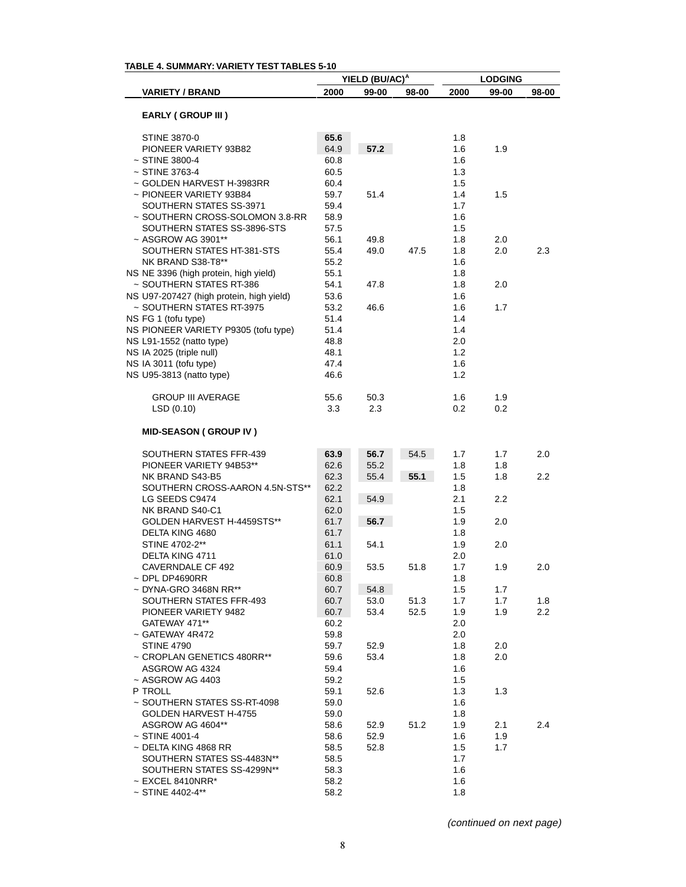| TABLE 4. SUMMARY: VARIETY TEST TABLES 5-10 |              |                            |       |                |            |                  |  |
|--------------------------------------------|--------------|----------------------------|-------|----------------|------------|------------------|--|
|                                            |              | YIELD (BU/AC) <sup>A</sup> |       | <b>LODGING</b> |            |                  |  |
| <b>VARIETY / BRAND</b>                     | 2000         | 99-00                      | 98-00 | 2000           | 99-00      | 98-00            |  |
|                                            |              |                            |       |                |            |                  |  |
| <b>EARLY (GROUP III)</b>                   |              |                            |       |                |            |                  |  |
| <b>STINE 3870-0</b>                        | 65.6         |                            |       | 1.8            |            |                  |  |
| PIONEER VARIETY 93B82                      | 64.9         | 57.2                       |       | 1.6            | 1.9        |                  |  |
| $~\sim$ STINE 3800-4                       | 60.8         |                            |       | 1.6            |            |                  |  |
| ~ STINE 3763-4                             | 60.5         |                            |       | 1.3            |            |                  |  |
| ~ GOLDEN HARVEST H-3983RR                  | 60.4         |                            |       | 1.5            |            |                  |  |
| ~ PIONEER VARIETY 93B84                    | 59.7         | 51.4                       |       | 1.4            | 1.5        |                  |  |
| SOUTHERN STATES SS-3971                    | 59.4         |                            |       | 1.7            |            |                  |  |
| ~ SOUTHERN CROSS-SOLOMON 3.8-RR            | 58.9         |                            |       | 1.6            |            |                  |  |
| SOUTHERN STATES SS-3896-STS                | 57.5         |                            |       | 1.5            |            |                  |  |
| ~ ASGROW AG 3901**                         | 56.1         | 49.8                       |       | 1.8            | 2.0        |                  |  |
| SOUTHERN STATES HT-381-STS                 | 55.4         | 49.0                       | 47.5  | 1.8            | 2.0        | 2.3              |  |
| NK BRAND S38-T8**                          | 55.2         |                            |       | 1.6            |            |                  |  |
| NS NE 3396 (high protein, high yield)      | 55.1         |                            |       | 1.8            |            |                  |  |
| ~ SOUTHERN STATES RT-386                   | 54.1         | 47.8                       |       | 1.8            | 2.0        |                  |  |
| NS U97-207427 (high protein, high yield)   | 53.6         |                            |       | 1.6            |            |                  |  |
| ~ SOUTHERN STATES RT-3975                  | 53.2         | 46.6                       |       | 1.6            | 1.7        |                  |  |
| NS FG 1 (tofu type)                        | 51.4         |                            |       | 1.4            |            |                  |  |
| NS PIONEER VARIETY P9305 (tofu type)       | 51.4         |                            |       | 1.4            |            |                  |  |
| NS L91-1552 (natto type)                   | 48.8         |                            |       | 2.0            |            |                  |  |
| NS IA 2025 (triple null)                   | 48.1         |                            |       | 1.2            |            |                  |  |
| NS IA 3011 (tofu type)                     | 47.4         |                            |       | 1.6            |            |                  |  |
| NS U95-3813 (natto type)                   | 46.6         |                            |       | 1.2            |            |                  |  |
| <b>GROUP III AVERAGE</b>                   | 55.6         | 50.3                       |       | 1.6            | 1.9        |                  |  |
| LSD (0.10)                                 | 3.3          | 2.3                        |       | 0.2            | 0.2        |                  |  |
| <b>MID-SEASON (GROUP IV)</b>               |              |                            |       |                |            |                  |  |
| SOUTHERN STATES FFR-439                    | 63.9         | 56.7                       | 54.5  | 1.7            | 1.7        | 2.0              |  |
| PIONEER VARIETY 94B53**                    | 62.6         | 55.2                       |       | 1.8            | 1.8        |                  |  |
| NK BRAND S43-B5                            | 62.3         | 55.4                       | 55.1  | 1.5            | 1.8        | 2.2              |  |
| SOUTHERN CROSS-AARON 4.5N-STS**            | 62.2         |                            |       | 1.8            |            |                  |  |
| LG SEEDS C9474                             | 62.1         | 54.9                       |       | 2.1            | $2.2\,$    |                  |  |
| NK BRAND S40-C1                            | 62.0         |                            |       | 1.5            |            |                  |  |
| GOLDEN HARVEST H-4459STS**                 | 61.7         | 56.7                       |       | 1.9            | 2.0        |                  |  |
| DELTA KING 4680                            | 61.7         |                            |       | 1.8            |            |                  |  |
| STINE 4702-2**                             | 61.1         | 54.1                       |       | 1.9            | 2.0        |                  |  |
| DELTA KING 4711                            | 61.0         |                            |       | 2.0            |            |                  |  |
| CAVERNDALE CF 492                          | 60.9         | 53.5                       | 51.8  | 1.7            | 1.9        | 2.0              |  |
| $\sim$ DPL DP4690RR                        | 60.8         |                            |       | 1.8            |            |                  |  |
| $\sim$ DYNA-GRO 3468N RR**                 | 60.7         | 54.8                       |       | 1.5            | 1.7        |                  |  |
| SOUTHERN STATES FFR-493                    | 60.7         | 53.0                       | 51.3  | 1.7            | 1.7        | 1.8              |  |
| PIONEER VARIETY 9482                       | 60.7         | 53.4                       | 52.5  | 1.9            | 1.9        | $2.2\phantom{0}$ |  |
| GATEWAY 471**                              | 60.2         |                            |       | 2.0            |            |                  |  |
| ~ GATEWAY 4R472                            | 59.8         |                            |       | 2.0            |            |                  |  |
| <b>STINE 4790</b>                          | 59.7         | 52.9                       |       | 1.8            | 2.0        |                  |  |
| ~ CROPLAN GENETICS 480RR**                 | 59.6         | 53.4                       |       | 1.8            | 2.0        |                  |  |
| ASGROW AG 4324<br>$~\sim$ ASGROW AG 4403   | 59.4         |                            |       | 1.6            |            |                  |  |
|                                            | 59.2         |                            |       | 1.5            |            |                  |  |
| P TROLL<br>~ SOUTHERN STATES SS-RT-4098    | 59.1<br>59.0 | 52.6                       |       | 1.3<br>1.6     | 1.3        |                  |  |
| GOLDEN HARVEST H-4755                      | 59.0         |                            |       | 1.8            |            |                  |  |
| ASGROW AG 4604**                           |              |                            | 51.2  | 1.9            |            | 2.4              |  |
| $~\sim$ STINE 4001-4                       | 58.6         | 52.9<br>52.9               |       | 1.6            | 2.1<br>1.9 |                  |  |
| $\sim$ DELTA KING 4868 RR                  | 58.6<br>58.5 | 52.8                       |       | 1.5            | 1.7        |                  |  |
| SOUTHERN STATES SS-4483N**                 | 58.5         |                            |       | 1.7            |            |                  |  |
| SOUTHERN STATES SS-4299N**                 | 58.3         |                            |       | 1.6            |            |                  |  |
| $\sim$ EXCEL 8410NRR*                      | 58.2         |                            |       | 1.6            |            |                  |  |
| $~\sim$ STINE 4402-4**                     | 58.2         |                            |       | 1.8            |            |                  |  |
|                                            |              |                            |       |                |            |                  |  |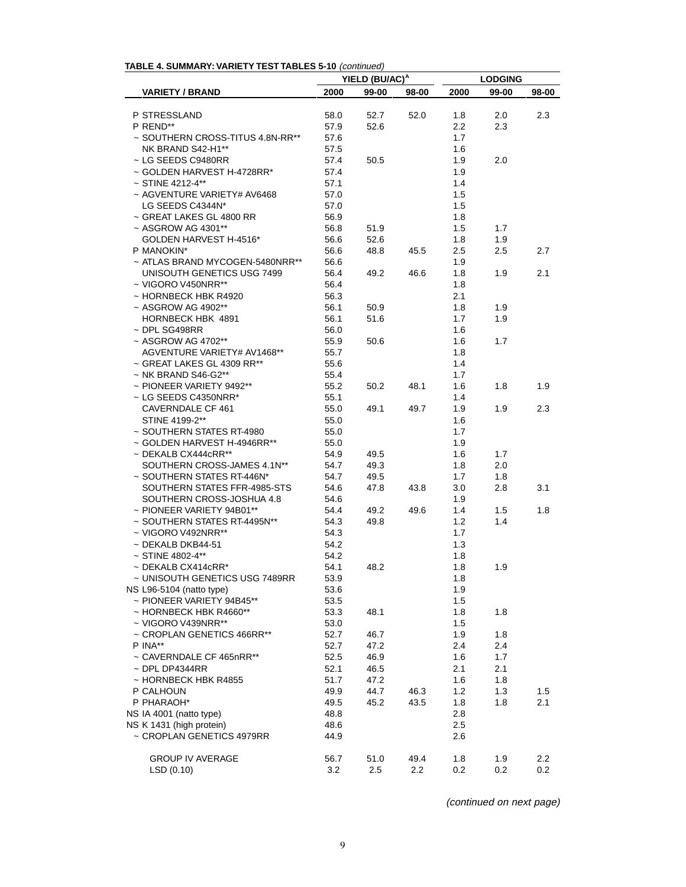| <b>IADLE 4. SUMIMART. VARIETT TEST TADLES 3-TU (CONTINUED)</b> |              | YIELD (BU/AC) <sup>A</sup> |       | <b>LODGING</b> |            |       |  |
|----------------------------------------------------------------|--------------|----------------------------|-------|----------------|------------|-------|--|
| <b>VARIETY / BRAND</b>                                         | 2000         | 99-00                      | 98-00 | 2000           | 99-00      | 98-00 |  |
|                                                                |              |                            |       |                |            |       |  |
| P STRESSLAND                                                   | 58.0         | 52.7                       | 52.0  | 1.8            | 2.0        | 2.3   |  |
| P REND**                                                       | 57.9         | 52.6                       |       | 2.2            | 2.3        |       |  |
| ~ SOUTHERN CROSS-TITUS 4.8N-RR**                               | 57.6         |                            |       | 1.7            |            |       |  |
| NK BRAND S42-H1**                                              | 57.5         |                            |       | 1.6            |            |       |  |
| ~ LG SEEDS C9480RR                                             | 57.4         | 50.5                       |       | 1.9            | 2.0        |       |  |
| ~ GOLDEN HARVEST H-4728RR*                                     | 57.4         |                            |       | 1.9            |            |       |  |
| $~\sim$ STINE 4212-4**                                         | 57.1         |                            |       | 1.4            |            |       |  |
| ~ AGVENTURE VARIETY# AV6468                                    | 57.0         |                            |       | 1.5            |            |       |  |
| LG SEEDS C4344N*                                               | 57.0         |                            |       | 1.5            |            |       |  |
| ~ GREAT LAKES GL 4800 RR                                       | 56.9         |                            |       | 1.8            |            |       |  |
| ~ ASGROW AG 4301**                                             | 56.8         | 51.9                       |       | 1.5            | 1.7        |       |  |
| GOLDEN HARVEST H-4516*                                         | 56.6         | 52.6                       |       | 1.8            | 1.9        |       |  |
| P MANOKIN*                                                     | 56.6         | 48.8                       | 45.5  | 2.5            | 2.5        | 2.7   |  |
| ~ ATLAS BRAND MYCOGEN-5480NRR**                                | 56.6         |                            |       | 1.9            |            |       |  |
| UNISOUTH GENETICS USG 7499                                     | 56.4         | 49.2                       | 46.6  | 1.8            | 1.9        | 2.1   |  |
| ~ VIGORO V450NRR**                                             | 56.4         |                            |       | 1.8            |            |       |  |
| ~ HORNBECK HBK R4920                                           | 56.3         |                            |       | 2.1            |            |       |  |
| ~ ASGROW AG 4902**                                             | 56.1         | 50.9                       |       | 1.8            | 1.9        |       |  |
| HORNBECK HBK 4891                                              | 56.1         | 51.6                       |       | 1.7            | 1.9        |       |  |
| ~ DPL SG498RR                                                  | 56.0         |                            |       | 1.6            |            |       |  |
| ~ ASGROW AG 4702**                                             | 55.9         | 50.6                       |       | 1.6            | 1.7        |       |  |
| AGVENTURE VARIETY# AV1468**                                    | 55.7         |                            |       | 1.8            |            |       |  |
| ~ GREAT LAKES GL 4309 RR**                                     | 55.6         |                            |       | 1.4            |            |       |  |
| $~\sim$ NK BRAND S46-G2**                                      | 55.4         |                            |       | 1.7            |            |       |  |
| $\sim$ PIONEER VARIETY 9492**                                  | 55.2         | 50.2                       | 48.1  | 1.6            | 1.8        | 1.9   |  |
| ~ LG SEEDS C4350NRR*                                           | 55.1         |                            |       | 1.4            |            |       |  |
| CAVERNDALE CF 461                                              | 55.0         | 49.1                       | 49.7  | 1.9            | 1.9        | 2.3   |  |
| STINE 4199-2**                                                 | 55.0         |                            |       | 1.6            |            |       |  |
| ~ SOUTHERN STATES RT-4980                                      | 55.0         |                            |       | 1.7            |            |       |  |
| ~ GOLDEN HARVEST H-4946RR**                                    | 55.0         |                            |       | 1.9            |            |       |  |
| ~ DEKALB CX444cRR**                                            | 54.9         | 49.5                       |       | 1.6            | 1.7        |       |  |
| SOUTHERN CROSS-JAMES 4.1N**                                    | 54.7         | 49.3                       |       | 1.8            | 2.0        |       |  |
| ~ SOUTHERN STATES RT-446N*                                     | 54.7         | 49.5                       |       | 1.7            | 1.8        |       |  |
| SOUTHERN STATES FFR-4985-STS                                   | 54.6         | 47.8                       | 43.8  | 3.0            | 2.8        | 3.1   |  |
| SOUTHERN CROSS-JOSHUA 4.8                                      | 54.6         |                            |       | 1.9            |            |       |  |
| ~ PIONEER VARIETY 94B01**                                      | 54.4         | 49.2                       | 49.6  | 1.4            | 1.5        | 1.8   |  |
| ~ SOUTHERN STATES RT-4495N**                                   | 54.3         | 49.8                       |       | 1.2            | 1.4        |       |  |
| ~ VIGORO V492NRR**                                             | 54.3         |                            |       | 1.7            |            |       |  |
| ~ DEKALB DKB44-51                                              | 54.2         |                            |       | 1.3            |            |       |  |
| $~\sim$ STINE 4802-4**                                         | 54.2         |                            |       | 1.8            |            |       |  |
| $\sim$ DEKALB CX414cRR*                                        | 54.1         | 48.2                       |       | 1.8            | 1.9        |       |  |
| ~ UNISOUTH GENETICS USG 7489RR                                 | 53.9         |                            |       | 1.8            |            |       |  |
| NS L96-5104 (natto type)                                       | 53.6         |                            |       | 1.9            |            |       |  |
| ~ PIONEER VARIETY 94B45**                                      | 53.5         |                            |       | 1.5            |            |       |  |
| ~ HORNBECK HBK R4660**                                         | 53.3         | 48.1                       |       | 1.8            | 1.8        |       |  |
| ~ VIGORO V439NRR**                                             | 53.0         |                            |       | 1.5            |            |       |  |
| ~ CROPLAN GENETICS 466RR**                                     | 52.7         | 46.7                       |       | 1.9            | 1.8        |       |  |
| P INA**                                                        | 52.7         | 47.2                       |       | 2.4            | 2.4        |       |  |
| ~ CAVERNDALE CF 465nRR**                                       | 52.5         | 46.9                       |       | 1.6            | 1.7        |       |  |
| $\sim$ DPL DP4344RR                                            | 52.1         | 46.5                       |       | 2.1            | 2.1        |       |  |
| ~ HORNBECK HBK R4855                                           | 51.7         | 47.2                       |       | 1.6            | 1.8        |       |  |
| P CALHOUN                                                      | 49.9         | 44.7                       | 46.3  | 1.2            | 1.3        | 1.5   |  |
| P PHARAOH*                                                     | 49.5         | 45.2                       | 43.5  | 1.8            | 1.8        | 2.1   |  |
| NS IA 4001 (natto type)                                        | 48.8         |                            |       | 2.8            |            |       |  |
| NS K 1431 (high protein)                                       |              |                            |       | 2.5            |            |       |  |
| ~ CROPLAN GENETICS 4979RR                                      | 48.6<br>44.9 |                            |       | 2.6            |            |       |  |
|                                                                |              |                            |       |                |            |       |  |
| <b>GROUP IV AVERAGE</b>                                        |              |                            | 49.4  |                |            | 2.2   |  |
| LSD(0.10)                                                      | 56.7<br>3.2  | 51.0<br>2.5                | 2.2   | 1.8<br>0.2     | 1.9<br>0.2 | 0.2   |  |
|                                                                |              |                            |       |                |            |       |  |

# **TABLE 4. SUMMARY: VARIETY TEST TABLES 5-10** (continued)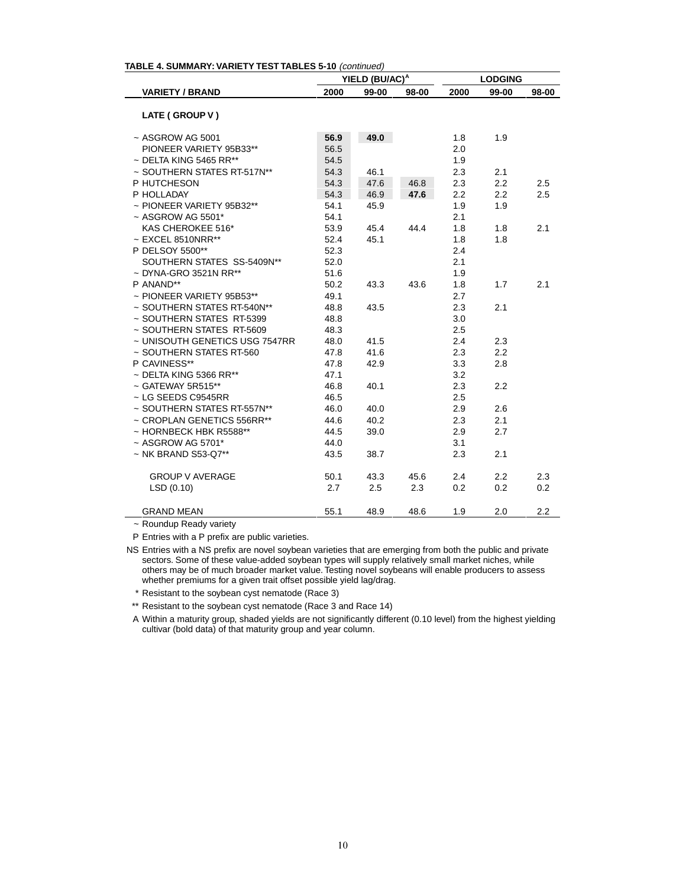|                                |      | YIELD (BU/AC) <sup>A</sup> |       |      | <b>LODGING</b> |       |  |  |
|--------------------------------|------|----------------------------|-------|------|----------------|-------|--|--|
| <b>VARIETY / BRAND</b>         | 2000 | 99-00                      | 98-00 | 2000 | 99-00          | 98-00 |  |  |
| LATE (GROUP V)                 |      |                            |       |      |                |       |  |  |
| $~\sim$ ASGROW AG 5001         | 56.9 | 49.0                       |       | 1.8  | 1.9            |       |  |  |
| PIONEER VARIETY 95B33**        | 56.5 |                            |       | 2.0  |                |       |  |  |
| $\sim$ DELTA KING 5465 RR**    | 54.5 |                            |       | 1.9  |                |       |  |  |
| ~ SOUTHERN STATES RT-517N**    | 54.3 | 46.1                       |       | 2.3  | 2.1            |       |  |  |
| P HUTCHESON                    | 54.3 | 47.6                       | 46.8  | 2.3  | 2.2            | 2.5   |  |  |
| P HOLLADAY                     | 54.3 | 46.9                       | 47.6  | 2.2  | 2.2            | 2.5   |  |  |
| $\sim$ PIONEER VARIETY 95B32** | 54.1 | 45.9                       |       | 1.9  | 1.9            |       |  |  |
| $~\sim$ ASGROW AG 5501*        | 54.1 |                            |       | 2.1  |                |       |  |  |
| KAS CHEROKEE 516*              | 53.9 | 45.4                       | 44.4  | 1.8  | 1.8            | 2.1   |  |  |
| $\sim$ EXCEL 8510NRR**         | 52.4 | 45.1                       |       | 1.8  | 1.8            |       |  |  |
| P DELSOY 5500**                | 52.3 |                            |       | 2.4  |                |       |  |  |
| SOUTHERN STATES SS-5409N**     | 52.0 |                            |       | 2.1  |                |       |  |  |
| $\sim$ DYNA-GRO 3521N RR**     | 51.6 |                            |       | 1.9  |                |       |  |  |
| P ANAND**                      | 50.2 | 43.3                       | 43.6  | 1.8  | 1.7            | 2.1   |  |  |
| $\sim$ PIONEER VARIETY 95B53** | 49.1 |                            |       | 2.7  |                |       |  |  |
| ~ SOUTHERN STATES RT-540N**    | 48.8 | 43.5                       |       | 2.3  | 2.1            |       |  |  |
| ~ SOUTHERN STATES RT-5399      | 48.8 |                            |       | 3.0  |                |       |  |  |
| ~ SOUTHERN STATES RT-5609      | 48.3 |                            |       | 2.5  |                |       |  |  |
| ~ UNISOUTH GENETICS USG 7547RR | 48.0 | 41.5                       |       | 2.4  | 2.3            |       |  |  |
| ~ SOUTHERN STATES RT-560       | 47.8 | 41.6                       |       | 2.3  | 2.2            |       |  |  |
| P CAVINESS**                   | 47.8 | 42.9                       |       | 3.3  | 2.8            |       |  |  |
| $\sim$ DELTA KING 5366 RR**    | 47.1 |                            |       | 3.2  |                |       |  |  |
| $\sim$ GATEWAY 5R515**         | 46.8 | 40.1                       |       | 2.3  | 2.2            |       |  |  |
| ~ LG SEEDS C9545RR             | 46.5 |                            |       | 2.5  |                |       |  |  |
| ~ SOUTHERN STATES RT-557N**    | 46.0 | 40.0                       |       | 2.9  | 2.6            |       |  |  |
| ~ CROPLAN GENETICS 556RR**     | 44.6 | 40.2                       |       | 2.3  | 2.1            |       |  |  |
| $\sim$ HORNBECK HBK R5588**    | 44.5 | 39.0                       |       | 2.9  | 2.7            |       |  |  |
| $~\sim$ ASGROW AG 5701*        | 44.0 |                            |       | 3.1  |                |       |  |  |
| ~ NK BRAND S53-Q7**            | 43.5 | 38.7                       |       | 2.3  | 2.1            |       |  |  |
| <b>GROUP V AVERAGE</b>         | 50.1 | 43.3                       | 45.6  | 2.4  | 2.2            | 2.3   |  |  |
| LSD(0.10)                      | 2.7  | 2.5                        | 2.3   | 0.2  | 0.2            | 0.2   |  |  |
| <b>GRAND MEAN</b>              | 55.1 | 48.9                       | 48.6  | 1.9  | 2.0            | 2.2   |  |  |

~ Roundup Ready variety

l.

P Entries with a P prefix are public varieties.

NS Entries with a NS prefix are novel soybean varieties that are emerging from both the public and private sectors. Some of these value-added soybean types will supply relatively small market niches, while others may be of much broader market value. Testing novel soybeans will enable producers to assess whether premiums for a given trait offset possible yield lag/drag.

\* Resistant to the soybean cyst nematode (Race 3)

\*\* Resistant to the soybean cyst nematode (Race 3 and Race 14)

A Within a maturity group, shaded yields are not significantly different (0.10 level) from the highest yielding cultivar (bold data) of that maturity group and year column.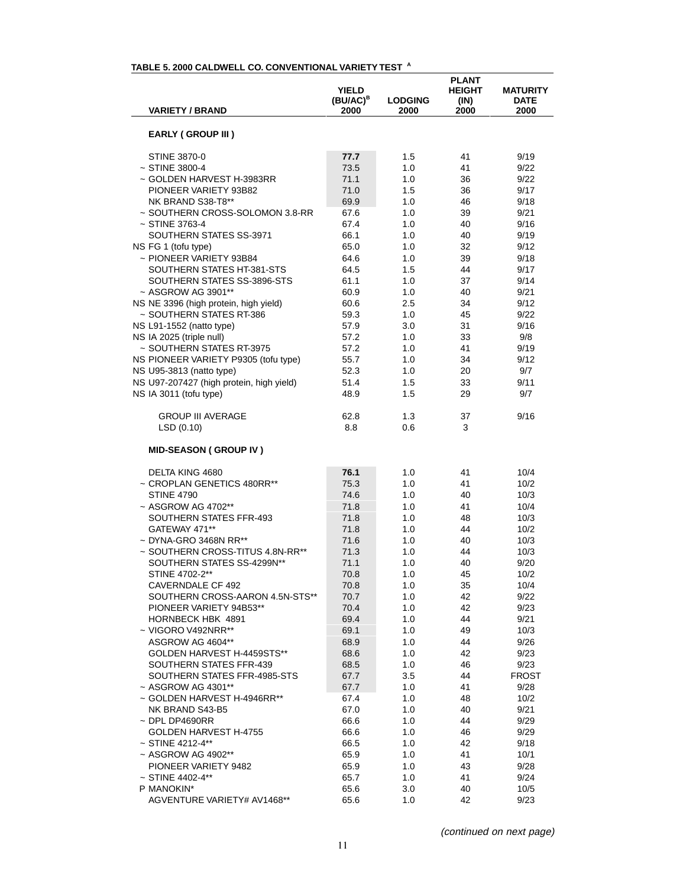| <b>VARIETY / BRAND</b>                                | <b>YIELD</b><br>$(BU/AC)^B$<br>2000 | <b>LODGING</b><br>2000 | <b>PLANT</b><br><b>HEIGHT</b><br>(IN)<br>2000 | <b>MATURITY</b><br><b>DATE</b><br>2000 |
|-------------------------------------------------------|-------------------------------------|------------------------|-----------------------------------------------|----------------------------------------|
| <b>EARLY (GROUP III)</b>                              |                                     |                        |                                               |                                        |
| <b>STINE 3870-0</b>                                   | 77.7                                | 1.5                    | 41                                            | 9/19                                   |
| $~\sim$ STINE 3800-4                                  | 73.5                                | 1.0                    | 41                                            | 9/22                                   |
| ~ GOLDEN HARVEST H-3983RR                             | 71.1                                | 1.0                    | 36                                            | 9/22                                   |
| PIONEER VARIETY 93B82                                 | 71.0                                | 1.5                    | 36                                            | 9/17                                   |
| NK BRAND S38-T8**                                     | 69.9                                | 1.0                    | 46                                            | 9/18                                   |
| ~ SOUTHERN CROSS-SOLOMON 3.8-RR                       | 67.6                                | 1.0                    | 39                                            | 9/21                                   |
| ~ STINE 3763-4                                        | 67.4                                | 1.0                    | 40                                            | 9/16                                   |
| SOUTHERN STATES SS-3971                               | 66.1                                | 1.0                    | 40                                            | 9/19                                   |
| NS FG 1 (tofu type)                                   | 65.0                                | 1.0                    | 32                                            | 9/12                                   |
| ~ PIONEER VARIETY 93B84                               | 64.6                                | 1.0                    | 39                                            | 9/18                                   |
| SOUTHERN STATES HT-381-STS                            | 64.5                                | 1.5                    | 44                                            | 9/17                                   |
| SOUTHERN STATES SS-3896-STS                           | 61.1                                | 1.0                    | 37                                            | 9/14                                   |
| ~ ASGROW AG 3901**                                    | 60.9                                | 1.0                    | 40                                            | 9/21                                   |
| NS NE 3396 (high protein, high yield)                 | 60.6                                | 2.5                    | 34                                            | 9/12                                   |
| ~ SOUTHERN STATES RT-386                              | 59.3                                | 1.0                    | 45                                            | 9/22<br>9/16                           |
| NS L91-1552 (natto type)                              | 57.9<br>57.2                        | 3.0                    | 31                                            |                                        |
| NS IA 2025 (triple null)<br>~ SOUTHERN STATES RT-3975 | 57.2                                | 1.0<br>1.0             | 33<br>41                                      | 9/8<br>9/19                            |
| NS PIONEER VARIETY P9305 (tofu type)                  | 55.7                                | 1.0                    | 34                                            | 9/12                                   |
| NS U95-3813 (natto type)                              | 52.3                                | 1.0                    | 20                                            | 9/7                                    |
| NS U97-207427 (high protein, high yield)              | 51.4                                | 1.5                    | 33                                            | 9/11                                   |
| NS IA 3011 (tofu type)                                | 48.9                                | 1.5                    | 29                                            | 9/7                                    |
| <b>GROUP III AVERAGE</b><br>LSD(0.10)                 | 62.8<br>8.8                         | 1.3<br>0.6             | 37<br>3                                       | 9/16                                   |
| <b>MID-SEASON (GROUP IV)</b>                          |                                     |                        |                                               |                                        |
| DELTA KING 4680                                       | 76.1                                | 1.0                    | 41                                            | 10/4                                   |
| ~ CROPLAN GENETICS 480RR**                            | 75.3                                | 1.0                    | 41                                            | 10/2                                   |
| <b>STINE 4790</b>                                     | 74.6                                | 1.0                    | 40                                            | 10/3                                   |
| ~ ASGROW AG 4702**                                    | 71.8                                | 1.0                    | 41                                            | 10/4                                   |
| SOUTHERN STATES FFR-493                               | 71.8                                | 1.0                    | 48                                            | 10/3                                   |
| GATEWAY 471**                                         | 71.8                                | 1.0                    | 44                                            | 10/2                                   |
| $\sim$ DYNA-GRO 3468N RR**                            | 71.6                                | 1.0                    | 40                                            | 10/3                                   |
| ~ SOUTHERN CROSS-TITUS 4.8N-RR**                      | 71.3                                | 1.0                    | 44                                            | 10/3                                   |
| SOUTHERN STATES SS-4299N**                            | 71.1                                | 1.0                    | 40                                            | 9/20                                   |
| STINE 4702-2**                                        | 70.8                                | 1.0                    | 45                                            | 10/2                                   |
| CAVERNDALE CF 492                                     | 70.8                                | 1.0                    | 35                                            | 10/4                                   |
| SOUTHERN CROSS-AARON 4.5N-STS**                       | 70.7                                | 1.0                    | 42                                            | 9/22                                   |
| PIONEER VARIETY 94B53**                               | 70.4                                | 1.0                    | 42                                            | 9/23                                   |
| HORNBECK HBK 4891                                     | 69.4                                | 1.0                    | 44                                            | 9/21                                   |
| $\sim$ VIGORO V492NRR**<br>ASGROW AG 4604**           | 69.1                                | 1.0                    | 49                                            | 10/3                                   |
| GOLDEN HARVEST H-4459STS**                            | 68.9<br>68.6                        | 1.0<br>1.0             | 44<br>42                                      | 9/26<br>9/23                           |
| SOUTHERN STATES FFR-439                               | 68.5                                | 1.0                    | 46                                            | 9/23                                   |
| SOUTHERN STATES FFR-4985-STS                          | 67.7                                | $3.5\,$                | 44                                            | <b>FROST</b>                           |
| ~ ASGROW AG 4301**                                    | 67.7                                | 1.0                    | 41                                            | 9/28                                   |
| ~ GOLDEN HARVEST H-4946RR**                           | 67.4                                | 1.0                    | 48                                            | 10/2                                   |
| NK BRAND S43-B5                                       | 67.0                                | 1.0                    | 40                                            | 9/21                                   |
| $\sim$ DPL DP4690RR                                   | 66.6                                | 1.0                    | 44                                            | 9/29                                   |
| GOLDEN HARVEST H-4755                                 | 66.6                                | 1.0                    | 46                                            | 9/29                                   |
| $~\sim$ STINE 4212-4**                                | 66.5                                | 1.0                    | 42                                            | 9/18                                   |
| ~ ASGROW AG 4902**                                    | 65.9                                | 1.0                    | 41                                            | 10/1                                   |
| PIONEER VARIETY 9482                                  | 65.9                                | 1.0                    | 43                                            | 9/28                                   |
| $~\sim$ STINE 4402-4**                                | 65.7                                | 1.0                    | 41                                            | 9/24                                   |
| P MANOKIN*                                            | 65.6                                | 3.0                    | 40                                            | 10/5                                   |
| AGVENTURE VARIETY# AV1468**                           | 65.6                                | 1.0                    | 42                                            | 9/23                                   |

### **TABLE 5. 2000 CALDWELL CO. CONVENTIONAL VARIETY TEST <sup>A</sup>**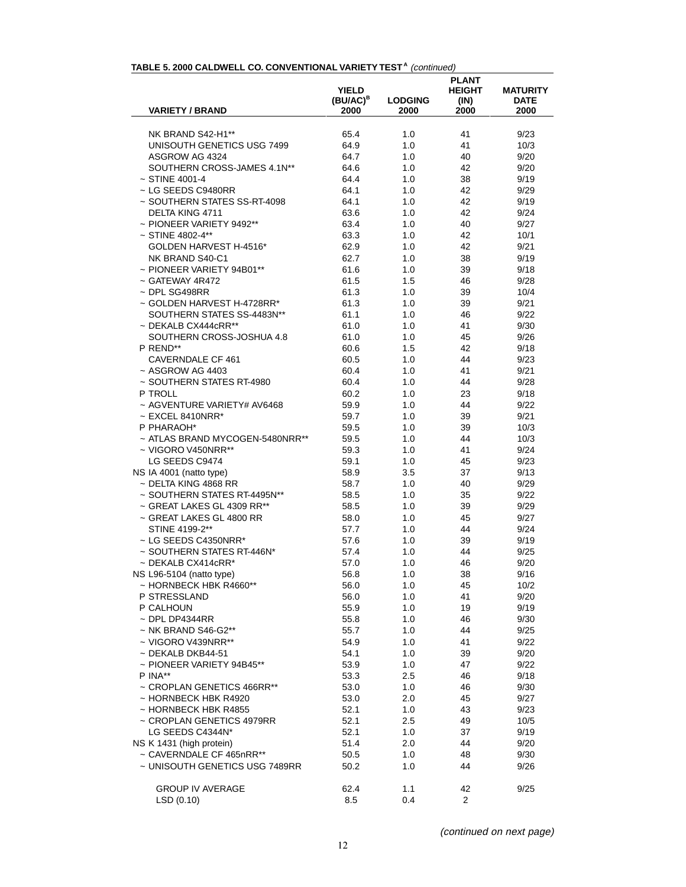#### TABLE 5. 2000 CALDWELL CO. CONVENTIONAL VARIETY TEST<sup>A</sup> (continued)

| <b>VARIETY / BRAND</b>                                | YIELD<br>$(BU/AC)^B$<br>2000 | <b>LODGING</b><br>2000 | <b>PLANT</b><br><b>HEIGHT</b><br>(IN)<br>2000 | <b>MATURITY</b><br><b>DATE</b><br>2000 |
|-------------------------------------------------------|------------------------------|------------------------|-----------------------------------------------|----------------------------------------|
|                                                       |                              |                        |                                               |                                        |
| NK BRAND S42-H1**                                     | 65.4                         | 1.0                    | 41                                            | 9/23                                   |
| UNISOUTH GENETICS USG 7499                            | 64.9                         | 1.0                    | 41                                            | 10/3                                   |
| ASGROW AG 4324                                        | 64.7                         | 1.0                    | 40                                            | 9/20                                   |
| SOUTHERN CROSS-JAMES 4.1N**                           | 64.6                         | 1.0                    | 42                                            | 9/20                                   |
| $\sim$ STINE 4001-4                                   | 64.4                         | 1.0                    | 38                                            | 9/19                                   |
| ~ LG SEEDS C9480RR                                    | 64.1                         | 1.0                    | 42                                            | 9/29                                   |
| ~ SOUTHERN STATES SS-RT-4098                          | 64.1                         | 1.0                    | 42                                            | 9/19                                   |
| DELTA KING 4711                                       | 63.6                         | 1.0                    | 42                                            | 9/24                                   |
| $\sim$ PIONEER VARIETY 9492**                         | 63.4                         | 1.0                    | 40                                            | 9/27                                   |
| ~ STINE 4802-4**                                      | 63.3                         | 1.0                    | 42                                            | 10/1                                   |
| GOLDEN HARVEST H-4516*                                | 62.9                         | 1.0                    | 42                                            | 9/21                                   |
| NK BRAND S40-C1                                       | 62.7                         | 1.0                    | 38                                            | 9/19                                   |
| ~ PIONEER VARIETY 94B01**                             | 61.6                         | 1.0                    | 39                                            | 9/18                                   |
| $\sim$ GATEWAY 4R472                                  | 61.5                         | 1.5                    | 46                                            | 9/28                                   |
| $\sim$ DPL SG498RR                                    | 61.3                         | 1.0                    | 39                                            | 10/4                                   |
| ~ GOLDEN HARVEST H-4728RR*                            | 61.3                         | 1.0                    | 39                                            | 9/21                                   |
| SOUTHERN STATES SS-4483N**                            | 61.1                         | 1.0                    | 46                                            | 9/22                                   |
| $\sim$ DEKALB CX444cRR**<br>SOUTHERN CROSS-JOSHUA 4.8 | 61.0<br>61.0                 | 1.0<br>1.0             | 41<br>45                                      | 9/30<br>9/26                           |
| P REND**                                              | 60.6                         | 1.5                    | 42                                            | 9/18                                   |
| <b>CAVERNDALE CF 461</b>                              | 60.5                         | 1.0                    | 44                                            | 9/23                                   |
| $~\sim$ ASGROW AG 4403                                | 60.4                         | 1.0                    | 41                                            | 9/21                                   |
| ~ SOUTHERN STATES RT-4980                             | 60.4                         | 1.0                    | 44                                            | 9/28                                   |
| P TROLL                                               | 60.2                         | 1.0                    | 23                                            | 9/18                                   |
| ~ AGVENTURE VARIETY# AV6468                           | 59.9                         | 1.0                    | 44                                            | 9/22                                   |
| $\sim$ EXCEL 8410NRR*                                 | 59.7                         | 1.0                    | 39                                            | 9/21                                   |
| P PHARAOH*                                            | 59.5                         | 1.0                    | 39                                            | 10/3                                   |
| ~ ATLAS BRAND MYCOGEN-5480NRR**                       | 59.5                         | 1.0                    | 44                                            | 10/3                                   |
| ~ VIGORO V450NRR**                                    | 59.3                         | 1.0                    | 41                                            | 9/24                                   |
| LG SEEDS C9474                                        | 59.1                         | 1.0                    | 45                                            | 9/23                                   |
| NS IA 4001 (natto type)                               | 58.9                         | 3.5                    | 37                                            | 9/13                                   |
| $\sim$ DELTA KING 4868 RR                             | 58.7                         | 1.0                    | 40                                            | 9/29                                   |
| ~ SOUTHERN STATES RT-4495N**                          | 58.5                         | 1.0                    | 35                                            | 9/22                                   |
| ~ GREAT LAKES GL 4309 RR**                            | 58.5                         | 1.0                    | 39                                            | 9/29                                   |
| ~ GREAT LAKES GL 4800 RR                              | 58.0                         | 1.0                    | 45                                            | 9/27                                   |
| STINE 4199-2**                                        | 57.7                         | 1.0                    | 44                                            | 9/24                                   |
| $\sim$ LG SEEDS C4350NRR*                             | 57.6                         | 1.0                    | 39                                            | 9/19                                   |
| ~ SOUTHERN STATES RT-446N*                            | 57.4                         | 1.0                    | 44                                            | 9/25                                   |
| $~\sim$ DEKALB CX414cRR*                              | 57.0                         | 1.0                    | 46                                            | 9/20                                   |
| NS L96-5104 (natto type)                              | 56.8                         | 1.0                    | 38                                            | 9/16                                   |
| $\sim$ HORNBECK HBK R4660**                           | 56.0                         | 1.0                    | 45                                            | 10/2                                   |
| P STRESSLAND                                          | 56.0                         | 1.0                    | 41                                            | 9/20                                   |
| P CALHOUN<br>$\sim$ DPL DP4344RR                      | 55.9<br>55.8                 | 1.0<br>1.0             | 19<br>46                                      | 9/19<br>9/30                           |
| ~ NK BRAND S46-G2**                                   | 55.7                         | 1.0                    | 44                                            | 9/25                                   |
| $\sim$ VIGORO V439NRR**                               | 54.9                         | 1.0                    | 41                                            | 9/22                                   |
| $\sim$ DEKALB DKB44-51                                | 54.1                         | 1.0                    | 39                                            | 9/20                                   |
| ~ PIONEER VARIETY 94B45**                             | 53.9                         | 1.0                    | 47                                            | 9/22                                   |
| P INA**                                               | 53.3                         | 2.5                    | 46                                            | 9/18                                   |
| ~ CROPLAN GENETICS 466RR**                            | 53.0                         | 1.0                    | 46                                            | 9/30                                   |
| ~ HORNBECK HBK R4920                                  | 53.0                         | 2.0                    | 45                                            | 9/27                                   |
| ~ HORNBECK HBK R4855                                  | 52.1                         | 1.0                    | 43                                            | 9/23                                   |
| ~ CROPLAN GENETICS 4979RR                             | 52.1                         | 2.5                    | 49                                            | 10/5                                   |
| LG SEEDS C4344N*                                      | 52.1                         | 1.0                    | 37                                            | 9/19                                   |
| NS K 1431 (high protein)                              | 51.4                         | 2.0                    | 44                                            | 9/20                                   |
| ~ CAVERNDALE CF 465nRR**                              | 50.5                         | 1.0                    | 48                                            | 9/30                                   |
| ~ UNISOUTH GENETICS USG 7489RR                        | 50.2                         | 1.0                    | 44                                            | 9/26                                   |
| <b>GROUP IV AVERAGE</b>                               | 62.4                         | 1.1                    | 42                                            | 9/25                                   |
| LSD (0.10)                                            | 8.5                          | 0.4                    | $\overline{2}$                                |                                        |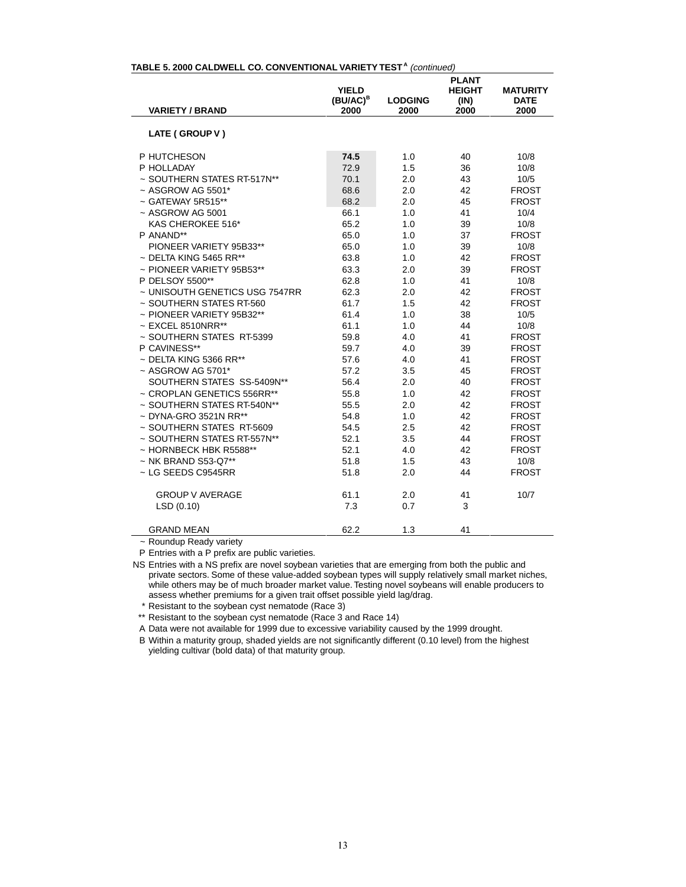| <b>VARIETY / BRAND</b>         | <b>YIELD</b><br>(BU/AC) <sup>B</sup><br>2000 | <b>LODGING</b><br>2000 | <b>PLANT</b><br><b>HEIGHT</b><br>(IN)<br>2000 | <b>MATURITY</b><br><b>DATE</b><br>2000 |
|--------------------------------|----------------------------------------------|------------------------|-----------------------------------------------|----------------------------------------|
|                                |                                              |                        |                                               |                                        |
| LATE (GROUP V)                 |                                              |                        |                                               |                                        |
| P HUTCHESON                    | 74.5                                         | 1.0                    | 40                                            | 10/8                                   |
| P HOLLADAY                     | 72.9                                         | 1.5                    | 36                                            | 10/8                                   |
| ~ SOUTHERN STATES RT-517N**    | 70.1                                         | 2.0                    | 43                                            | 10/5                                   |
| $~\sim$ ASGROW AG 5501*        | 68.6                                         | 2.0                    | 42                                            | <b>FROST</b>                           |
| $\sim$ GATEWAY 5R515**         | 68.2                                         | 2.0                    | 45                                            | <b>FROST</b>                           |
| ~ ASGROW AG 5001               | 66.1                                         | 1.0                    | 41                                            | 10/4                                   |
| KAS CHEROKEE 516*              | 65.2                                         | 1.0                    | 39                                            | 10/8                                   |
| P ANAND**                      | 65.0                                         | 1.0                    | 37                                            | <b>FROST</b>                           |
| PIONEER VARIETY 95B33**        | 65.0                                         | 1.0                    | 39                                            | 10/8                                   |
| $\sim$ DELTA KING 5465 RR**    | 63.8                                         | 1.0                    | 42                                            | <b>FROST</b>                           |
| ~ PIONEER VARIETY 95B53**      | 63.3                                         | 2.0                    | 39                                            | <b>FROST</b>                           |
| P DELSOY 5500**                | 62.8                                         | 1.0                    | 41                                            | 10/8                                   |
| ~ UNISOUTH GENETICS USG 7547RR | 62.3                                         | 2.0                    | 42                                            | <b>FROST</b>                           |
| ~ SOUTHERN STATES RT-560       | 61.7                                         | 1.5                    | 42                                            | <b>FROST</b>                           |
| $\sim$ PIONEER VARIETY 95B32** | 61.4                                         | 1.0                    | 38                                            | 10/5                                   |
| $\sim$ EXCEL 8510NRR**         | 61.1                                         | 1.0                    | 44                                            | 10/8                                   |
| ~ SOUTHERN STATES RT-5399      | 59.8                                         | 4.0                    | 41                                            | <b>FROST</b>                           |
| P CAVINESS**                   | 59.7                                         | 4.0                    | 39                                            | <b>FROST</b>                           |
| $\sim$ DELTA KING 5366 RR**    | 57.6                                         | 4.0                    | 41                                            | <b>FROST</b>                           |
| $~\sim$ ASGROW AG 5701*        | 57.2                                         | 3.5                    | 45                                            | <b>FROST</b>                           |
| SOUTHERN STATES SS-5409N**     | 56.4                                         | 2.0                    | 40                                            | <b>FROST</b>                           |
| ~ CROPLAN GENETICS 556RR**     | 55.8                                         | 1.0                    | 42                                            | <b>FROST</b>                           |
| ~ SOUTHERN STATES RT-540N**    | 55.5                                         | 2.0                    | 42                                            | <b>FROST</b>                           |
| $\sim$ DYNA-GRO 3521N RR**     | 54.8                                         | 1.0                    | 42                                            | <b>FROST</b>                           |
| ~ SOUTHERN STATES RT-5609      | 54.5                                         | 2.5                    | 42                                            | <b>FROST</b>                           |
| ~ SOUTHERN STATES RT-557N**    | 52.1                                         | 3.5                    | 44                                            | <b>FROST</b>                           |
| ~ HORNBECK HBK R5588**         | 52.1                                         | 4.0                    | 42                                            | <b>FROST</b>                           |
| $~\sim$ NK BRAND S53-Q7**      | 51.8                                         | 1.5                    | 43                                            | 10/8                                   |
| ~ LG SEEDS C9545RR             | 51.8                                         | 2.0                    | 44                                            | <b>FROST</b>                           |
| <b>GROUP V AVERAGE</b>         | 61.1                                         | 2.0                    | 41                                            | 10/7                                   |
| LSD (0.10)                     | 7.3                                          | 0.7                    | 3                                             |                                        |
| <b>GRAND MEAN</b>              | 62.2                                         | 1.3                    | 41                                            |                                        |

#### TABLE 5. 2000 CALDWELL CO. CONVENTIONAL VARIETY TEST<sup>A</sup> (continued)

~ Roundup Ready variety

P Entries with a P prefix are public varieties.

NS Entries with a NS prefix are novel soybean varieties that are emerging from both the public and private sectors. Some of these value-added soybean types will supply relatively small market niches, while others may be of much broader market value. Testing novel soybeans will enable producers to assess whether premiums for a given trait offset possible yield lag/drag.

\* Resistant to the soybean cyst nematode (Race 3)

\*\* Resistant to the soybean cyst nematode (Race 3 and Race 14)

A Data were not available for 1999 due to excessive variability caused by the 1999 drought.

B Within a maturity group, shaded yields are not significantly different (0.10 level) from the highest yielding cultivar (bold data) of that maturity group.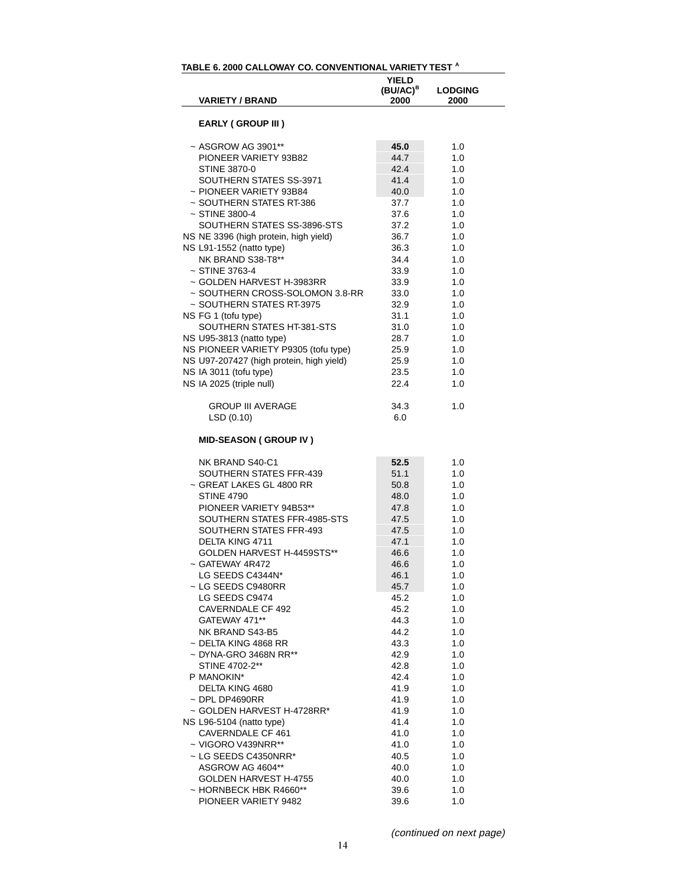|                                          | <b>YIELD</b><br>(BU/AC) <sup>B</sup> | <b>LODGING</b> |
|------------------------------------------|--------------------------------------|----------------|
| <b>VARIETY / BRAND</b>                   | 2000                                 | 2000           |
| <b>EARLY (GROUP III)</b>                 |                                      |                |
| ~ ASGROW AG 3901**                       | 45.0                                 | 1.0            |
| PIONEER VARIETY 93B82                    | 44.7                                 | 1.0            |
| <b>STINE 3870-0</b>                      | 42.4                                 | 1.0            |
| SOUTHERN STATES SS-3971                  | 41.4                                 | 1.0            |
| ~ PIONEER VARIETY 93B84                  | 40.0                                 | 1.0            |
| ~ SOUTHERN STATES RT-386                 | 37.7                                 | 1.0            |
| $~\sim$ STINE 3800-4                     | 37.6                                 | 1.0            |
| SOUTHERN STATES SS-3896-STS              |                                      |                |
|                                          | 37.2                                 | 1.0<br>1.0     |
| NS NE 3396 (high protein, high yield)    | 36.7                                 |                |
| NS L91-1552 (natto type)                 | 36.3                                 | 1.0            |
| NK BRAND S38-T8**                        | 34.4                                 | 1.0            |
| $~\sim$ STINE 3763-4                     | 33.9                                 | 1.0            |
| ~ GOLDEN HARVEST H-3983RR                | 33.9                                 | 1.0            |
| ~ SOUTHERN CROSS-SOLOMON 3.8-RR          | 33.0                                 | 1.0            |
| ~ SOUTHERN STATES RT-3975                | 32.9                                 | 1.0            |
| NS FG 1 (tofu type)                      | 31.1                                 | 1.0            |
| SOUTHERN STATES HT-381-STS               | 31.0                                 | 1.0            |
| NS U95-3813 (natto type)                 | 28.7                                 | 1.0            |
| NS PIONEER VARIETY P9305 (tofu type)     | 25.9                                 | 1.0            |
| NS U97-207427 (high protein, high yield) | 25.9                                 | 1.0            |
| NS IA 3011 (tofu type)                   | 23.5                                 | 1.0            |
| NS IA 2025 (triple null)                 | 22.4                                 | 1.0            |
| <b>GROUP III AVERAGE</b>                 | 34.3                                 | 1.0            |
| LSD (0.10)                               | 6.0                                  |                |
| <b>MID-SEASON (GROUP IV)</b>             |                                      |                |
| NK BRAND S40-C1                          | 52.5                                 | 1.0            |
| SOUTHERN STATES FFR-439                  | 51.1                                 | 1.0            |
| ~ GREAT LAKES GL 4800 RR                 | 50.8                                 | 1.0            |
| <b>STINE 4790</b>                        | 48.0                                 | 1.0            |
| PIONEER VARIETY 94B53**                  | 47.8                                 | 1.0            |
| SOUTHERN STATES FFR-4985-STS             | 47.5                                 | 1.0            |
| SOUTHERN STATES FFR-493                  | 47.5                                 | 1.0            |
| DELTA KING 4711                          | 47.1                                 | 1.0            |
| GOLDEN HARVEST H-4459STS**               | 46.6                                 | 1.0            |
| ~ GATEWAY 4R472                          | 46.6                                 | 1.0            |
| LG SEEDS C4344N*                         | 46.1                                 | 1.0            |
| ~ LG SEEDS C9480RR                       | 45.7                                 | 1.0            |
| LG SEEDS C9474                           | 45.2                                 | 1.0            |
| <b>CAVERNDALE CF 492</b>                 | 45.2                                 | 1.0            |
| GATEWAY 471**                            | 44.3                                 | 1.0            |
| NK BRAND S43-B5                          | 44.2                                 | 1.0            |
| ~ DELTA KING 4868 RR                     | 43.3                                 | 1.0            |
| ~ DYNA-GRO 3468N RR**                    | 42.9                                 | 1.0            |
| STINE 4702-2**                           | 42.8                                 | 1.0            |
| P MANOKIN*                               | 42.4                                 | 1.0            |
|                                          |                                      |                |
| DELTA KING 4680                          | 41.9                                 | 1.0            |
| $\sim$ DPL DP4690RR                      | 41.9                                 | 1.0            |
| ~ GOLDEN HARVEST H-4728RR*               | 41.9                                 | 1.0            |
| NS L96-5104 (natto type)                 | 41.4                                 | 1.0            |
| CAVERNDALE CF 461                        | 41.0                                 | 1.0            |
| $\sim$ VIGORO V439NRR**                  | 41.0                                 | 1.0            |
| ~ LG SEEDS C4350NRR*                     | 40.5                                 | 1.0            |
| ASGROW AG 4604**                         | 40.0                                 | 1.0            |
| GOLDEN HARVEST H-4755                    | 40.0                                 | 1.0            |
| ~ HORNBECK HBK R4660**                   | 39.6                                 | 1.0            |
| PIONEER VARIETY 9482                     | 39.6                                 | 1.0            |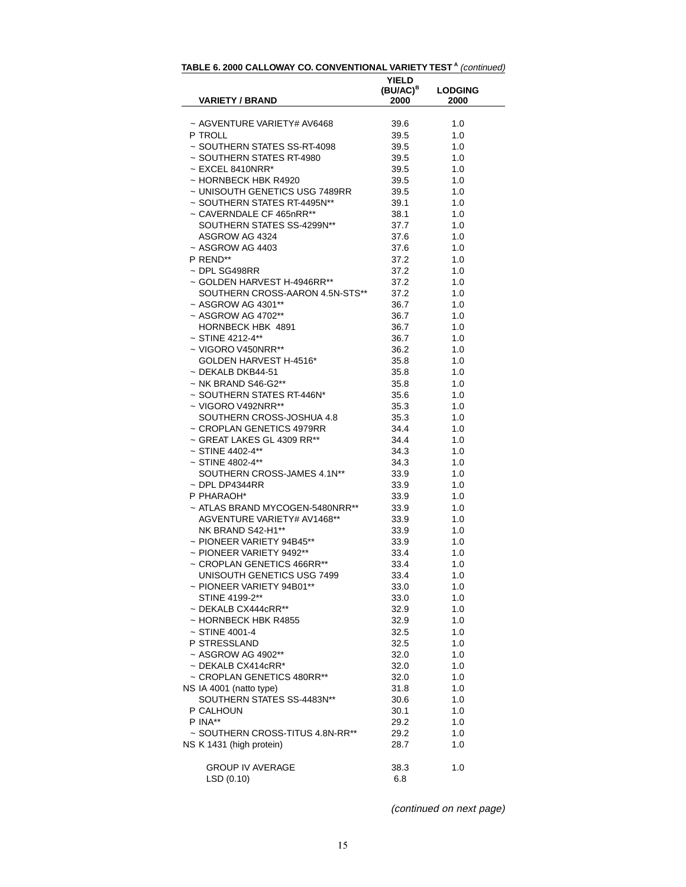| ~ AGVENTURE VARIETY# AV6468<br>39.6<br>1.0<br>P TROLL<br>39.5<br>1.0<br>~ SOUTHERN STATES SS-RT-4098<br>1.0<br>39.5<br>~ SOUTHERN STATES RT-4980<br>39.5<br>1.0<br>$\sim$ EXCEL 8410NRR*<br>39.5<br>1.0<br>~ HORNBECK HBK R4920<br>39.5<br>1.0<br>~ UNISOUTH GENETICS USG 7489RR<br>39.5<br>1.0<br>~ SOUTHERN STATES RT-4495N**<br>1.0<br>39.1<br>~ CAVERNDALE CF 465nRR**<br>1.0<br>38.1<br>SOUTHERN STATES SS-4299N**<br>37.7<br>1.0<br>ASGROW AG 4324<br>1.0<br>37.6<br>$~\sim$ ASGROW AG 4403<br>37.6<br>1.0<br>P REND**<br>37.2<br>1.0<br>~ DPL SG498RR<br>37.2<br>1.0<br>~ GOLDEN HARVEST H-4946RR**<br>1.0<br>37.2<br>SOUTHERN CROSS-AARON 4.5N-STS**<br>1.0<br>37.2<br>~ ASGROW AG 4301**<br>36.7<br>1.0<br>$~\sim$ ASGROW AG 4702**<br>36.7<br>1.0<br>HORNBECK HBK 4891<br>1.0<br>36.7<br>$~\sim$ STINE 4212-4**<br>1.0<br>36.7<br>$\sim$ VIGORO V450NRR**<br>36.2<br>1.0<br>GOLDEN HARVEST H-4516*<br>1.0<br>35.8<br>$~\sim$ DEKALB DKB44-51<br>1.0<br>35.8<br>$~\sim$ NK BRAND S46-G2**<br>35.8<br>1.0<br>~ SOUTHERN STATES RT-446N*<br>1.0<br>35.6<br>~ VIGORO V492NRR**<br>35.3<br>1.0<br>SOUTHERN CROSS-JOSHUA 4.8<br>35.3<br>1.0<br>~ CROPLAN GENETICS 4979RR<br>34.4<br>1.0<br>~ GREAT LAKES GL 4309 RR**<br>34.4<br>1.0<br>$~\sim$ STINE 4402-4**<br>34.3<br>1.0<br>$~\sim$ STINE 4802-4**<br>34.3<br>1.0<br>SOUTHERN CROSS-JAMES 4.1N**<br>33.9<br>1.0<br>$\sim$ DPL DP4344RR<br>33.9<br>1.0<br>P PHARAOH*<br>1.0<br>33.9<br>~ ATLAS BRAND MYCOGEN-5480NRR**<br>33.9<br>1.0<br>AGVENTURE VARIETY# AV1468**<br>1.0<br>33.9<br>NK BRAND S42-H1**<br>33.9<br>1.0<br>~ PIONEER VARIETY 94B45**<br>1.0<br>33.9<br>~ PIONEER VARIETY 9492**<br>33.4<br>1.0<br>~ CROPLAN GENETICS 466RR**<br>1.0<br>33.4<br>UNISOUTH GENETICS USG 7499<br>33.4<br>1.0<br>~ PIONEER VARIETY 94B01**<br>33.0<br>1.0<br>STINE 4199-2**<br>33.0<br>1.0<br>$\sim$ DEKALB CX444cRR**<br>32.9<br>1.0 | <b>LODGING</b> |
|------------------------------------------------------------------------------------------------------------------------------------------------------------------------------------------------------------------------------------------------------------------------------------------------------------------------------------------------------------------------------------------------------------------------------------------------------------------------------------------------------------------------------------------------------------------------------------------------------------------------------------------------------------------------------------------------------------------------------------------------------------------------------------------------------------------------------------------------------------------------------------------------------------------------------------------------------------------------------------------------------------------------------------------------------------------------------------------------------------------------------------------------------------------------------------------------------------------------------------------------------------------------------------------------------------------------------------------------------------------------------------------------------------------------------------------------------------------------------------------------------------------------------------------------------------------------------------------------------------------------------------------------------------------------------------------------------------------------------------------------------------------------------------------------------------------------------------------------------------------------------------------|----------------|
|                                                                                                                                                                                                                                                                                                                                                                                                                                                                                                                                                                                                                                                                                                                                                                                                                                                                                                                                                                                                                                                                                                                                                                                                                                                                                                                                                                                                                                                                                                                                                                                                                                                                                                                                                                                                                                                                                          |                |
|                                                                                                                                                                                                                                                                                                                                                                                                                                                                                                                                                                                                                                                                                                                                                                                                                                                                                                                                                                                                                                                                                                                                                                                                                                                                                                                                                                                                                                                                                                                                                                                                                                                                                                                                                                                                                                                                                          |                |
|                                                                                                                                                                                                                                                                                                                                                                                                                                                                                                                                                                                                                                                                                                                                                                                                                                                                                                                                                                                                                                                                                                                                                                                                                                                                                                                                                                                                                                                                                                                                                                                                                                                                                                                                                                                                                                                                                          |                |
|                                                                                                                                                                                                                                                                                                                                                                                                                                                                                                                                                                                                                                                                                                                                                                                                                                                                                                                                                                                                                                                                                                                                                                                                                                                                                                                                                                                                                                                                                                                                                                                                                                                                                                                                                                                                                                                                                          |                |
|                                                                                                                                                                                                                                                                                                                                                                                                                                                                                                                                                                                                                                                                                                                                                                                                                                                                                                                                                                                                                                                                                                                                                                                                                                                                                                                                                                                                                                                                                                                                                                                                                                                                                                                                                                                                                                                                                          |                |
|                                                                                                                                                                                                                                                                                                                                                                                                                                                                                                                                                                                                                                                                                                                                                                                                                                                                                                                                                                                                                                                                                                                                                                                                                                                                                                                                                                                                                                                                                                                                                                                                                                                                                                                                                                                                                                                                                          |                |
|                                                                                                                                                                                                                                                                                                                                                                                                                                                                                                                                                                                                                                                                                                                                                                                                                                                                                                                                                                                                                                                                                                                                                                                                                                                                                                                                                                                                                                                                                                                                                                                                                                                                                                                                                                                                                                                                                          |                |
|                                                                                                                                                                                                                                                                                                                                                                                                                                                                                                                                                                                                                                                                                                                                                                                                                                                                                                                                                                                                                                                                                                                                                                                                                                                                                                                                                                                                                                                                                                                                                                                                                                                                                                                                                                                                                                                                                          |                |
|                                                                                                                                                                                                                                                                                                                                                                                                                                                                                                                                                                                                                                                                                                                                                                                                                                                                                                                                                                                                                                                                                                                                                                                                                                                                                                                                                                                                                                                                                                                                                                                                                                                                                                                                                                                                                                                                                          |                |
|                                                                                                                                                                                                                                                                                                                                                                                                                                                                                                                                                                                                                                                                                                                                                                                                                                                                                                                                                                                                                                                                                                                                                                                                                                                                                                                                                                                                                                                                                                                                                                                                                                                                                                                                                                                                                                                                                          |                |
|                                                                                                                                                                                                                                                                                                                                                                                                                                                                                                                                                                                                                                                                                                                                                                                                                                                                                                                                                                                                                                                                                                                                                                                                                                                                                                                                                                                                                                                                                                                                                                                                                                                                                                                                                                                                                                                                                          |                |
|                                                                                                                                                                                                                                                                                                                                                                                                                                                                                                                                                                                                                                                                                                                                                                                                                                                                                                                                                                                                                                                                                                                                                                                                                                                                                                                                                                                                                                                                                                                                                                                                                                                                                                                                                                                                                                                                                          |                |
|                                                                                                                                                                                                                                                                                                                                                                                                                                                                                                                                                                                                                                                                                                                                                                                                                                                                                                                                                                                                                                                                                                                                                                                                                                                                                                                                                                                                                                                                                                                                                                                                                                                                                                                                                                                                                                                                                          |                |
|                                                                                                                                                                                                                                                                                                                                                                                                                                                                                                                                                                                                                                                                                                                                                                                                                                                                                                                                                                                                                                                                                                                                                                                                                                                                                                                                                                                                                                                                                                                                                                                                                                                                                                                                                                                                                                                                                          |                |
|                                                                                                                                                                                                                                                                                                                                                                                                                                                                                                                                                                                                                                                                                                                                                                                                                                                                                                                                                                                                                                                                                                                                                                                                                                                                                                                                                                                                                                                                                                                                                                                                                                                                                                                                                                                                                                                                                          |                |
|                                                                                                                                                                                                                                                                                                                                                                                                                                                                                                                                                                                                                                                                                                                                                                                                                                                                                                                                                                                                                                                                                                                                                                                                                                                                                                                                                                                                                                                                                                                                                                                                                                                                                                                                                                                                                                                                                          |                |
|                                                                                                                                                                                                                                                                                                                                                                                                                                                                                                                                                                                                                                                                                                                                                                                                                                                                                                                                                                                                                                                                                                                                                                                                                                                                                                                                                                                                                                                                                                                                                                                                                                                                                                                                                                                                                                                                                          |                |
|                                                                                                                                                                                                                                                                                                                                                                                                                                                                                                                                                                                                                                                                                                                                                                                                                                                                                                                                                                                                                                                                                                                                                                                                                                                                                                                                                                                                                                                                                                                                                                                                                                                                                                                                                                                                                                                                                          |                |
|                                                                                                                                                                                                                                                                                                                                                                                                                                                                                                                                                                                                                                                                                                                                                                                                                                                                                                                                                                                                                                                                                                                                                                                                                                                                                                                                                                                                                                                                                                                                                                                                                                                                                                                                                                                                                                                                                          |                |
|                                                                                                                                                                                                                                                                                                                                                                                                                                                                                                                                                                                                                                                                                                                                                                                                                                                                                                                                                                                                                                                                                                                                                                                                                                                                                                                                                                                                                                                                                                                                                                                                                                                                                                                                                                                                                                                                                          |                |
|                                                                                                                                                                                                                                                                                                                                                                                                                                                                                                                                                                                                                                                                                                                                                                                                                                                                                                                                                                                                                                                                                                                                                                                                                                                                                                                                                                                                                                                                                                                                                                                                                                                                                                                                                                                                                                                                                          |                |
|                                                                                                                                                                                                                                                                                                                                                                                                                                                                                                                                                                                                                                                                                                                                                                                                                                                                                                                                                                                                                                                                                                                                                                                                                                                                                                                                                                                                                                                                                                                                                                                                                                                                                                                                                                                                                                                                                          |                |
|                                                                                                                                                                                                                                                                                                                                                                                                                                                                                                                                                                                                                                                                                                                                                                                                                                                                                                                                                                                                                                                                                                                                                                                                                                                                                                                                                                                                                                                                                                                                                                                                                                                                                                                                                                                                                                                                                          |                |
|                                                                                                                                                                                                                                                                                                                                                                                                                                                                                                                                                                                                                                                                                                                                                                                                                                                                                                                                                                                                                                                                                                                                                                                                                                                                                                                                                                                                                                                                                                                                                                                                                                                                                                                                                                                                                                                                                          |                |
|                                                                                                                                                                                                                                                                                                                                                                                                                                                                                                                                                                                                                                                                                                                                                                                                                                                                                                                                                                                                                                                                                                                                                                                                                                                                                                                                                                                                                                                                                                                                                                                                                                                                                                                                                                                                                                                                                          |                |
|                                                                                                                                                                                                                                                                                                                                                                                                                                                                                                                                                                                                                                                                                                                                                                                                                                                                                                                                                                                                                                                                                                                                                                                                                                                                                                                                                                                                                                                                                                                                                                                                                                                                                                                                                                                                                                                                                          |                |
|                                                                                                                                                                                                                                                                                                                                                                                                                                                                                                                                                                                                                                                                                                                                                                                                                                                                                                                                                                                                                                                                                                                                                                                                                                                                                                                                                                                                                                                                                                                                                                                                                                                                                                                                                                                                                                                                                          |                |
|                                                                                                                                                                                                                                                                                                                                                                                                                                                                                                                                                                                                                                                                                                                                                                                                                                                                                                                                                                                                                                                                                                                                                                                                                                                                                                                                                                                                                                                                                                                                                                                                                                                                                                                                                                                                                                                                                          |                |
|                                                                                                                                                                                                                                                                                                                                                                                                                                                                                                                                                                                                                                                                                                                                                                                                                                                                                                                                                                                                                                                                                                                                                                                                                                                                                                                                                                                                                                                                                                                                                                                                                                                                                                                                                                                                                                                                                          |                |
|                                                                                                                                                                                                                                                                                                                                                                                                                                                                                                                                                                                                                                                                                                                                                                                                                                                                                                                                                                                                                                                                                                                                                                                                                                                                                                                                                                                                                                                                                                                                                                                                                                                                                                                                                                                                                                                                                          |                |
|                                                                                                                                                                                                                                                                                                                                                                                                                                                                                                                                                                                                                                                                                                                                                                                                                                                                                                                                                                                                                                                                                                                                                                                                                                                                                                                                                                                                                                                                                                                                                                                                                                                                                                                                                                                                                                                                                          |                |
|                                                                                                                                                                                                                                                                                                                                                                                                                                                                                                                                                                                                                                                                                                                                                                                                                                                                                                                                                                                                                                                                                                                                                                                                                                                                                                                                                                                                                                                                                                                                                                                                                                                                                                                                                                                                                                                                                          |                |
|                                                                                                                                                                                                                                                                                                                                                                                                                                                                                                                                                                                                                                                                                                                                                                                                                                                                                                                                                                                                                                                                                                                                                                                                                                                                                                                                                                                                                                                                                                                                                                                                                                                                                                                                                                                                                                                                                          |                |
|                                                                                                                                                                                                                                                                                                                                                                                                                                                                                                                                                                                                                                                                                                                                                                                                                                                                                                                                                                                                                                                                                                                                                                                                                                                                                                                                                                                                                                                                                                                                                                                                                                                                                                                                                                                                                                                                                          |                |
|                                                                                                                                                                                                                                                                                                                                                                                                                                                                                                                                                                                                                                                                                                                                                                                                                                                                                                                                                                                                                                                                                                                                                                                                                                                                                                                                                                                                                                                                                                                                                                                                                                                                                                                                                                                                                                                                                          |                |
|                                                                                                                                                                                                                                                                                                                                                                                                                                                                                                                                                                                                                                                                                                                                                                                                                                                                                                                                                                                                                                                                                                                                                                                                                                                                                                                                                                                                                                                                                                                                                                                                                                                                                                                                                                                                                                                                                          |                |
|                                                                                                                                                                                                                                                                                                                                                                                                                                                                                                                                                                                                                                                                                                                                                                                                                                                                                                                                                                                                                                                                                                                                                                                                                                                                                                                                                                                                                                                                                                                                                                                                                                                                                                                                                                                                                                                                                          |                |
|                                                                                                                                                                                                                                                                                                                                                                                                                                                                                                                                                                                                                                                                                                                                                                                                                                                                                                                                                                                                                                                                                                                                                                                                                                                                                                                                                                                                                                                                                                                                                                                                                                                                                                                                                                                                                                                                                          |                |
|                                                                                                                                                                                                                                                                                                                                                                                                                                                                                                                                                                                                                                                                                                                                                                                                                                                                                                                                                                                                                                                                                                                                                                                                                                                                                                                                                                                                                                                                                                                                                                                                                                                                                                                                                                                                                                                                                          |                |
|                                                                                                                                                                                                                                                                                                                                                                                                                                                                                                                                                                                                                                                                                                                                                                                                                                                                                                                                                                                                                                                                                                                                                                                                                                                                                                                                                                                                                                                                                                                                                                                                                                                                                                                                                                                                                                                                                          |                |
|                                                                                                                                                                                                                                                                                                                                                                                                                                                                                                                                                                                                                                                                                                                                                                                                                                                                                                                                                                                                                                                                                                                                                                                                                                                                                                                                                                                                                                                                                                                                                                                                                                                                                                                                                                                                                                                                                          |                |
|                                                                                                                                                                                                                                                                                                                                                                                                                                                                                                                                                                                                                                                                                                                                                                                                                                                                                                                                                                                                                                                                                                                                                                                                                                                                                                                                                                                                                                                                                                                                                                                                                                                                                                                                                                                                                                                                                          |                |
|                                                                                                                                                                                                                                                                                                                                                                                                                                                                                                                                                                                                                                                                                                                                                                                                                                                                                                                                                                                                                                                                                                                                                                                                                                                                                                                                                                                                                                                                                                                                                                                                                                                                                                                                                                                                                                                                                          |                |
|                                                                                                                                                                                                                                                                                                                                                                                                                                                                                                                                                                                                                                                                                                                                                                                                                                                                                                                                                                                                                                                                                                                                                                                                                                                                                                                                                                                                                                                                                                                                                                                                                                                                                                                                                                                                                                                                                          |                |
|                                                                                                                                                                                                                                                                                                                                                                                                                                                                                                                                                                                                                                                                                                                                                                                                                                                                                                                                                                                                                                                                                                                                                                                                                                                                                                                                                                                                                                                                                                                                                                                                                                                                                                                                                                                                                                                                                          |                |
| ~ HORNBECK HBK R4855<br>32.9<br>1.0                                                                                                                                                                                                                                                                                                                                                                                                                                                                                                                                                                                                                                                                                                                                                                                                                                                                                                                                                                                                                                                                                                                                                                                                                                                                                                                                                                                                                                                                                                                                                                                                                                                                                                                                                                                                                                                      |                |
| $~\sim$ STINE 4001-4<br>32.5<br>1.0                                                                                                                                                                                                                                                                                                                                                                                                                                                                                                                                                                                                                                                                                                                                                                                                                                                                                                                                                                                                                                                                                                                                                                                                                                                                                                                                                                                                                                                                                                                                                                                                                                                                                                                                                                                                                                                      |                |
| P STRESSLAND<br>1.0<br>32.5                                                                                                                                                                                                                                                                                                                                                                                                                                                                                                                                                                                                                                                                                                                                                                                                                                                                                                                                                                                                                                                                                                                                                                                                                                                                                                                                                                                                                                                                                                                                                                                                                                                                                                                                                                                                                                                              |                |
| ~ ASGROW AG 4902**<br>1.0<br>32.0                                                                                                                                                                                                                                                                                                                                                                                                                                                                                                                                                                                                                                                                                                                                                                                                                                                                                                                                                                                                                                                                                                                                                                                                                                                                                                                                                                                                                                                                                                                                                                                                                                                                                                                                                                                                                                                        |                |
| $~\sim$ DEKALB CX414cRR*<br>32.0<br>1.0                                                                                                                                                                                                                                                                                                                                                                                                                                                                                                                                                                                                                                                                                                                                                                                                                                                                                                                                                                                                                                                                                                                                                                                                                                                                                                                                                                                                                                                                                                                                                                                                                                                                                                                                                                                                                                                  |                |
| ~ CROPLAN GENETICS 480RR**<br>1.0<br>32.0                                                                                                                                                                                                                                                                                                                                                                                                                                                                                                                                                                                                                                                                                                                                                                                                                                                                                                                                                                                                                                                                                                                                                                                                                                                                                                                                                                                                                                                                                                                                                                                                                                                                                                                                                                                                                                                |                |
| NS IA 4001 (natto type)<br>1.0<br>31.8                                                                                                                                                                                                                                                                                                                                                                                                                                                                                                                                                                                                                                                                                                                                                                                                                                                                                                                                                                                                                                                                                                                                                                                                                                                                                                                                                                                                                                                                                                                                                                                                                                                                                                                                                                                                                                                   |                |
| SOUTHERN STATES SS-4483N**<br>1.0<br>30.6                                                                                                                                                                                                                                                                                                                                                                                                                                                                                                                                                                                                                                                                                                                                                                                                                                                                                                                                                                                                                                                                                                                                                                                                                                                                                                                                                                                                                                                                                                                                                                                                                                                                                                                                                                                                                                                |                |
| P CALHOUN<br>30.1<br>1.0                                                                                                                                                                                                                                                                                                                                                                                                                                                                                                                                                                                                                                                                                                                                                                                                                                                                                                                                                                                                                                                                                                                                                                                                                                                                                                                                                                                                                                                                                                                                                                                                                                                                                                                                                                                                                                                                 |                |
| P INA**<br>1.0<br>29.2                                                                                                                                                                                                                                                                                                                                                                                                                                                                                                                                                                                                                                                                                                                                                                                                                                                                                                                                                                                                                                                                                                                                                                                                                                                                                                                                                                                                                                                                                                                                                                                                                                                                                                                                                                                                                                                                   |                |
| ~ SOUTHERN CROSS-TITUS 4.8N-RR**<br>1.0<br>29.2                                                                                                                                                                                                                                                                                                                                                                                                                                                                                                                                                                                                                                                                                                                                                                                                                                                                                                                                                                                                                                                                                                                                                                                                                                                                                                                                                                                                                                                                                                                                                                                                                                                                                                                                                                                                                                          |                |
| NS K 1431 (high protein)<br>1.0<br>28.7                                                                                                                                                                                                                                                                                                                                                                                                                                                                                                                                                                                                                                                                                                                                                                                                                                                                                                                                                                                                                                                                                                                                                                                                                                                                                                                                                                                                                                                                                                                                                                                                                                                                                                                                                                                                                                                  |                |
|                                                                                                                                                                                                                                                                                                                                                                                                                                                                                                                                                                                                                                                                                                                                                                                                                                                                                                                                                                                                                                                                                                                                                                                                                                                                                                                                                                                                                                                                                                                                                                                                                                                                                                                                                                                                                                                                                          |                |
| <b>GROUP IV AVERAGE</b><br>38.3<br>1.0                                                                                                                                                                                                                                                                                                                                                                                                                                                                                                                                                                                                                                                                                                                                                                                                                                                                                                                                                                                                                                                                                                                                                                                                                                                                                                                                                                                                                                                                                                                                                                                                                                                                                                                                                                                                                                                   |                |
| LSD(0.10)<br>6.8                                                                                                                                                                                                                                                                                                                                                                                                                                                                                                                                                                                                                                                                                                                                                                                                                                                                                                                                                                                                                                                                                                                                                                                                                                                                                                                                                                                                                                                                                                                                                                                                                                                                                                                                                                                                                                                                         |                |

**TABLE 6. 2000 CALLOWAY CO. CONVENTIONAL VARIETY TEST <sup>A</sup>** (continued)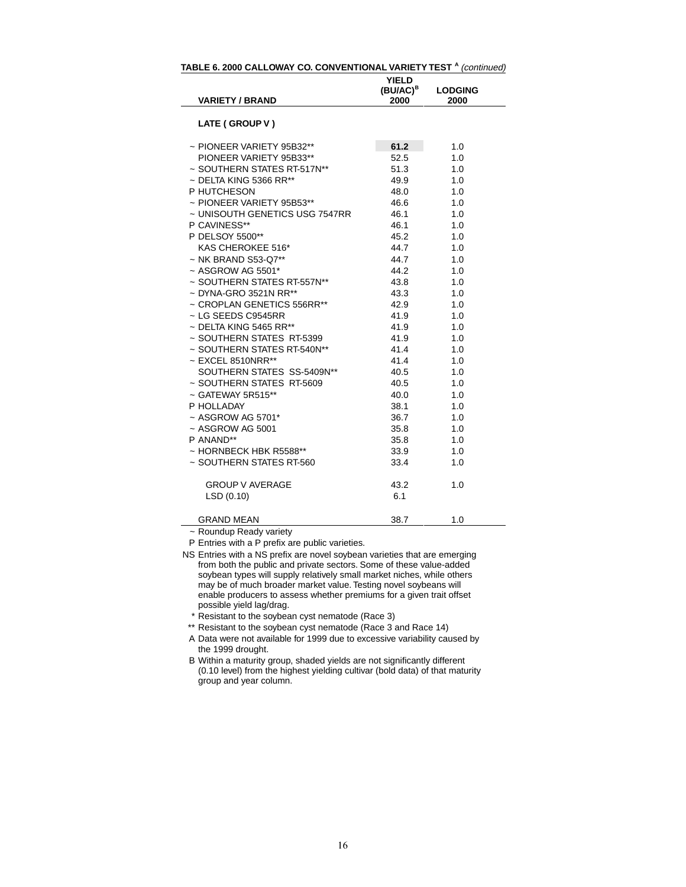| <b>VARIETY / BRAND</b>         | <b>YIELD</b><br>(BU/AC) <sup>B</sup> | <b>LODGING</b> |
|--------------------------------|--------------------------------------|----------------|
|                                | 2000                                 | 2000           |
| LATE (GROUP V)                 |                                      |                |
| $\sim$ PIONEER VARIETY 95B32** | 61.2                                 | 1.0            |
| PIONEER VARIETY 95B33**        | 52.5                                 | 1.0            |
| ~ SOUTHERN STATES RT-517N**    | 51.3                                 | 1.0            |
| $\sim$ DELTA KING 5366 RR**    | 49.9                                 | 1.0            |
| P HUTCHESON                    | 48.0                                 | 1.0            |
| $\sim$ PIONEER VARIETY 95B53** | 46.6                                 | 1.0            |
| ~ UNISOUTH GENETICS USG 7547RR | 46.1                                 | 1.0            |
| P CAVINESS**                   | 46.1                                 | 1.0            |
| P DELSOY 5500**                | 45.2                                 | 1.0            |
| KAS CHEROKEE 516*              | 44.7                                 | 1.0            |
| ~ NK BRAND S53-Q7**            | 44.7                                 | 1.0            |
| $~\sim$ ASGROW AG 5501*        | 44.2                                 | 1.0            |
| ~ SOUTHERN STATES RT-557N**    | 43.8                                 | 1.0            |
| ~ DYNA-GRO 3521N RR**          | 43.3                                 | 1.0            |
| ~ CROPLAN GENETICS 556RR**     | 42.9                                 | 1.0            |
| ~ LG SEEDS C9545RR             | 41.9                                 | 1.0            |
| $\sim$ DELTA KING 5465 RR**    | 41.9                                 | 1.0            |
| ~ SOUTHERN STATES RT-5399      | 41.9                                 | 1.0            |
| ~ SOUTHERN STATES RT-540N**    | 41.4                                 | 1.0            |
| $\sim$ EXCEL 8510NRR**         | 41.4                                 | 1.0            |
| SOUTHERN STATES SS-5409N**     | 40.5                                 | 1.0            |
| ~ SOUTHERN STATES RT-5609      | 40.5                                 | 1.0            |
| $\sim$ GATEWAY 5R515**         | 40.0                                 | 1.0            |
| P HOLLADAY                     | 38.1                                 | 1.0            |
| $\sim$ ASGROW AG 5701*         | 36.7                                 | 1.0            |
| ~ ASGROW AG 5001               | 35.8                                 | 1.0            |
| P ANAND**                      | 35.8                                 | 1.0            |
| ~ HORNBECK HBK R5588**         | 33.9                                 | 1.0            |
| ~ SOUTHERN STATES RT-560       | 33.4                                 | 1.0            |
| <b>GROUP V AVERAGE</b>         | 43.2                                 | 1.0            |
| LSD(0.10)                      | 6.1                                  |                |
| GRAND MEAN                     | 38.7                                 | 1.0            |

**TABLE 6. 2000 CALLOWAY CO. CONVENTIONAL VARIETY TEST <sup>A</sup>** (continued)

~ Roundup Ready variety

P Entries with a P prefix are public varieties.

\* Resistant to the soybean cyst nematode (Race 3)

\*\* Resistant to the soybean cyst nematode (Race 3 and Race 14)

A Data were not available for 1999 due to excessive variability caused by the 1999 drought.

NS Entries with a NS prefix are novel soybean varieties that are emerging from both the public and private sectors. Some of these value-added soybean types will supply relatively small market niches, while others may be of much broader market value. Testing novel soybeans will enable producers to assess whether premiums for a given trait offset possible yield lag/drag.

B Within a maturity group, shaded yields are not significantly different (0.10 level) from the highest yielding cultivar (bold data) of that maturity group and year column.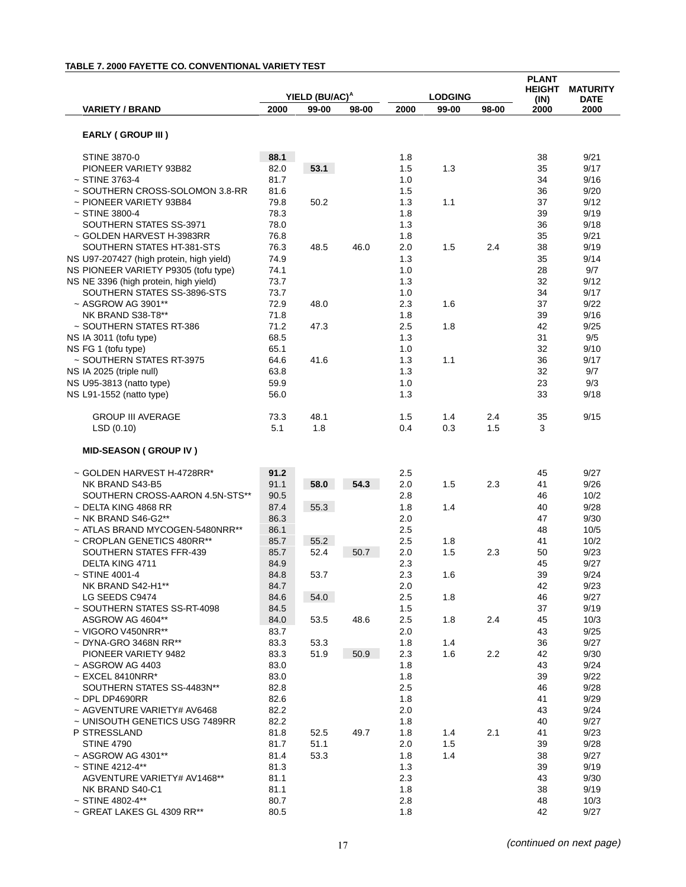### **TABLE 7. 2000 FAYETTE CO. CONVENTIONAL VARIETY TEST**

|                                                                      |              |                            |       |            |                |       | <b>PLANT</b>          |                                |
|----------------------------------------------------------------------|--------------|----------------------------|-------|------------|----------------|-------|-----------------------|--------------------------------|
|                                                                      |              | YIELD (BU/AC) <sup>A</sup> |       |            | <b>LODGING</b> |       | <b>HEIGHT</b><br>(IN) | <b>MATURITY</b><br><b>DATE</b> |
| <b>VARIETY / BRAND</b>                                               | 2000         | 99-00                      | 98-00 | 2000       | 99-00          | 98-00 | 2000                  | 2000                           |
| <b>EARLY (GROUP III)</b>                                             |              |                            |       |            |                |       |                       |                                |
|                                                                      |              |                            |       |            |                |       |                       |                                |
| <b>STINE 3870-0</b>                                                  | 88.1         |                            |       | 1.8        |                |       | 38                    | 9/21                           |
| PIONEER VARIETY 93B82                                                | 82.0         | 53.1                       |       | 1.5        | 1.3            |       | 35                    | 9/17                           |
| $~\sim$ STINE 3763-4                                                 | 81.7<br>81.6 |                            |       | 1.0        |                |       | 34<br>36              | 9/16                           |
| ~ SOUTHERN CROSS-SOLOMON 3.8-RR<br>~ PIONEER VARIETY 93B84           | 79.8         | 50.2                       |       | 1.5<br>1.3 | 1.1            |       | 37                    | 9/20<br>9/12                   |
| $~5$ TINE 3800-4                                                     | 78.3         |                            |       | 1.8        |                |       | 39                    | 9/19                           |
| SOUTHERN STATES SS-3971                                              | 78.0         |                            |       | 1.3        |                |       | 36                    | 9/18                           |
| ~ GOLDEN HARVEST H-3983RR                                            | 76.8         |                            |       | 1.8        |                |       | 35                    | 9/21                           |
| SOUTHERN STATES HT-381-STS                                           | 76.3         | 48.5                       | 46.0  | 2.0        | 1.5            | 2.4   | 38                    | 9/19                           |
| NS U97-207427 (high protein, high yield)                             | 74.9         |                            |       | 1.3        |                |       | 35                    | 9/14                           |
| NS PIONEER VARIETY P9305 (tofu type)                                 | 74.1         |                            |       | 1.0        |                |       | 28                    | 9/7                            |
| NS NE 3396 (high protein, high yield)<br>SOUTHERN STATES SS-3896-STS | 73.7<br>73.7 |                            |       | 1.3<br>1.0 |                |       | 32                    | 9/12                           |
| ~ ASGROW AG 3901**                                                   | 72.9         | 48.0                       |       | 2.3        | 1.6            |       | 34<br>37              | 9/17<br>9/22                   |
| NK BRAND S38-T8**                                                    | 71.8         |                            |       | 1.8        |                |       | 39                    | 9/16                           |
| ~ SOUTHERN STATES RT-386                                             | 71.2         | 47.3                       |       | 2.5        | 1.8            |       | 42                    | 9/25                           |
| NS IA 3011 (tofu type)                                               | 68.5         |                            |       | 1.3        |                |       | 31                    | 9/5                            |
| NS FG 1 (tofu type)                                                  | 65.1         |                            |       | 1.0        |                |       | 32                    | 9/10                           |
| ~ SOUTHERN STATES RT-3975                                            | 64.6         | 41.6                       |       | 1.3        | 1.1            |       | 36                    | 9/17                           |
| NS IA 2025 (triple null)                                             | 63.8         |                            |       | 1.3        |                |       | 32                    | 9/7                            |
| NS U95-3813 (natto type)                                             | 59.9         |                            |       | 1.0        |                |       | 23                    | 9/3                            |
| NS L91-1552 (natto type)                                             | 56.0         |                            |       | 1.3        |                |       | 33                    | 9/18                           |
| <b>GROUP III AVERAGE</b>                                             | 73.3         | 48.1                       |       | 1.5        | 1.4            | 2.4   | 35                    | 9/15                           |
| LSD(0.10)                                                            | 5.1          | 1.8                        |       | 0.4        | 0.3            | 1.5   | 3                     |                                |
| <b>MID-SEASON (GROUP IV)</b>                                         |              |                            |       |            |                |       |                       |                                |
| ~ GOLDEN HARVEST H-4728RR*                                           | 91.2         |                            |       | 2.5        |                |       | 45                    | 9/27                           |
| NK BRAND S43-B5                                                      | 91.1         | 58.0                       | 54.3  | 2.0        | 1.5            | 2.3   | 41                    | 9/26                           |
| SOUTHERN CROSS-AARON 4.5N-STS**                                      | 90.5         |                            |       | 2.8        |                |       | 46                    | 10/2                           |
| $\sim$ DELTA KING 4868 RR                                            | 87.4         | 55.3                       |       | 1.8        | 1.4            |       | 40                    | 9/28                           |
| $\sim$ NK BRAND S46-G2**                                             | 86.3         |                            |       | 2.0        |                |       | 47                    | 9/30                           |
| ~ ATLAS BRAND MYCOGEN-5480NRR**                                      | 86.1         |                            |       | 2.5        |                |       | 48                    | 10/5                           |
| ~ CROPLAN GENETICS 480RR**<br>SOUTHERN STATES FFR-439                | 85.7<br>85.7 | 55.2<br>52.4               | 50.7  | 2.5<br>2.0 | 1.8<br>1.5     | 2.3   | 41<br>50              | 10/2<br>9/23                   |
| DELTA KING 4711                                                      | 84.9         |                            |       | 2.3        |                |       | 45                    | 9/27                           |
| $\sim$ STINE 4001-4                                                  | 84.8         | 53.7                       |       | 2.3        | 1.6            |       | 39                    | 9/24                           |
| NK BRAND S42-H1**                                                    | 84.7         |                            |       | 2.0        |                |       | 42                    | 9/23                           |
| LG SEEDS C9474                                                       | 84.6         | 54.0                       |       | 2.5        | 1.8            |       | 46                    | 9/27                           |
| ~ SOUTHERN STATES SS-RT-4098                                         | 84.5         |                            |       | 1.5        |                |       | 37                    | 9/19                           |
| ASGROW AG 4604**                                                     | 84.0         | 53.5                       | 48.6  | 2.5        | 1.8            | 2.4   | 45                    | 10/3                           |
| ~ VIGORO V450NRR**                                                   | 83.7         |                            |       | 2.0        |                |       | 43                    | 9/25                           |
| $\sim$ DYNA-GRO 3468N RR**                                           | 83.3         | 53.3                       |       | 1.8        | 1.4            |       | 36                    | 9/27                           |
| PIONEER VARIETY 9482<br>~ ASGROW AG 4403                             | 83.3         | 51.9                       | 50.9  | 2.3        | 1.6            | 2.2   | 42                    | 9/30                           |
| $\sim$ EXCEL 8410NRR*                                                | 83.0<br>83.0 |                            |       | 1.8<br>1.8 |                |       | 43<br>39              | 9/24<br>9/22                   |
| SOUTHERN STATES SS-4483N**                                           | 82.8         |                            |       | 2.5        |                |       | 46                    | 9/28                           |
| $\sim$ DPL DP4690RR                                                  | 82.6         |                            |       | 1.8        |                |       | 41                    | 9/29                           |
| ~ AGVENTURE VARIETY# AV6468                                          | 82.2         |                            |       | 2.0        |                |       | 43                    | 9/24                           |
| ~ UNISOUTH GENETICS USG 7489RR                                       | 82.2         |                            |       | 1.8        |                |       | 40                    | 9/27                           |
| P STRESSLAND                                                         | 81.8         | 52.5                       | 49.7  | 1.8        | 1.4            | 2.1   | 41                    | 9/23                           |
| <b>STINE 4790</b>                                                    | 81.7         | 51.1                       |       | 2.0        | 1.5            |       | 39                    | 9/28                           |
| ~ ASGROW AG 4301**                                                   | 81.4         | 53.3                       |       | 1.8        | 1.4            |       | 38                    | 9/27                           |
| $~\sim$ STINE 4212-4**                                               | 81.3         |                            |       | 1.3        |                |       | 39                    | 9/19                           |
| AGVENTURE VARIETY# AV1468**                                          | 81.1         |                            |       | 2.3        |                |       | 43                    | 9/30                           |
| NK BRAND S40-C1<br>$~\sim$ STINE 4802-4**                            | 81.1<br>80.7 |                            |       | 1.8<br>2.8 |                |       | 38<br>48              | 9/19<br>10/3                   |
| ~ GREAT LAKES GL 4309 RR**                                           | 80.5         |                            |       | 1.8        |                |       | 42                    | 9/27                           |
|                                                                      |              |                            |       |            |                |       |                       |                                |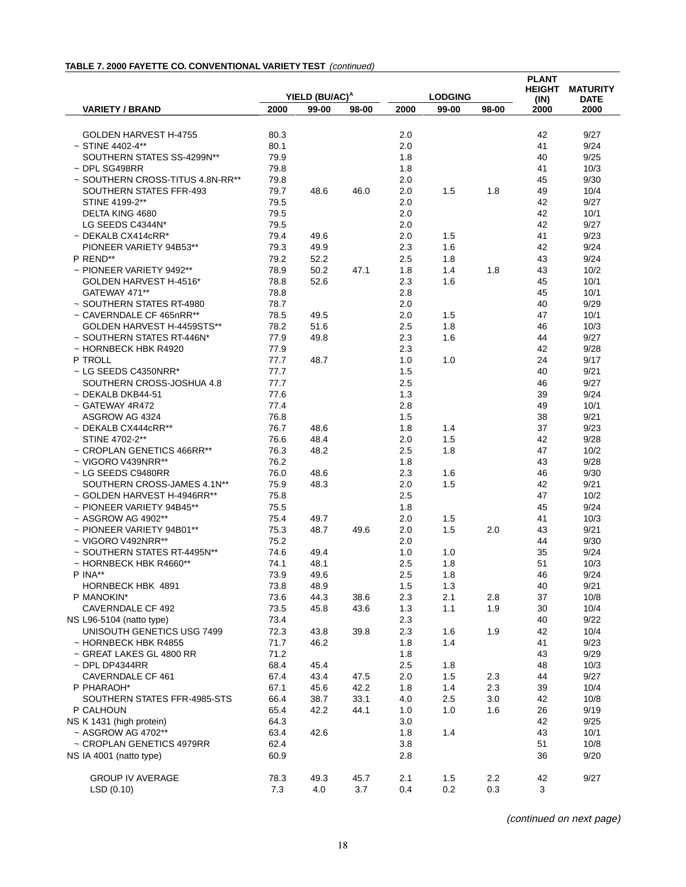#### **TABLE 7. 2000 FAYETTE CO. CONVENTIONAL VARIETY TEST** (continued)

|                                                     |              |                            |       |            |                |       | <b>PLANT</b>          |                                |
|-----------------------------------------------------|--------------|----------------------------|-------|------------|----------------|-------|-----------------------|--------------------------------|
|                                                     |              | YIELD (BU/AC) <sup>A</sup> |       |            | <b>LODGING</b> |       | <b>HEIGHT</b><br>(IN) | <b>MATURITY</b><br><b>DATE</b> |
| <b>VARIETY / BRAND</b>                              | 2000         | 99-00                      | 98-00 | 2000       | 99-00          | 98-00 | 2000                  | 2000                           |
|                                                     |              |                            |       |            |                |       |                       |                                |
| GOLDEN HARVEST H-4755                               | 80.3<br>80.1 |                            |       | 2.0<br>2.0 |                |       | 42<br>41              | 9/27                           |
| $\sim$ STINE 4402-4**<br>SOUTHERN STATES SS-4299N** | 79.9         |                            |       |            |                |       |                       | 9/24                           |
| $~\sim$ DPL SG498RR                                 | 79.8         |                            |       | 1.8<br>1.8 |                |       | 40<br>41              | 9/25<br>10/3                   |
| ~ SOUTHERN CROSS-TITUS 4.8N-RR**                    | 79.8         |                            |       |            |                |       |                       | 9/30                           |
| SOUTHERN STATES FFR-493                             | 79.7         | 48.6                       | 46.0  | 2.0<br>2.0 | 1.5            | 1.8   | 45<br>49              | 10/4                           |
| STINE 4199-2**                                      | 79.5         |                            |       | 2.0        |                |       | 42                    | 9/27                           |
| DELTA KING 4680                                     | 79.5         |                            |       | 2.0        |                |       | 42                    | 10/1                           |
| LG SEEDS C4344N*                                    | 79.5         |                            |       | 2.0        |                |       | 42                    | 9/27                           |
| $\sim$ DEKALB CX414cRR*                             | 79.4         | 49.6                       |       | 2.0        | 1.5            |       | 41                    | 9/23                           |
| PIONEER VARIETY 94B53**                             | 79.3         | 49.9                       |       | 2.3        | 1.6            |       | 42                    | 9/24                           |
| P REND**                                            | 79.2         | 52.2                       |       | 2.5        | 1.8            |       | 43                    | 9/24                           |
| $\sim$ PIONEER VARIETY 9492**                       | 78.9         | 50.2                       | 47.1  | 1.8        | 1.4            | 1.8   | 43                    | 10/2                           |
| GOLDEN HARVEST H-4516*                              | 78.8         | 52.6                       |       | 2.3        | 1.6            |       | 45                    | 10/1                           |
| GATEWAY 471**                                       | 78.8         |                            |       | 2.8        |                |       | 45                    | 10/1                           |
| ~ SOUTHERN STATES RT-4980                           | 78.7         |                            |       | 2.0        |                |       | 40                    | 9/29                           |
| ~ CAVERNDALE CF 465nRR**                            | 78.5         | 49.5                       |       | 2.0        | 1.5            |       | 47                    | 10/1                           |
| GOLDEN HARVEST H-4459STS**                          | 78.2         | 51.6                       |       | 2.5        | 1.8            |       | 46                    | 10/3                           |
| ~ SOUTHERN STATES RT-446N*                          | 77.9         | 49.8                       |       | 2.3        | 1.6            |       | 44                    | 9/27                           |
| ~ HORNBECK HBK R4920                                | 77.9         |                            |       | 2.3        |                |       | 42                    | 9/28                           |
| P TROLL                                             | 77.7         | 48.7                       |       | 1.0        | 1.0            |       | 24                    | 9/17                           |
| $\sim$ LG SEEDS C4350NRR*                           | 77.7         |                            |       | 1.5        |                |       | 40                    | 9/21                           |
| SOUTHERN CROSS-JOSHUA 4.8                           | 77.7         |                            |       | 2.5        |                |       | 46                    | 9/27                           |
| $\sim$ DEKALB DKB44-51                              | 77.6         |                            |       | 1.3        |                |       | 39                    | 9/24                           |
| ~ GATEWAY 4R472                                     | 77.4         |                            |       | 2.8        |                |       | 49                    | 10/1                           |
| ASGROW AG 4324                                      | 76.8         |                            |       | 1.5        |                |       | 38                    | 9/21                           |
| $\sim$ DEKALB CX444cRR**                            | 76.7         | 48.6                       |       | 1.8        | 1.4            |       | 37                    | 9/23                           |
| STINE 4702-2**                                      | 76.6         | 48.4                       |       | 2.0        | 1.5            |       | 42                    | 9/28                           |
| ~ CROPLAN GENETICS 466RR**                          | 76.3         | 48.2                       |       | 2.5        | 1.8            |       | 47                    | 10/2                           |
| ~ VIGORO V439NRR**                                  | 76.2         |                            |       | 1.8        |                |       | 43                    | 9/28                           |
| $\sim$ LG SEEDS C9480RR                             | 76.0         | 48.6                       |       | 2.3        | 1.6            |       | 46                    | 9/30                           |
| SOUTHERN CROSS-JAMES 4.1N**                         | 75.9         | 48.3                       |       | 2.0        | 1.5            |       | 42                    | 9/21                           |
| ~ GOLDEN HARVEST H-4946RR**                         | 75.8         |                            |       | 2.5        |                |       | 47                    | 10/2                           |
| ~ PIONEER VARIETY 94B45**                           | 75.5         |                            |       | 1.8        |                |       | 45                    | 9/24                           |
| ~ ASGROW AG 4902**                                  | 75.4         | 49.7                       |       | 2.0        | 1.5            |       | 41                    | 10/3                           |
| ~ PIONEER VARIETY 94B01**                           | 75.3         | 48.7                       | 49.6  | 2.0        | 1.5            | 2.0   | 43                    | 9/21                           |
| ~ VIGORO V492NRR**                                  | 75.2         |                            |       | 2.0        |                |       | 44                    | 9/30                           |
| ~ SOUTHERN STATES RT-4495N**                        | 74.6         | 49.4                       |       | 1.0        | 1.0            |       | 35                    | 9/24                           |
| ~ HORNBECK HBK R4660**                              | 74.1         | 48.1                       |       | 2.5        | 1.8            |       | 51                    | 10/3                           |
| P INA**                                             | 73.9         | 49.6                       |       | 2.5        | 1.8            |       | 46                    | 9/24                           |
| HORNBECK HBK 4891                                   | 73.8         | 48.9                       |       | 1.5        | 1.3            |       | 40                    | 9/21                           |
| P MANOKIN*                                          | 73.6         | 44.3                       | 38.6  | 2.3        | 2.1            | 2.8   | 37                    | 10/8                           |
| CAVERNDALE CF 492                                   | 73.5         | 45.8                       | 43.6  | 1.3        | 1.1            | 1.9   | 30                    | 10/4                           |
| NS L96-5104 (natto type)                            | 73.4         |                            |       | 2.3        |                |       | 40                    | 9/22                           |
| UNISOUTH GENETICS USG 7499                          | 72.3         | 43.8                       | 39.8  | 2.3        | 1.6            | 1.9   | 42                    | 10/4                           |
| $\sim$ HORNBECK HBK R4855                           | 71.7         | 46.2                       |       | 1.8        | 1.4            |       | 41                    | 9/23                           |
| ~ GREAT LAKES GL 4800 RR                            | 71.2         |                            |       | 1.8        |                |       | 43                    | 9/29                           |
| $\sim$ DPL DP4344RR                                 | 68.4         | 45.4                       |       | 2.5        | 1.8            |       | 48                    | 10/3                           |
| CAVERNDALE CF 461                                   | 67.4         | 43.4                       | 47.5  | 2.0        | 1.5            | 2.3   | 44                    | 9/27                           |
| P PHARAOH*                                          | 67.1         | 45.6                       | 42.2  | 1.8        | 1.4            | 2.3   | 39                    | 10/4                           |
| SOUTHERN STATES FFR-4985-STS                        | 66.4         | 38.7                       | 33.1  | 4.0        | 2.5            | 3.0   | 42                    | 10/8                           |
| P CALHOUN                                           | 65.4         | 42.2                       | 44.1  | 1.0        | 1.0            | 1.6   | 26                    | 9/19                           |
| NS K 1431 (high protein)                            | 64.3         |                            |       | 3.0        |                |       | 42                    | 9/25                           |
| ~ ASGROW AG 4702**                                  | 63.4         | 42.6                       |       | 1.8        | 1.4            |       | 43                    | 10/1                           |
| ~ CROPLAN GENETICS 4979RR                           | 62.4         |                            |       | 3.8        |                |       | 51                    | 10/8                           |
| NS IA 4001 (natto type)                             | 60.9         |                            |       | 2.8        |                |       | 36                    | 9/20                           |
| <b>GROUP IV AVERAGE</b>                             | 78.3         | 49.3                       | 45.7  | 2.1        | 1.5            | 2.2   | 42                    | 9/27                           |
| LSD(0.10)                                           | 7.3          | 4.0                        | 3.7   | 0.4        | 0.2            | 0.3   | 3                     |                                |
|                                                     |              |                            |       |            |                |       |                       |                                |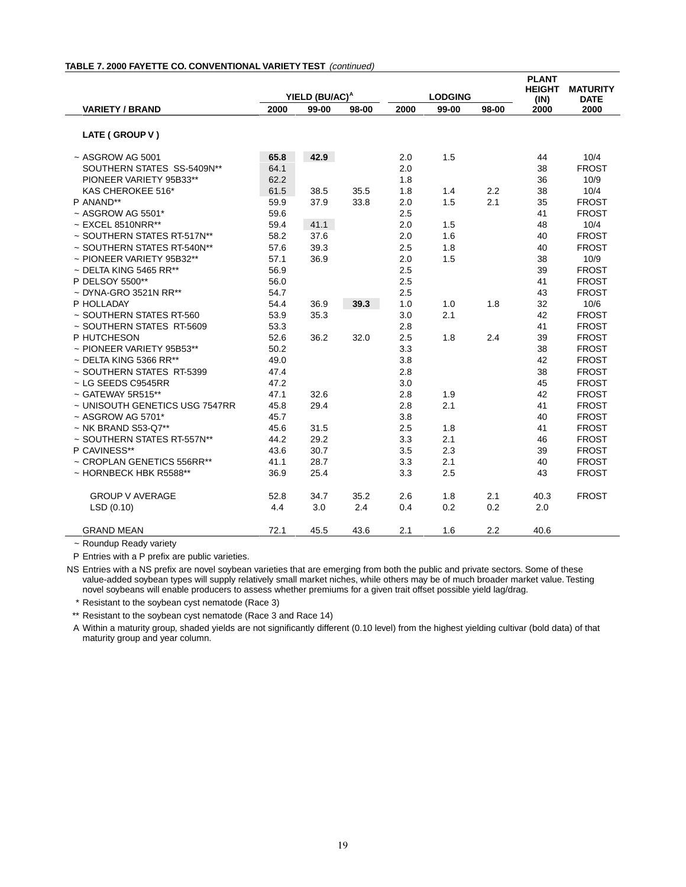|                                |      |                            |       |      |                |       | <b>PLANT</b><br><b>HEIGHT</b> | <b>MATURITY</b> |
|--------------------------------|------|----------------------------|-------|------|----------------|-------|-------------------------------|-----------------|
|                                |      | YIELD (BU/AC) <sup>A</sup> |       |      | <b>LODGING</b> |       | (IN)                          | <b>DATE</b>     |
| <b>VARIETY / BRAND</b>         | 2000 | 99-00                      | 98-00 | 2000 | 99-00          | 98-00 | 2000                          | 2000            |
| LATE (GROUP V)                 |      |                            |       |      |                |       |                               |                 |
| $~\sim$ ASGROW AG 5001         | 65.8 | 42.9                       |       | 2.0  | 1.5            |       | 44                            | 10/4            |
| SOUTHERN STATES SS-5409N**     | 64.1 |                            |       | 2.0  |                |       | 38                            | <b>FROST</b>    |
| PIONEER VARIETY 95B33**        | 62.2 |                            |       | 1.8  |                |       | 36                            | 10/9            |
| KAS CHEROKEE 516*              | 61.5 | 38.5                       | 35.5  | 1.8  | 1.4            | 2.2   | 38                            | 10/4            |
| P ANAND**                      | 59.9 | 37.9                       | 33.8  | 2.0  | 1.5            | 2.1   | 35                            | <b>FROST</b>    |
| $\sim$ ASGROW AG 5501*         | 59.6 |                            |       | 2.5  |                |       | 41                            | <b>FROST</b>    |
| $\sim$ EXCEL 8510NRR**         | 59.4 | 41.1                       |       | 2.0  | 1.5            |       | 48                            | 10/4            |
| ~ SOUTHERN STATES RT-517N**    | 58.2 | 37.6                       |       | 2.0  | 1.6            |       | 40                            | <b>FROST</b>    |
| ~ SOUTHERN STATES RT-540N**    | 57.6 | 39.3                       |       | 2.5  | 1.8            |       | 40                            | <b>FROST</b>    |
| $\sim$ PIONEER VARIETY 95B32** | 57.1 | 36.9                       |       | 2.0  | 1.5            |       | 38                            | 10/9            |
| $\sim$ DELTA KING 5465 RR**    | 56.9 |                            |       | 2.5  |                |       | 39                            | <b>FROST</b>    |
| P DELSOY 5500**                | 56.0 |                            |       | 2.5  |                |       | 41                            | <b>FROST</b>    |
| $\sim$ DYNA-GRO 3521N RR**     | 54.7 |                            |       | 2.5  |                |       | 43                            | <b>FROST</b>    |
| P HOLLADAY                     | 54.4 | 36.9                       | 39.3  | 1.0  | 1.0            | 1.8   | 32                            | 10/6            |
| ~ SOUTHERN STATES RT-560       | 53.9 | 35.3                       |       | 3.0  | 2.1            |       | 42                            | <b>FROST</b>    |
| ~ SOUTHERN STATES RT-5609      | 53.3 |                            |       | 2.8  |                |       | 41                            | <b>FROST</b>    |
| P HUTCHESON                    | 52.6 | 36.2                       | 32.0  | 2.5  | 1.8            | 2.4   | 39                            | <b>FROST</b>    |
| ~ PIONEER VARIETY 95B53**      | 50.2 |                            |       | 3.3  |                |       | 38                            | <b>FROST</b>    |
| $\sim$ DELTA KING 5366 RR**    | 49.0 |                            |       | 3.8  |                |       | 42                            | <b>FROST</b>    |
| ~ SOUTHERN STATES RT-5399      | 47.4 |                            |       | 2.8  |                |       | 38                            | <b>FROST</b>    |
| $\sim$ LG SEEDS C9545RR        | 47.2 |                            |       | 3.0  |                |       | 45                            | <b>FROST</b>    |
| $\sim$ GATEWAY 5R515**         | 47.1 | 32.6                       |       | 2.8  | 1.9            |       | 42                            | <b>FROST</b>    |
| ~ UNISOUTH GENETICS USG 7547RR | 45.8 | 29.4                       |       | 2.8  | 2.1            |       | 41                            | <b>FROST</b>    |
| $~\sim$ ASGROW AG 5701*        | 45.7 |                            |       | 3.8  |                |       | 40                            | <b>FROST</b>    |
| $\sim$ NK BRAND S53-Q7**       | 45.6 | 31.5                       |       | 2.5  | 1.8            |       | 41                            | <b>FROST</b>    |
| ~ SOUTHERN STATES RT-557N**    | 44.2 | 29.2                       |       | 3.3  | 2.1            |       | 46                            | <b>FROST</b>    |
| P CAVINESS**                   | 43.6 | 30.7                       |       | 3.5  | 2.3            |       | 39                            | <b>FROST</b>    |
| ~ CROPLAN GENETICS 556RR**     | 41.1 | 28.7                       |       | 3.3  | 2.1            |       | 40                            | <b>FROST</b>    |
| $\sim$ HORNBECK HBK R5588**    | 36.9 | 25.4                       |       | 3.3  | 2.5            |       | 43                            | <b>FROST</b>    |
| <b>GROUP V AVERAGE</b>         | 52.8 | 34.7                       | 35.2  | 2.6  | 1.8            | 2.1   | 40.3                          | <b>FROST</b>    |
| LSD(0.10)                      | 4.4  | 3.0                        | 2.4   | 0.4  | 0.2            | 0.2   | 2.0                           |                 |
| <b>GRAND MEAN</b>              | 72.1 | 45.5                       | 43.6  | 2.1  | 1.6            | 2.2   | 40.6                          |                 |

#### **TABLE 7. 2000 FAYETTE CO. CONVENTIONAL VARIETY TEST** (continued)

~ Roundup Ready variety

P Entries with a P prefix are public varieties.

NS Entries with a NS prefix are novel soybean varieties that are emerging from both the public and private sectors. Some of these value-added soybean types will supply relatively small market niches, while others may be of much broader market value. Testing novel soybeans will enable producers to assess whether premiums for a given trait offset possible yield lag/drag.

\* Resistant to the soybean cyst nematode (Race 3)

\*\* Resistant to the soybean cyst nematode (Race 3 and Race 14)

A Within a maturity group, shaded yields are not significantly different (0.10 level) from the highest yielding cultivar (bold data) of that maturity group and year column.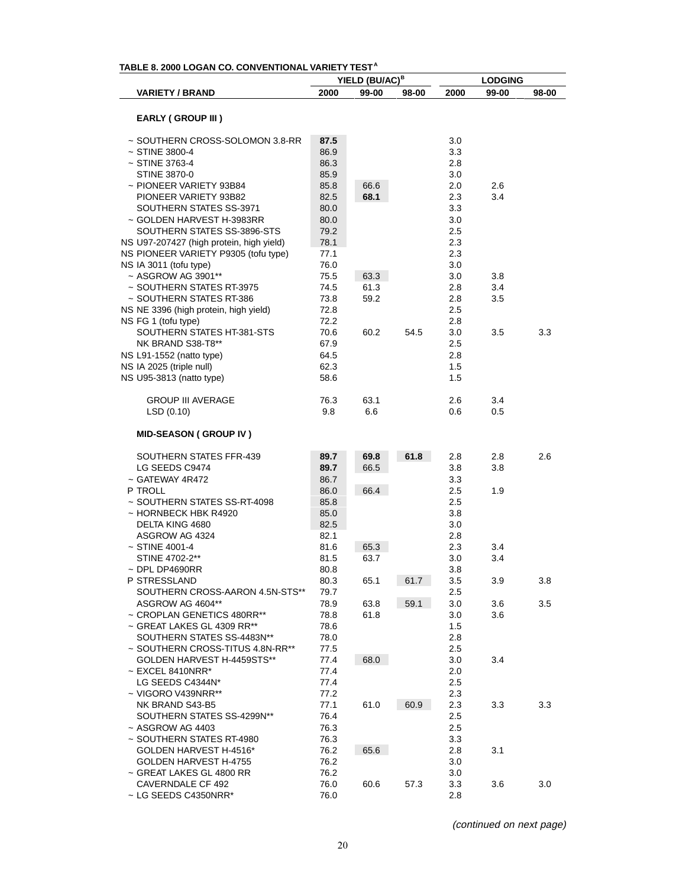|                                          |      | YIELD (BU/AC) <sup>B</sup> |       |      | <b>LODGING</b> |       |
|------------------------------------------|------|----------------------------|-------|------|----------------|-------|
| <b>VARIETY / BRAND</b>                   | 2000 | 99-00                      | 98-00 | 2000 | 99-00          | 98-00 |
|                                          |      |                            |       |      |                |       |
| <b>EARLY (GROUP III)</b>                 |      |                            |       |      |                |       |
| ~ SOUTHERN CROSS-SOLOMON 3.8-RR          | 87.5 |                            |       | 3.0  |                |       |
| ~ STINE 3800-4                           | 86.9 |                            |       | 3.3  |                |       |
| ~ STINE 3763-4                           | 86.3 |                            |       | 2.8  |                |       |
| STINE 3870-0                             | 85.9 |                            |       | 3.0  |                |       |
| ~ PIONEER VARIETY 93B84                  | 85.8 | 66.6                       |       | 2.0  | 2.6            |       |
| PIONEER VARIETY 93B82                    | 82.5 | 68.1                       |       | 2.3  | 3.4            |       |
| SOUTHERN STATES SS-3971                  | 80.0 |                            |       | 3.3  |                |       |
| ~ GOLDEN HARVEST H-3983RR                | 80.0 |                            |       | 3.0  |                |       |
| SOUTHERN STATES SS-3896-STS              | 79.2 |                            |       | 2.5  |                |       |
| NS U97-207427 (high protein, high yield) | 78.1 |                            |       | 2.3  |                |       |
| NS PIONEER VARIETY P9305 (tofu type)     | 77.1 |                            |       | 2.3  |                |       |
| NS IA 3011 (tofu type)                   | 76.0 |                            |       | 3.0  |                |       |
| ~ ASGROW AG 3901**                       | 75.5 | 63.3                       |       | 3.0  | 3.8            |       |
| ~ SOUTHERN STATES RT-3975                | 74.5 | 61.3                       |       | 2.8  | 3.4            |       |
| ~ SOUTHERN STATES RT-386                 | 73.8 | 59.2                       |       | 2.8  | 3.5            |       |
| NS NE 3396 (high protein, high yield)    | 72.8 |                            |       | 2.5  |                |       |
| NS FG 1 (tofu type)                      | 72.2 |                            |       | 2.8  |                |       |
| SOUTHERN STATES HT-381-STS               | 70.6 | 60.2                       | 54.5  | 3.0  | 3.5            | 3.3   |
| NK BRAND S38-T8**                        | 67.9 |                            |       | 2.5  |                |       |
| NS L91-1552 (natto type)                 | 64.5 |                            |       | 2.8  |                |       |
| NS IA 2025 (triple null)                 | 62.3 |                            |       | 1.5  |                |       |
| NS U95-3813 (natto type)                 | 58.6 |                            |       | 1.5  |                |       |
|                                          |      |                            |       |      |                |       |
| <b>GROUP III AVERAGE</b>                 | 76.3 | 63.1                       |       | 2.6  | 3.4            |       |
| LSD(0.10)                                | 9.8  | 6.6                        |       | 0.6  | 0.5            |       |
| <b>MID-SEASON (GROUP IV)</b>             |      |                            |       |      |                |       |
| SOUTHERN STATES FFR-439                  | 89.7 | 69.8                       | 61.8  | 2.8  | 2.8            | 2.6   |
| LG SEEDS C9474                           | 89.7 | 66.5                       |       | 3.8  | 3.8            |       |
| ~ GATEWAY 4R472                          | 86.7 |                            |       | 3.3  |                |       |
| P TROLL                                  | 86.0 | 66.4                       |       | 2.5  | 1.9            |       |
| ~ SOUTHERN STATES SS-RT-4098             | 85.8 |                            |       | 2.5  |                |       |
| ~ HORNBECK HBK R4920                     | 85.0 |                            |       | 3.8  |                |       |
| DELTA KING 4680                          | 82.5 |                            |       | 3.0  |                |       |
| ASGROW AG 4324                           | 82.1 |                            |       | 2.8  |                |       |
| $~5$ TINE 4001-4                         | 81.6 | 65.3                       |       | 2.3  | 3.4            |       |
| STINE 4702-2**                           | 81.5 | 63.7                       |       | 3.0  | 3.4            |       |
| $~\sim$ DPL DP4690RR                     | 80.8 |                            |       | 3.8  |                |       |
| P STRESSLAND                             | 80.3 | 65.1                       | 61.7  | 3.5  | 3.9            | 3.8   |
| SOUTHERN CROSS-AARON 4.5N-STS**          | 79.7 |                            |       | 2.5  |                |       |
| ASGROW AG 4604**                         | 78.9 | 63.8                       | 59.1  | 3.0  | 3.6            | 3.5   |
| ~ CROPLAN GENETICS 480RR**               | 78.8 | 61.8                       |       | 3.0  | 3.6            |       |
| ~ GREAT LAKES GL 4309 RR**               | 78.6 |                            |       | 1.5  |                |       |
| SOUTHERN STATES SS-4483N**               | 78.0 |                            |       | 2.8  |                |       |
| ~ SOUTHERN CROSS-TITUS 4.8N-RR**         | 77.5 |                            |       | 2.5  |                |       |
| GOLDEN HARVEST H-4459STS**               | 77.4 | 68.0                       |       | 3.0  | 3.4            |       |
| $\sim$ EXCEL 8410NRR*                    | 77.4 |                            |       | 2.0  |                |       |
| LG SEEDS C4344N*                         | 77.4 |                            |       | 2.5  |                |       |
| $\sim$ VIGORO V439NRR**                  | 77.2 |                            |       | 2.3  |                |       |
| NK BRAND S43-B5                          | 77.1 | 61.0                       | 60.9  | 2.3  | 3.3            | 3.3   |
| SOUTHERN STATES SS-4299N**               | 76.4 |                            |       | 2.5  |                |       |
| ~ ASGROW AG 4403                         | 76.3 |                            |       | 2.5  |                |       |
| ~ SOUTHERN STATES RT-4980                | 76.3 |                            |       | 3.3  |                |       |
|                                          |      |                            |       |      |                |       |
| GOLDEN HARVEST H-4516*                   | 76.2 | 65.6                       |       | 2.8  | 3.1            |       |
| GOLDEN HARVEST H-4755                    | 76.2 |                            |       | 3.0  |                |       |
| ~ GREAT LAKES GL 4800 RR                 | 76.2 |                            |       | 3.0  |                |       |
| CAVERNDALE CF 492                        | 76.0 | 60.6                       | 57.3  | 3.3  | 3.6            | 3.0   |
| $\sim$ LG SEEDS C4350NRR*                | 76.0 |                            |       | 2.8  |                |       |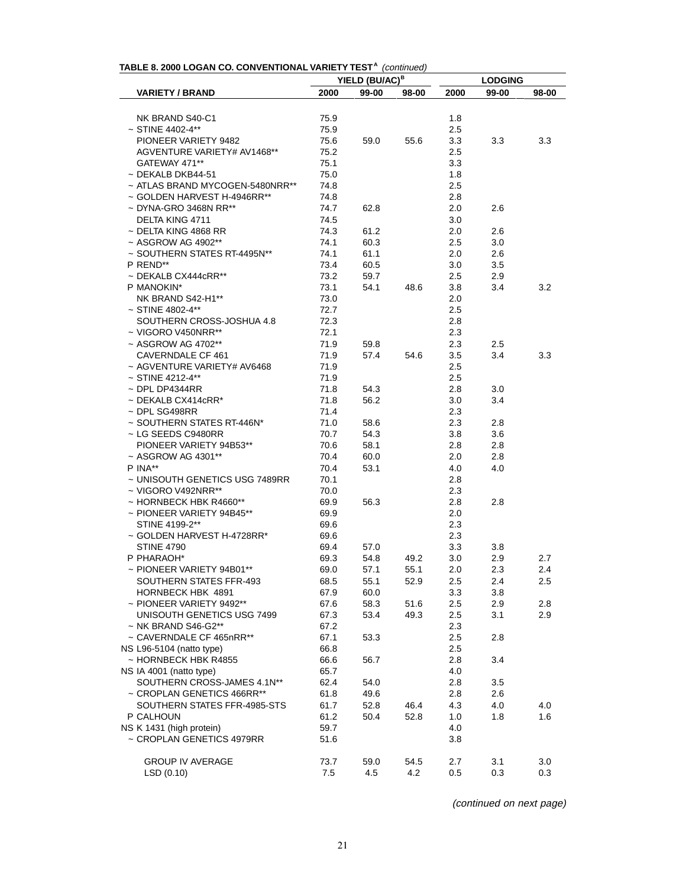|                                  |      | YIELD (BU/AC) <sup>B</sup> |       |         | <b>LODGING</b> |       |
|----------------------------------|------|----------------------------|-------|---------|----------------|-------|
| <b>VARIETY / BRAND</b>           | 2000 | 99-00                      | 98-00 | 2000    | 99-00          | 98-00 |
|                                  |      |                            |       |         |                |       |
| NK BRAND S40-C1                  | 75.9 |                            |       | 1.8     |                |       |
| $~\sim$ STINE 4402-4**           | 75.9 |                            |       | 2.5     |                |       |
| PIONEER VARIETY 9482             | 75.6 | 59.0                       | 55.6  | 3.3     | 3.3            | 3.3   |
| AGVENTURE VARIETY# AV1468**      | 75.2 |                            |       | $2.5\,$ |                |       |
| GATEWAY 471**                    | 75.1 |                            |       | 3.3     |                |       |
| $\sim$ DEKALB DKB44-51           | 75.0 |                            |       | 1.8     |                |       |
| ~ ATLAS BRAND MYCOGEN-5480NRR**  | 74.8 |                            |       | $2.5\,$ |                |       |
| $\sim$ GOLDEN HARVEST H-4946RR** | 74.8 |                            |       | 2.8     |                |       |
| $\sim$ DYNA-GRO 3468N RR**       | 74.7 | 62.8                       |       | 2.0     | 2.6            |       |
| <b>DELTA KING 4711</b>           | 74.5 |                            |       | 3.0     |                |       |
| $\sim$ DELTA KING 4868 RR        | 74.3 | 61.2                       |       | 2.0     | 2.6            |       |
| $\sim$ ASGROW AG 4902**          | 74.1 | 60.3                       |       | 2.5     | 3.0            |       |
| ~ SOUTHERN STATES RT-4495N**     | 74.1 | 61.1                       |       | 2.0     | 2.6            |       |
| P REND**                         | 73.4 | 60.5                       |       | 3.0     | 3.5            |       |
| $\sim$ DEKALB CX444cRR**         | 73.2 | 59.7                       |       | 2.5     | 2.9            |       |
| P MANOKIN*                       | 73.1 | 54.1                       | 48.6  | 3.8     | 3.4            | 3.2   |
| NK BRAND S42-H1**                | 73.0 |                            |       | 2.0     |                |       |
| $~\sim$ STINE 4802-4**           | 72.7 |                            |       | 2.5     |                |       |
| SOUTHERN CROSS-JOSHUA 4.8        | 72.3 |                            |       | 2.8     |                |       |
| $\sim$ VIGORO V450NRR**          | 72.1 |                            |       | 2.3     |                |       |
| $~\sim$ ASGROW AG 4702**         | 71.9 | 59.8                       |       | 2.3     | $2.5\,$        |       |
| CAVERNDALE CF 461                | 71.9 | 57.4                       | 54.6  | 3.5     | 3.4            | 3.3   |
| ~ AGVENTURE VARIETY# AV6468      | 71.9 |                            |       | $2.5\,$ |                |       |
| $\sim$ STINE 4212-4**            | 71.9 |                            |       | 2.5     |                |       |
| $\sim$ DPL DP4344RR              | 71.8 | 54.3                       |       | 2.8     | 3.0            |       |
| $\sim$ DEKALB CX414cRR*          | 71.8 | 56.2                       |       | 3.0     | 3.4            |       |
| $\sim$ DPL SG498RR               | 71.4 |                            |       | 2.3     |                |       |
| ~ SOUTHERN STATES RT-446N*       | 71.0 | 58.6                       |       | 2.3     | 2.8            |       |
| ~ LG SEEDS C9480RR               | 70.7 | 54.3                       |       | 3.8     | 3.6            |       |
| PIONEER VARIETY 94B53**          | 70.6 | 58.1                       |       | 2.8     | 2.8            |       |
| ~ ASGROW AG 4301**               | 70.4 | 60.0                       |       | 2.0     | 2.8            |       |
| $P$ INA**                        | 70.4 | 53.1                       |       | 4.0     | 4.0            |       |
| ~ UNISOUTH GENETICS USG 7489RR   | 70.1 |                            |       | 2.8     |                |       |
| $\sim$ VIGORO V492NRR**          | 70.0 |                            |       | 2.3     |                |       |
| $\sim$ HORNBECK HBK R4660**      | 69.9 | 56.3                       |       | 2.8     | 2.8            |       |
| $\sim$ PIONEER VARIETY 94B45**   | 69.9 |                            |       | 2.0     |                |       |
| STINE 4199-2**                   | 69.6 |                            |       | 2.3     |                |       |
| ~ GOLDEN HARVEST H-4728RR*       | 69.6 |                            |       | 2.3     |                |       |
| <b>STINE 4790</b>                | 69.4 | 57.0                       |       | 3.3     | 3.8            |       |
| P PHARAOH*                       | 69.3 | 54.8                       | 49.2  | 3.0     | 2.9            | 2.7   |
| ~ PIONEER VARIETY 94B01**        | 69.0 | 57.1                       | 55.1  | 2.0     | 2.3            | 2.4   |
| SOUTHERN STATES FFR-493          | 68.5 | 55.1                       | 52.9  | 2.5     | 2.4            | 2.5   |
| HORNBECK HBK 4891                | 67.9 | 60.0                       |       | 3.3     | 3.8            |       |
| $\sim$ PIONEER VARIETY 9492**    | 67.6 | 58.3                       | 51.6  | 2.5     | 2.9            | 2.8   |
| UNISOUTH GENETICS USG 7499       | 67.3 | 53.4                       | 49.3  | 2.5     | 3.1            | 2.9   |
| $\sim$ NK BRAND S46-G2**         | 67.2 |                            |       | 2.3     |                |       |
| ~ CAVERNDALE CF 465nRR**         | 67.1 | 53.3                       |       | 2.5     | 2.8            |       |
| NS L96-5104 (natto type)         | 66.8 |                            |       | 2.5     |                |       |
| ~ HORNBECK HBK R4855             | 66.6 | 56.7                       |       | 2.8     | 3.4            |       |
| NS IA 4001 (natto type)          | 65.7 |                            |       | 4.0     |                |       |
| SOUTHERN CROSS-JAMES 4.1N**      | 62.4 | 54.0                       |       | 2.8     | 3.5            |       |
| ~ CROPLAN GENETICS 466RR**       | 61.8 | 49.6                       |       | 2.8     | 2.6            |       |
| SOUTHERN STATES FFR-4985-STS     | 61.7 | 52.8                       | 46.4  | 4.3     | 4.0            | 4.0   |
| P CALHOUN                        | 61.2 | 50.4                       | 52.8  | 1.0     | 1.8            | 1.6   |
| NS K 1431 (high protein)         | 59.7 |                            |       | 4.0     |                |       |
| ~ CROPLAN GENETICS 4979RR        | 51.6 |                            |       | 3.8     |                |       |
|                                  |      |                            |       |         |                |       |
| <b>GROUP IV AVERAGE</b>          | 73.7 | 59.0                       | 54.5  | 2.7     | 3.1            | 3.0   |
| LSD (0.10)                       | 7.5  | 4.5                        | 4.2   | 0.5     | 0.3            | 0.3   |

**TABLE 8. 2000 LOGAN CO. CONVENTIONAL VARIETY TEST <sup>A</sup>**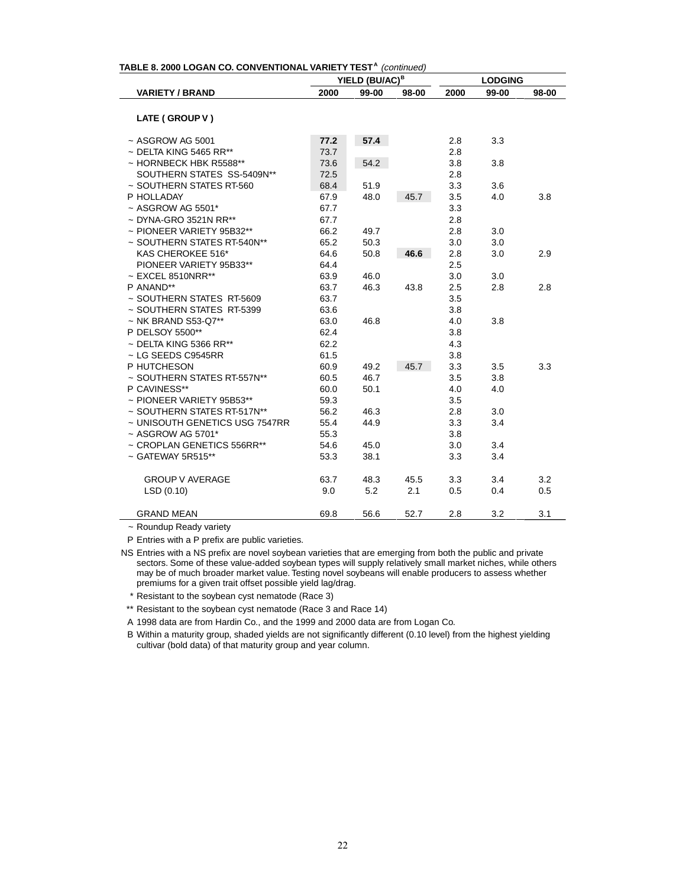| TABLE 8. 2000 LOGAN CO. CONVENTIONAL VARIETY TEST <sup>A</sup> (continued) |      |                            |       |      |                |       |
|----------------------------------------------------------------------------|------|----------------------------|-------|------|----------------|-------|
|                                                                            |      | YIELD (BU/AC) <sup>B</sup> |       |      | <b>LODGING</b> |       |
| <b>VARIETY / BRAND</b>                                                     | 2000 | 99-00                      | 98-00 | 2000 | 99-00          | 98-00 |
|                                                                            |      |                            |       |      |                |       |
| LATE (GROUP V)                                                             |      |                            |       |      |                |       |
| $~\sim$ ASGROW AG 5001                                                     | 77.2 | 57.4                       |       | 2.8  | 3.3            |       |
| $\sim$ DELTA KING 5465 RR**                                                | 73.7 |                            |       | 2.8  |                |       |
| ~ HORNBECK HBK R5588**                                                     | 73.6 | 54.2                       |       | 3.8  | 3.8            |       |
| SOUTHERN STATES SS-5409N**                                                 | 72.5 |                            |       | 2.8  |                |       |
| ~ SOUTHERN STATES RT-560                                                   | 68.4 | 51.9                       |       | 3.3  | 3.6            |       |
| P HOLLADAY                                                                 | 67.9 | 48.0                       | 45.7  | 3.5  | 4.0            | 3.8   |
| $~\sim$ ASGROW AG 5501*                                                    | 67.7 |                            |       | 3.3  |                |       |
| $\sim$ DYNA-GRO 3521N RR**                                                 | 67.7 |                            |       | 2.8  |                |       |
| $\sim$ PIONEER VARIETY 95B32**                                             | 66.2 | 49.7                       |       | 2.8  | 3.0            |       |
| ~ SOUTHERN STATES RT-540N**                                                | 65.2 | 50.3                       |       | 3.0  | 3.0            |       |
| KAS CHEROKEE 516*                                                          | 64.6 | 50.8                       | 46.6  | 2.8  | 3.0            | 2.9   |
| PIONEER VARIETY 95B33**                                                    | 64.4 |                            |       | 2.5  |                |       |
| $\sim$ EXCEL 8510NRR**                                                     | 63.9 | 46.0                       |       | 3.0  | 3.0            |       |
| P ANAND**                                                                  | 63.7 | 46.3                       | 43.8  | 2.5  | 2.8            | 2.8   |
| ~ SOUTHERN STATES RT-5609                                                  | 63.7 |                            |       | 3.5  |                |       |
| ~ SOUTHERN STATES RT-5399                                                  | 63.6 |                            |       | 3.8  |                |       |
| $\sim$ NK BRAND S53-Q7**                                                   | 63.0 | 46.8                       |       | 4.0  | 3.8            |       |
| P DELSOY 5500**                                                            | 62.4 |                            |       | 3.8  |                |       |
| $\sim$ DELTA KING 5366 RR**                                                | 62.2 |                            |       | 4.3  |                |       |
| $\sim$ LG SEEDS C9545RR                                                    | 61.5 |                            |       | 3.8  |                |       |
| P HUTCHESON                                                                | 60.9 | 49.2                       | 45.7  | 3.3  | 3.5            | 3.3   |
| ~ SOUTHERN STATES RT-557N**                                                | 60.5 | 46.7                       |       | 3.5  | 3.8            |       |
| P CAVINESS**                                                               | 60.0 | 50.1                       |       | 4.0  | 4.0            |       |
| $\sim$ PIONEER VARIETY 95B53**                                             | 59.3 |                            |       | 3.5  |                |       |
| ~ SOUTHERN STATES RT-517N**                                                | 56.2 | 46.3                       |       | 2.8  | 3.0            |       |
| ~ UNISOUTH GENETICS USG 7547RR                                             | 55.4 | 44.9                       |       | 3.3  | 3.4            |       |
| $~\sim$ ASGROW AG 5701*                                                    | 55.3 |                            |       | 3.8  |                |       |
| ~ CROPLAN GENETICS 556RR**                                                 | 54.6 | 45.0                       |       | 3.0  | 3.4            |       |
| $\sim$ GATEWAY 5R515**                                                     | 53.3 | 38.1                       |       | 3.3  | 3.4            |       |
|                                                                            |      |                            |       |      |                |       |
| <b>GROUP V AVERAGE</b>                                                     | 63.7 | 48.3                       | 45.5  | 3.3  | 3.4            | 3.2   |
| LSD(0.10)                                                                  | 9.0  | 5.2                        | 2.1   | 0.5  | 0.4            | 0.5   |
| <b>GRAND MEAN</b>                                                          | 69.8 | 56.6                       | 52.7  | 2.8  | 3.2            | 3.1   |
|                                                                            |      |                            |       |      |                |       |

~ Roundup Ready variety

P Entries with a P prefix are public varieties.

NS Entries with a NS prefix are novel soybean varieties that are emerging from both the public and private sectors. Some of these value-added soybean types will supply relatively small market niches, while others may be of much broader market value. Testing novel soybeans will enable producers to assess whether premiums for a given trait offset possible yield lag/drag.

\* Resistant to the soybean cyst nematode (Race 3)

\*\* Resistant to the soybean cyst nematode (Race 3 and Race 14)

A 1998 data are from Hardin Co., and the 1999 and 2000 data are from Logan Co.

B Within a maturity group, shaded yields are not significantly different (0.10 level) from the highest yielding cultivar (bold data) of that maturity group and year column.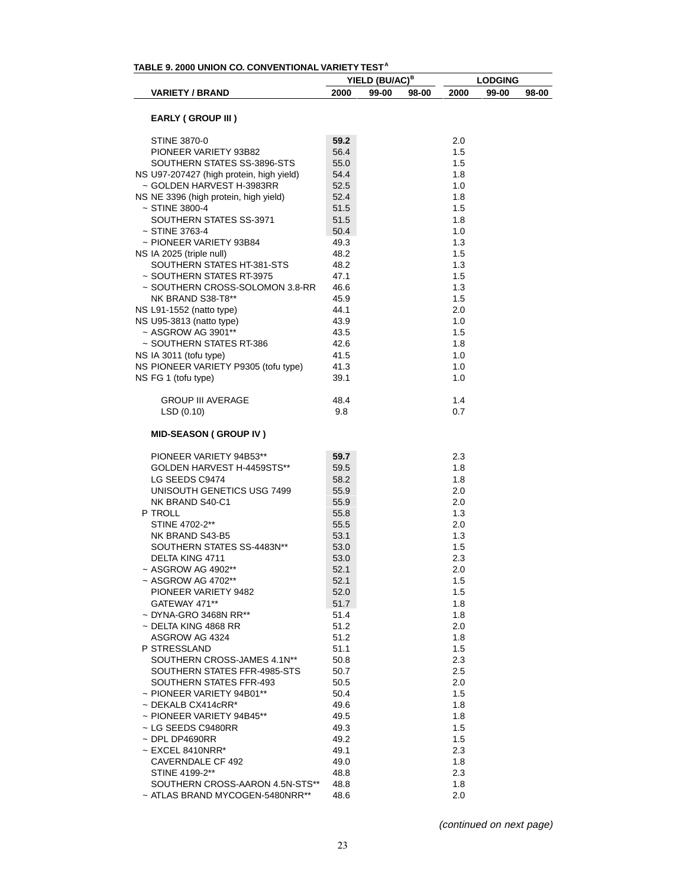| TABLE 9. 2000 UNION CO. CONVENTIONAL VARIETY TEST <sup>A</sup> |              | YIELD (BU/AC) <sup>B</sup> |       |            | <b>LODGING</b> |       |
|----------------------------------------------------------------|--------------|----------------------------|-------|------------|----------------|-------|
| <b>VARIETY / BRAND</b>                                         | 2000         | 99-00                      | 98-00 | 2000       | 99-00          | 98-00 |
|                                                                |              |                            |       |            |                |       |
| <b>EARLY (GROUP III)</b>                                       |              |                            |       |            |                |       |
| <b>STINE 3870-0</b>                                            | 59.2         |                            |       | 2.0        |                |       |
| PIONEER VARIETY 93B82                                          | 56.4         |                            |       | 1.5        |                |       |
| SOUTHERN STATES SS-3896-STS                                    | 55.0         |                            |       | 1.5        |                |       |
| NS U97-207427 (high protein, high yield)                       | 54.4         |                            |       | 1.8        |                |       |
| ~ GOLDEN HARVEST H-3983RR                                      | 52.5         |                            |       | 1.0        |                |       |
| NS NE 3396 (high protein, high yield)                          | 52.4         |                            |       | 1.8        |                |       |
| $~\sim$ STINE 3800-4                                           | 51.5         |                            |       | 1.5        |                |       |
| SOUTHERN STATES SS-3971                                        | 51.5         |                            |       | 1.8        |                |       |
| $~\sim$ STINE 3763-4                                           | 50.4         |                            |       | 1.0        |                |       |
| ~ PIONEER VARIETY 93B84                                        | 49.3         |                            |       | 1.3        |                |       |
| NS IA 2025 (triple null)                                       | 48.2         |                            |       | 1.5        |                |       |
| SOUTHERN STATES HT-381-STS                                     | 48.2         |                            |       | 1.3        |                |       |
| ~ SOUTHERN STATES RT-3975                                      | 47.1         |                            |       | 1.5        |                |       |
| ~ SOUTHERN CROSS-SOLOMON 3.8-RR                                | 46.6         |                            |       | 1.3        |                |       |
| NK BRAND S38-T8**                                              | 45.9         |                            |       | 1.5        |                |       |
| NS L91-1552 (natto type)                                       | 44.1         |                            |       | 2.0        |                |       |
| NS U95-3813 (natto type)                                       | 43.9         |                            |       | 1.0        |                |       |
| ~ ASGROW AG 3901**                                             | 43.5         |                            |       | 1.5        |                |       |
| ~ SOUTHERN STATES RT-386                                       | 42.6         |                            |       | 1.8        |                |       |
| NS IA 3011 (tofu type)                                         | 41.5         |                            |       | 1.0        |                |       |
| NS PIONEER VARIETY P9305 (tofu type)                           | 41.3         |                            |       | 1.0        |                |       |
| NS FG 1 (tofu type)                                            | 39.1         |                            |       | 1.0        |                |       |
| <b>GROUP III AVERAGE</b>                                       | 48.4         |                            |       | 1.4        |                |       |
| LSD(0.10)                                                      | 9.8          |                            |       | 0.7        |                |       |
| <b>MID-SEASON (GROUP IV)</b>                                   |              |                            |       |            |                |       |
| PIONEER VARIETY 94B53**                                        | 59.7         |                            |       | 2.3        |                |       |
| GOLDEN HARVEST H-4459STS**                                     | 59.5         |                            |       | 1.8        |                |       |
| LG SEEDS C9474                                                 | 58.2         |                            |       | 1.8        |                |       |
| UNISOUTH GENETICS USG 7499                                     | 55.9         |                            |       | 2.0        |                |       |
| NK BRAND S40-C1                                                | 55.9         |                            |       | 2.0        |                |       |
| P TROLL                                                        | 55.8         |                            |       | 1.3        |                |       |
| STINE 4702-2**                                                 | 55.5         |                            |       | 2.0        |                |       |
| NK BRAND S43-B5                                                | 53.1         |                            |       | 1.3        |                |       |
| SOUTHERN STATES SS-4483N**                                     | 53.0         |                            |       | 1.5        |                |       |
| DELTA KING 4711                                                | 53.0         |                            |       | 2.3        |                |       |
| ~ ASGROW AG 4902**                                             | 52.1         |                            |       | 2.0        |                |       |
| ~ ASGROW AG 4702**                                             | 52.1         |                            |       | 1.5        |                |       |
| PIONEER VARIETY 9482                                           | 52.0         |                            |       | 1.5        |                |       |
| GATEWAY 471**                                                  | 51.7         |                            |       | 1.8        |                |       |
| ~ DYNA-GRO 3468N RR**                                          | 51.4         |                            |       | 1.8        |                |       |
| $\sim$ DELTA KING 4868 RR                                      | 51.2         |                            |       | 2.0        |                |       |
| ASGROW AG 4324                                                 | 51.2         |                            |       | 1.8        |                |       |
| P STRESSLAND                                                   | 51.1         |                            |       | 1.5        |                |       |
| SOUTHERN CROSS-JAMES 4.1N**                                    | 50.8         |                            |       | 2.3        |                |       |
| SOUTHERN STATES FFR-4985-STS                                   | 50.7         |                            |       | 2.5        |                |       |
| SOUTHERN STATES FFR-493                                        | 50.5         |                            |       | 2.0        |                |       |
| $\sim$ PIONEER VARIETY 94B01**<br>$\sim$ DEKALB CX414cRR*      | 50.4         |                            |       | 1.5<br>1.8 |                |       |
|                                                                | 49.6         |                            |       |            |                |       |
| $\sim$ PIONEER VARIETY 94B45**<br>~ LG SEEDS C9480RR           | 49.5         |                            |       | 1.8<br>1.5 |                |       |
| $\sim$ DPL DP4690RR                                            | 49.3<br>49.2 |                            |       | 1.5        |                |       |
| $\sim$ EXCEL 8410NRR*                                          | 49.1         |                            |       | 2.3        |                |       |
| CAVERNDALE CF 492                                              | 49.0         |                            |       | 1.8        |                |       |
| STINE 4199-2**                                                 | 48.8         |                            |       | 2.3        |                |       |
| SOUTHERN CROSS-AARON 4.5N-STS**                                | 48.8         |                            |       | 1.8        |                |       |
| ~ ATLAS BRAND MYCOGEN-5480NRR**                                | 48.6         |                            |       | 2.0        |                |       |
|                                                                |              |                            |       |            |                |       |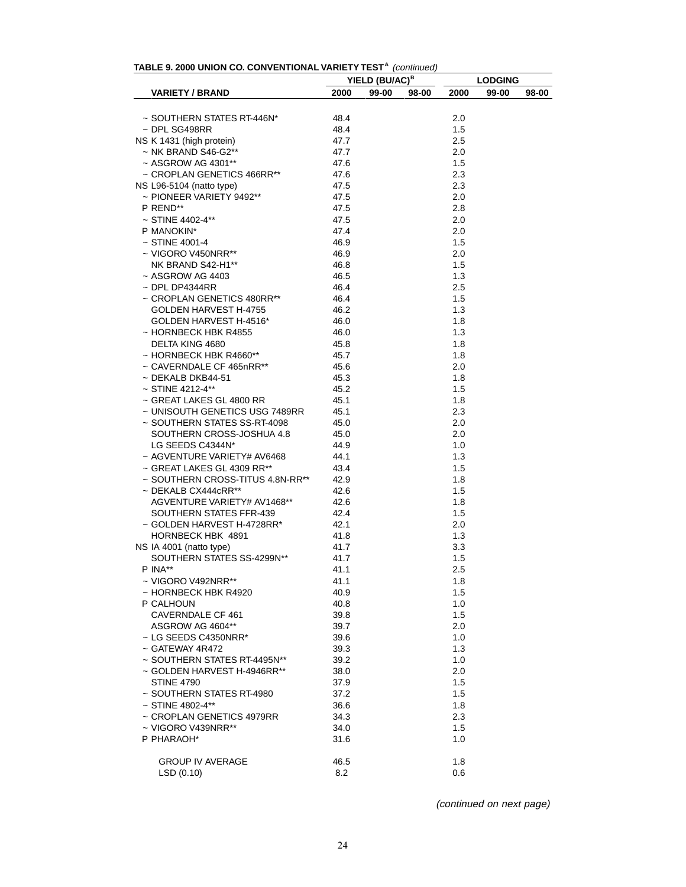| TABLE 9. 2000 UNION CO. CONVENTIONAL VARIETY TEST <sup>A</sup> (continued) |  |  |
|----------------------------------------------------------------------------|--|--|
|----------------------------------------------------------------------------|--|--|

|                                                        | YIELD (BU/AC) <sup>B</sup> |               | <b>LODGING</b> |       |
|--------------------------------------------------------|----------------------------|---------------|----------------|-------|
| <b>VARIETY / BRAND</b>                                 | 2000<br>99-00              | 98-00<br>2000 | 99-00          | 98-00 |
|                                                        |                            |               |                |       |
| ~ SOUTHERN STATES RT-446N*<br>$\sim$ DPL SG498RR       | 48.4                       | 2.0<br>1.5    |                |       |
| NS K 1431 (high protein)                               | 48.4<br>47.7               | 2.5           |                |       |
|                                                        |                            |               |                |       |
| $\sim$ NK BRAND S46-G2**                               | 47.7                       | 2.0           |                |       |
| ~ ASGROW AG 4301**                                     | 47.6                       | 1.5<br>2.3    |                |       |
| ~ CROPLAN GENETICS 466RR**                             | 47.6                       |               |                |       |
| $NS$ L96-5104 (natto type)<br>~ PIONEER VARIETY 9492** | 47.5                       | 2.3           |                |       |
|                                                        | 47.5                       | 2.0           |                |       |
| P REND**                                               | 47.5                       | 2.8           |                |       |
| $~\sim$ STINE 4402-4**                                 | 47.5                       | 2.0           |                |       |
| P MANOKIN*                                             | 47.4                       | 2.0           |                |       |
| $~\sim$ STINE 4001-4                                   | 46.9                       | 1.5           |                |       |
| ~ VIGORO V450NRR**                                     | 46.9                       | 2.0           |                |       |
| NK BRAND S42-H1**                                      | 46.8                       | 1.5           |                |       |
| $~\sim$ ASGROW AG 4403                                 | 46.5                       | 1.3           |                |       |
| $\sim$ DPL DP4344RR                                    | 46.4                       | 2.5           |                |       |
| ~ CROPLAN GENETICS 480RR**                             | 46.4                       | 1.5           |                |       |
| GOLDEN HARVEST H-4755                                  | 46.2                       | 1.3           |                |       |
| GOLDEN HARVEST H-4516*                                 | 46.0                       | 1.8           |                |       |
| ~ HORNBECK HBK R4855                                   | 46.0                       | 1.3           |                |       |
| DELTA KING 4680                                        | 45.8                       | 1.8           |                |       |
| $\sim$ HORNBECK HBK R4660**                            | 45.7                       | 1.8           |                |       |
| ~ CAVERNDALE CF 465nRR**                               | 45.6                       | 2.0           |                |       |
| $\sim$ DEKALB DKB44-51                                 | 45.3                       | 1.8           |                |       |
| $~\sim$ STINE 4212-4**                                 | 45.2                       | 1.5           |                |       |
| ~ GREAT LAKES GL 4800 RR                               | 45.1                       | 1.8           |                |       |
| ~ UNISOUTH GENETICS USG 7489RR                         | 45.1                       | 2.3           |                |       |
| ~ SOUTHERN STATES SS-RT-4098                           | 45.0                       | 2.0           |                |       |
| SOUTHERN CROSS-JOSHUA 4.8                              | 45.0                       | 2.0           |                |       |
| LG SEEDS C4344N*                                       | 44.9                       | 1.0           |                |       |
| ~ AGVENTURE VARIETY# AV6468                            | 44.1                       | 1.3           |                |       |
| ~ GREAT LAKES GL 4309 RR**                             | 43.4                       | 1.5           |                |       |
| ~ SOUTHERN CROSS-TITUS 4.8N-RR**                       | 42.9                       | 1.8           |                |       |
| ~ DEKALB CX444cRR**                                    | 42.6                       | 1.5           |                |       |
| AGVENTURE VARIETY# AV1468**                            | 42.6                       | 1.8           |                |       |
| SOUTHERN STATES FFR-439                                | 42.4                       | 1.5           |                |       |
| ~ GOLDEN HARVEST H-4728RR*                             |                            |               |                |       |
|                                                        | 42.1                       | 2.0           |                |       |
| HORNBECK HBK 4891                                      | 41.8                       | 1.3           |                |       |
| NS IA 4001 (natto type)                                | 41.7                       | 3.3           |                |       |
| SOUTHERN STATES SS-4299N**                             | 41.7                       | 1.5           |                |       |
| P INA**                                                | 41.1                       | 2.5           |                |       |
| ~ VIGORO V492NRR**                                     | 41.1                       | 1.8           |                |       |
| ~ HORNBECK HBK R4920                                   | 40.9                       | 1.5           |                |       |
| P CALHOUN                                              | 40.8                       | 1.0           |                |       |
| CAVERNDALE CF 461                                      | 39.8                       | 1.5           |                |       |
| ASGROW AG 4604**                                       | 39.7                       | 2.0           |                |       |
| $\sim$ LG SEEDS C4350NRR*                              | 39.6                       | 1.0           |                |       |
| ~ GATEWAY 4R472                                        | 39.3                       | 1.3           |                |       |
| ~ SOUTHERN STATES RT-4495N**                           | 39.2                       | 1.0           |                |       |
| ~ GOLDEN HARVEST H-4946RR**                            | 38.0                       | 2.0           |                |       |
| <b>STINE 4790</b>                                      | 37.9                       | 1.5           |                |       |
| ~ SOUTHERN STATES RT-4980                              | 37.2                       | 1.5           |                |       |
| ~ STINE 4802-4**                                       | 36.6                       | 1.8           |                |       |
| ~ CROPLAN GENETICS 4979RR                              | 34.3                       | 2.3           |                |       |
| $\sim$ VIGORO V439NRR**                                | 34.0                       | 1.5           |                |       |
| P PHARAOH*                                             | 31.6                       | 1.0           |                |       |
|                                                        |                            |               |                |       |
| <b>GROUP IV AVERAGE</b>                                | 46.5                       | 1.8           |                |       |
| LSD (0.10)                                             | 8.2                        | 0.6           |                |       |
|                                                        |                            |               |                |       |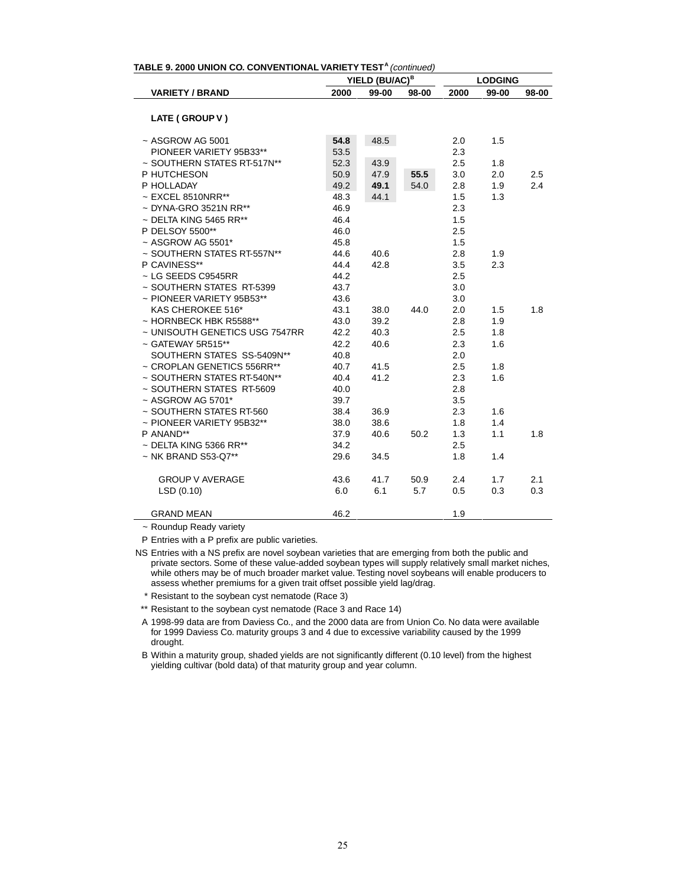| TABLE 9. 2000 UNION CO. CONVENTIONAL VARIETY TEST <sup>A</sup> (continued) |      |                            |       |      |                |       |  |  |  |  |
|----------------------------------------------------------------------------|------|----------------------------|-------|------|----------------|-------|--|--|--|--|
|                                                                            |      | YIELD (BU/AC) <sup>B</sup> |       |      | <b>LODGING</b> |       |  |  |  |  |
| <b>VARIETY / BRAND</b>                                                     | 2000 | 99-00                      | 98-00 | 2000 | 99-00          | 98-00 |  |  |  |  |
|                                                                            |      |                            |       |      |                |       |  |  |  |  |
| LATE (GROUP V)                                                             |      |                            |       |      |                |       |  |  |  |  |
| $~\sim$ ASGROW AG 5001                                                     | 54.8 | 48.5                       |       | 2.0  | 1.5            |       |  |  |  |  |
| PIONEER VARIETY 95B33**                                                    | 53.5 |                            |       | 2.3  |                |       |  |  |  |  |
| ~ SOUTHERN STATES RT-517N**                                                | 52.3 | 43.9                       |       | 2.5  | 1.8            |       |  |  |  |  |
| P HUTCHESON                                                                | 50.9 | 47.9                       | 55.5  | 3.0  | 2.0            | 2.5   |  |  |  |  |
| P HOLLADAY                                                                 | 49.2 | 49.1                       | 54.0  | 2.8  | 1.9            | 2.4   |  |  |  |  |
| $~\sim$ EXCEL 8510NRR**                                                    | 48.3 | 44.1                       |       | 1.5  | 1.3            |       |  |  |  |  |
| $\sim$ DYNA-GRO 3521N RR**                                                 | 46.9 |                            |       | 2.3  |                |       |  |  |  |  |
| $\sim$ DELTA KING 5465 RR**                                                | 46.4 |                            |       | 1.5  |                |       |  |  |  |  |
| P DELSOY 5500**                                                            | 46.0 |                            |       | 2.5  |                |       |  |  |  |  |
| $~\sim$ ASGROW AG 5501*                                                    | 45.8 |                            |       | 1.5  |                |       |  |  |  |  |
| ~ SOUTHERN STATES RT-557N**                                                | 44.6 | 40.6                       |       | 2.8  | 1.9            |       |  |  |  |  |
| P CAVINESS**                                                               | 44.4 | 42.8                       |       | 3.5  | 2.3            |       |  |  |  |  |
| $\sim$ LG SEEDS C9545RR                                                    | 44.2 |                            |       | 2.5  |                |       |  |  |  |  |
| ~ SOUTHERN STATES RT-5399                                                  | 43.7 |                            |       | 3.0  |                |       |  |  |  |  |
| $\sim$ PIONEER VARIETY 95B53**                                             | 43.6 |                            |       | 3.0  |                |       |  |  |  |  |
| KAS CHEROKEE 516*                                                          | 43.1 | 38.0                       | 44.0  | 2.0  | 1.5            | 1.8   |  |  |  |  |
| ~ HORNBECK HBK R5588**                                                     | 43.0 | 39.2                       |       | 2.8  | 1.9            |       |  |  |  |  |
| ~ UNISOUTH GENETICS USG 7547RR                                             | 42.2 | 40.3                       |       | 2.5  | 1.8            |       |  |  |  |  |
| $\sim$ GATEWAY 5R515**                                                     | 42.2 | 40.6                       |       | 2.3  | 1.6            |       |  |  |  |  |
| SOUTHERN STATES SS-5409N**                                                 | 40.8 |                            |       | 2.0  |                |       |  |  |  |  |
| ~ CROPLAN GENETICS 556RR**                                                 | 40.7 | 41.5                       |       | 2.5  | 1.8            |       |  |  |  |  |
| ~ SOUTHERN STATES RT-540N**                                                | 40.4 | 41.2                       |       | 2.3  | 1.6            |       |  |  |  |  |
| ~ SOUTHERN STATES RT-5609                                                  | 40.0 |                            |       | 2.8  |                |       |  |  |  |  |
| $~\sim$ ASGROW AG 5701*                                                    | 39.7 |                            |       | 3.5  |                |       |  |  |  |  |
| ~ SOUTHERN STATES RT-560                                                   | 38.4 | 36.9                       |       | 2.3  | 1.6            |       |  |  |  |  |
| ~ PIONEER VARIETY 95B32**                                                  | 38.0 | 38.6                       |       | 1.8  | 1.4            |       |  |  |  |  |
| P ANAND**                                                                  | 37.9 | 40.6                       | 50.2  | 1.3  | 1.1            | 1.8   |  |  |  |  |
| $\sim$ DELTA KING 5366 RR**                                                | 34.2 |                            |       | 2.5  |                |       |  |  |  |  |
| ~ NK BRAND S53-Q7**                                                        | 29.6 | 34.5                       |       | 1.8  | 1.4            |       |  |  |  |  |
| <b>GROUP V AVERAGE</b>                                                     | 43.6 | 41.7                       | 50.9  | 2.4  | 1.7            | 2.1   |  |  |  |  |
| LSD(0.10)                                                                  | 6.0  | 6.1                        | 5.7   | 0.5  | 0.3            | 0.3   |  |  |  |  |
| <b>GRAND MEAN</b>                                                          | 46.2 |                            |       | 1.9  |                |       |  |  |  |  |

~ Roundup Ready variety

P Entries with a P prefix are public varieties.

\* Resistant to the soybean cyst nematode (Race 3)

\*\* Resistant to the soybean cyst nematode (Race 3 and Race 14)

A 1998-99 data are from Daviess Co., and the 2000 data are from Union Co. No data were available for 1999 Daviess Co. maturity groups 3 and 4 due to excessive variability caused by the 1999 drought.

B Within a maturity group, shaded yields are not significantly different (0.10 level) from the highest yielding cultivar (bold data) of that maturity group and year column.

NS Entries with a NS prefix are novel soybean varieties that are emerging from both the public and private sectors. Some of these value-added soybean types will supply relatively small market niches, while others may be of much broader market value. Testing novel soybeans will enable producers to assess whether premiums for a given trait offset possible yield lag/drag.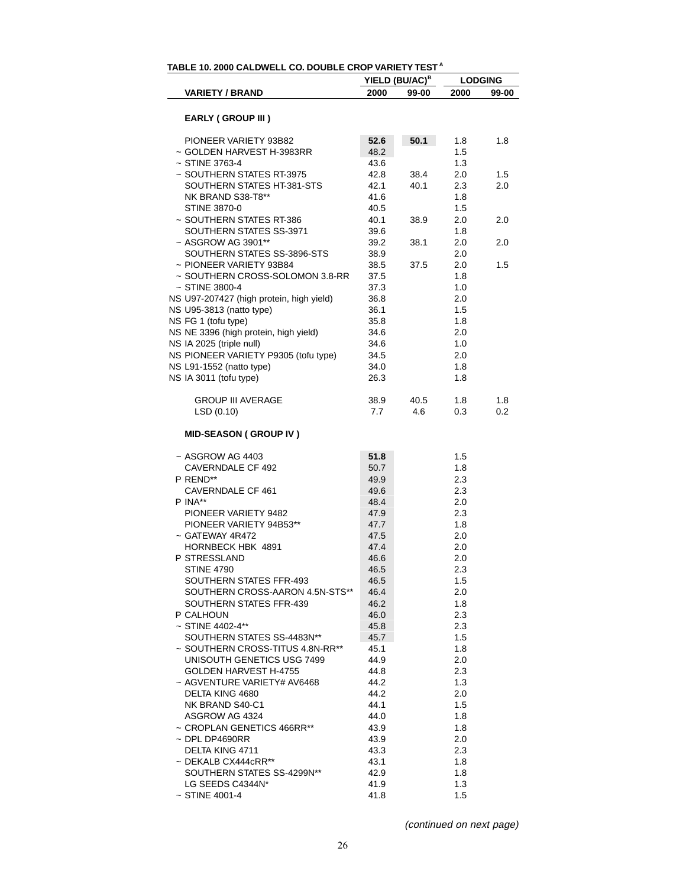|                                          |      | YIELD (BU/AC) <sup>B</sup> | <b>LODGING</b> |       |  |
|------------------------------------------|------|----------------------------|----------------|-------|--|
| <b>VARIETY / BRAND</b>                   | 2000 | 99-00                      | 2000           | 99-00 |  |
|                                          |      |                            |                |       |  |
| <b>EARLY (GROUP III)</b>                 |      |                            |                |       |  |
| PIONEER VARIETY 93B82                    | 52.6 | 50.1                       | 1.8            | 1.8   |  |
| ~ GOLDEN HARVEST H-3983RR                | 48.2 |                            | 1.5            |       |  |
| $~\sim$ STINE 3763-4                     | 43.6 |                            | 1.3            |       |  |
| ~ SOUTHERN STATES RT-3975                | 42.8 | 38.4                       | 2.0            | 1.5   |  |
| SOUTHERN STATES HT-381-STS               | 42.1 | 40.1                       | 2.3            | 2.0   |  |
| NK BRAND S38-T8**                        | 41.6 |                            | 1.8            |       |  |
| <b>STINE 3870-0</b>                      | 40.5 |                            | 1.5            |       |  |
| ~ SOUTHERN STATES RT-386                 | 40.1 | 38.9                       | 2.0            | 2.0   |  |
| SOUTHERN STATES SS-3971                  | 39.6 |                            | 1.8            |       |  |
| ~ ASGROW AG 3901**                       | 39.2 | 38.1                       | 2.0            | 2.0   |  |
| SOUTHERN STATES SS-3896-STS              | 38.9 |                            | 2.0            |       |  |
| ~ PIONEER VARIETY 93B84                  | 38.5 | 37.5                       | 2.0            | 1.5   |  |
| ~ SOUTHERN CROSS-SOLOMON 3.8-RR          | 37.5 |                            | 1.8            |       |  |
| $~\sim$ STINE 3800-4                     | 37.3 |                            | 1.0            |       |  |
|                                          |      |                            |                |       |  |
| NS U97-207427 (high protein, high yield) | 36.8 |                            | 2.0            |       |  |
| NS U95-3813 (natto type)                 | 36.1 |                            | 1.5            |       |  |
| NS FG 1 (tofu type)                      | 35.8 |                            | 1.8            |       |  |
| NS NE 3396 (high protein, high yield)    | 34.6 |                            | 2.0            |       |  |
| NS IA 2025 (triple null)                 | 34.6 |                            | 1.0            |       |  |
| NS PIONEER VARIETY P9305 (tofu type)     | 34.5 |                            | 2.0            |       |  |
| NS L91-1552 (natto type)                 | 34.0 |                            | 1.8            |       |  |
| NS IA 3011 (tofu type)                   | 26.3 |                            | 1.8            |       |  |
| <b>GROUP III AVERAGE</b>                 | 38.9 | 40.5                       | 1.8            | 1.8   |  |
| LSD (0.10)                               | 7.7  | 4.6                        | 0.3            | 0.2   |  |
|                                          |      |                            |                |       |  |
| <b>MID-SEASON (GROUP IV)</b>             |      |                            |                |       |  |
| $~\sim$ ASGROW AG 4403                   | 51.8 |                            | 1.5            |       |  |
| <b>CAVERNDALE CF 492</b>                 | 50.7 |                            | 1.8            |       |  |
| P REND**                                 | 49.9 |                            | 2.3            |       |  |
| CAVERNDALE CF 461                        | 49.6 |                            | 2.3            |       |  |
| P INA**                                  | 48.4 |                            | 2.0            |       |  |
| PIONEER VARIETY 9482                     | 47.9 |                            | 2.3            |       |  |
| PIONEER VARIETY 94B53**                  | 47.7 |                            | 1.8            |       |  |
| $\sim$ GATEWAY 4R472                     | 47.5 |                            | 2.0            |       |  |
| HORNBECK HBK 4891                        | 47.4 |                            | 2.0            |       |  |
| P STRESSLAND                             | 46.6 |                            | 2.0            |       |  |
| <b>STINE 4790</b>                        |      |                            |                |       |  |
|                                          | 46.5 |                            | 2.3            |       |  |
| SOUTHERN STATES FFR-493                  | 46.5 |                            | 1.5            |       |  |
| SOUTHERN CROSS-AARON 4.5N-STS**          | 46.4 |                            | 2.0            |       |  |
| SOUTHERN STATES FFR-439                  | 46.2 |                            | 1.8            |       |  |
| P CALHOUN                                | 46.0 |                            | 2.3            |       |  |
| $~\sim$ STINE 4402-4**                   | 45.8 |                            | 2.3            |       |  |
| SOUTHERN STATES SS-4483N**               | 45.7 |                            | 1.5            |       |  |
| ~ SOUTHERN CROSS-TITUS 4.8N-RR**         | 45.1 |                            | 1.8            |       |  |
| UNISOUTH GENETICS USG 7499               | 44.9 |                            | 2.0            |       |  |
| <b>GOLDEN HARVEST H-4755</b>             | 44.8 |                            | 2.3            |       |  |
| ~ AGVENTURE VARIETY# AV6468              | 44.2 |                            | 1.3            |       |  |
| DELTA KING 4680                          | 44.2 |                            | 2.0            |       |  |
| NK BRAND S40-C1                          | 44.1 |                            | 1.5            |       |  |
| ASGROW AG 4324                           | 44.0 |                            | 1.8            |       |  |
| ~ CROPLAN GENETICS 466RR**               | 43.9 |                            | 1.8            |       |  |
| $\sim$ DPL DP4690RR                      | 43.9 |                            | 2.0            |       |  |
| DELTA KING 4711                          | 43.3 |                            | 2.3            |       |  |
| $\sim$ DEKALB CX444cRR**                 | 43.1 |                            | 1.8            |       |  |
| SOUTHERN STATES SS-4299N**               | 42.9 |                            | 1.8            |       |  |
| LG SEEDS C4344N*                         | 41.9 |                            | 1.3            |       |  |
| $~\sim$ STINE 4001-4                     | 41.8 |                            | 1.5            |       |  |
|                                          |      |                            |                |       |  |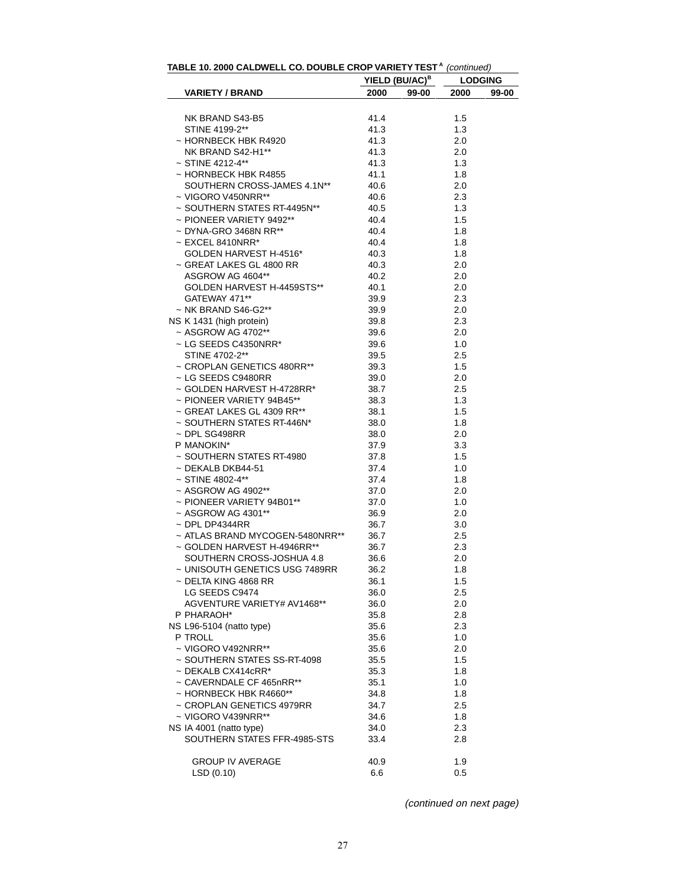| <b>IABLE 10. 2000 CALDWELL CO. DOUBLE CROP VARIETY TEST</b> COntinued)                     |                            |                |
|--------------------------------------------------------------------------------------------|----------------------------|----------------|
|                                                                                            | YIELD (BU/AC) <sup>B</sup> | <b>LODGING</b> |
| <b>VARIETY / BRAND</b>                                                                     | 2000<br>99-00              | 2000<br>99-00  |
|                                                                                            |                            |                |
| NK BRAND S43-B5<br>STINE 4199-2**                                                          | 41.4<br>41.3               | 1.5<br>1.3     |
|                                                                                            |                            |                |
| ~ HORNBECK HBK R4920<br>NK BRAND S42-H1**<br>NK BRAND S42-H1**                             | 41.3                       | 2.0            |
| $~\sim$ STINE 4212-4**                                                                     | 41.3                       | 2.0<br>1.3     |
|                                                                                            | 41.3                       |                |
| ~ HORNBECK HBK R4855<br>SOUTHERN CROSS-JAMES 4.1N**<br>VIGORO VAFONDDEE                    | 41.1                       | 1.8            |
|                                                                                            | 40.6                       | 2.0            |
| ~ VIGORO V450NRR**                                                                         | 40.6                       | 2.3            |
| $\sim$ SOUTHERN STATES RT-4495N**                                                          | 40.5                       | 1.3            |
| ~ PIONEER VARIETY 9492**                                                                   | 40.4                       | 1.5            |
| $\sim$ DYNA-GRO 3468N RR**                                                                 | 40.4                       | 1.8            |
| $\sim$ EXCEL 8410NRR*                                                                      | 40.4                       | 1.8            |
| GOLDEN HARVEST H-4516*                                                                     | 40.3                       | 1.8            |
| ~ GREAT LAKES GL 4800 RR                                                                   | 40.3                       | 2.0            |
| ASGROW AG 4604**                                                                           | 40.2                       | 2.0            |
| GOLDEN HARVEST H-4459STS**                                                                 | 40.1                       | 2.0            |
| GATEWAY 471**                                                                              | 39.9                       | 2.3            |
| $~\sim$ NK BRAND S46-G2**                                                                  | 39.9                       | 2.0            |
| NS K 1431 (high protein)                                                                   | 39.8                       | 2.3            |
| ~ ASGROW AG 4702**                                                                         | 39.6                       | 2.0            |
| ~ LG SEEDS C4350NRR*<br>STINE 4700.0**                                                     | 39.6                       | 1.0            |
| STINE 4702-2**                                                                             | 39.5                       | 2.5            |
| ~ CROPLAN GENETICS 480RR**                                                                 | 39.3                       | 1.5            |
| ~ LG SEEDS C9480RR                                                                         | 39.0                       | 2.0            |
| ~ GOLDEN HARVEST H-4728RR*<br>~ PIONEER VARIETY 94B45**                                    | 38.7                       | 2.5            |
| ~ PIONEER VARIETY 94B45**                                                                  | 38.3                       | 1.3            |
| ~ GREAT LAKES GL 4309 RR**                                                                 | 38.1                       | 1.5            |
| ~ SOUTHERN STATES RT-446N*                                                                 | 38.0                       | 1.8            |
| $\sim$ DPL SG498RR                                                                         | 38.0                       | 2.0            |
| P MANOKIN*                                                                                 | 37.9                       | 3.3            |
| ~ SOUTHERN STATES RT-4980                                                                  | 37.8                       | 1.5            |
| ~ DEKALB DKB44-51                                                                          | 37.4                       | 1.0            |
| $~\sim$ STINE 4802-4**                                                                     | 37.4                       | 1.8            |
|                                                                                            | 37.0                       | 2.0            |
| ~ STINE 4802-4**<br>~ ASGROW AG 4902**<br>~ PIONEER VARIETY 94B01**<br>^ ^ CODOW ^C 4394** | 37.0                       | 1.0            |
| ~ ASGROW AG 4301**                                                                         | 36.9                       | 2.0            |
| $~\sim$ DPL DP4344RR                                                                       | 36.7                       | 3.0            |
| ~ ATLAS BRAND MYCOGEN-5480NRR**                                                            | 36.7                       | 2.5            |
| ~ GOLDEN HARVEST H-4946RR**                                                                | 36.7                       | 2.3            |
| SOUTHERN CROSS-JOSHUA 4.8                                                                  | 36.6                       | 2.0            |
| ~ UNISOUTH GENETICS USG 7489RR                                                             | 36.2                       | 1.8            |
| ~ DELTA KING 4868 RR                                                                       | 36.1                       | 1.5            |
| LG SEEDS C9474                                                                             | 36.0                       | 2.5            |
| AGVENTURE VARIETY# AV1468**                                                                | 36.0                       | 2.0            |
| P PHARAOH*                                                                                 | 35.8                       | 2.8            |
| NS L96-5104 (natto type)                                                                   | 35.6                       | 2.3            |
| P TROLL                                                                                    | 35.6                       | 1.0            |
| ~ VIGORO V492NRR**                                                                         | 35.6                       | 2.0            |
| ~ SOUTHERN STATES SS-RT-4098                                                               | 35.5                       | 1.5            |
| $\sim$ DEKALB CX414cRR*                                                                    | 35.3                       | 1.8            |
| ~ CAVERNDALE CF 465nRR**                                                                   | 35.1                       | 1.0            |
| $\sim$ HORNBECK HBK R4660**                                                                | 34.8                       | 1.8            |
| ~ CROPLAN GENETICS 4979RR                                                                  | 34.7                       | 2.5            |
| ~ VIGORO V439NRR**                                                                         | 34.6                       | 1.8            |
| NS IA 4001 (natto type)                                                                    | 34.0                       | 2.3            |
| SOUTHERN STATES FFR-4985-STS                                                               | 33.4                       | 2.8            |
|                                                                                            |                            |                |
| <b>GROUP IV AVERAGE</b>                                                                    | 40.9                       | 1.9            |
| LSD (0.10)                                                                                 | 6.6                        | 0.5            |
|                                                                                            |                            |                |

| TABLE 10. 2000 CALDWELL CO. DOUBLE CROP VARIETY TEST <sup>A</sup> (continued) |  |
|-------------------------------------------------------------------------------|--|
|                                                                               |  |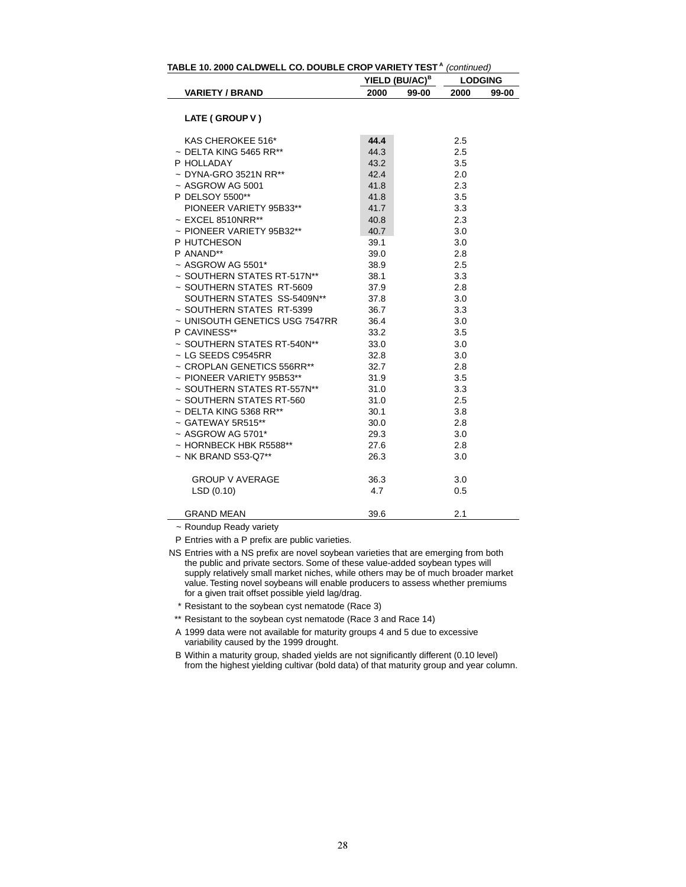| TABLE 10. 2000 CALDWELL CO. DOUBLE CROP VARIETY TEST <sup>A</sup> (continued) |      |                            |      |                |  |  |  |  |  |  |
|-------------------------------------------------------------------------------|------|----------------------------|------|----------------|--|--|--|--|--|--|
|                                                                               |      | YIELD (BU/AC) <sup>B</sup> |      | <b>LODGING</b> |  |  |  |  |  |  |
| <b>VARIETY / BRAND</b>                                                        | 2000 | 99-00                      | 2000 | 99-00          |  |  |  |  |  |  |
| LATE (GROUP V)                                                                |      |                            |      |                |  |  |  |  |  |  |
|                                                                               |      |                            |      |                |  |  |  |  |  |  |
| KAS CHEROKEE 516*                                                             | 44.4 |                            | 2.5  |                |  |  |  |  |  |  |
| $\sim$ DELTA KING 5465 RR**                                                   | 44.3 |                            | 2.5  |                |  |  |  |  |  |  |
| P HOLLADAY                                                                    | 43.2 |                            | 3.5  |                |  |  |  |  |  |  |
| ~ DYNA-GRO 3521N RR**                                                         | 42.4 |                            | 2.0  |                |  |  |  |  |  |  |
| $~\sim$ ASGROW AG 5001                                                        | 41.8 |                            | 2.3  |                |  |  |  |  |  |  |
| P DELSOY 5500**                                                               | 41.8 |                            | 3.5  |                |  |  |  |  |  |  |
| PIONEER VARIETY 95B33**                                                       | 41.7 |                            | 3.3  |                |  |  |  |  |  |  |
| $\sim$ EXCEL 8510NRR**                                                        | 40.8 |                            | 2.3  |                |  |  |  |  |  |  |
| ~ PIONEER VARIETY 95B32**                                                     | 40.7 |                            | 3.0  |                |  |  |  |  |  |  |
| P HUTCHESON                                                                   | 39.1 |                            | 3.0  |                |  |  |  |  |  |  |
| P ANAND**                                                                     | 39.0 |                            | 2.8  |                |  |  |  |  |  |  |
| $~\sim$ ASGROW AG 5501*                                                       | 38.9 |                            | 2.5  |                |  |  |  |  |  |  |
| ~ SOUTHERN STATES RT-517N**                                                   | 38.1 |                            | 3.3  |                |  |  |  |  |  |  |
| ~ SOUTHERN STATES RT-5609                                                     | 37.9 |                            | 2.8  |                |  |  |  |  |  |  |
| SOUTHERN STATES SS-5409N**                                                    | 37.8 |                            | 3.0  |                |  |  |  |  |  |  |
| ~ SOUTHERN STATES RT-5399                                                     | 36.7 |                            | 3.3  |                |  |  |  |  |  |  |
| ~ UNISOUTH GENETICS USG 7547RR                                                | 36.4 |                            | 3.0  |                |  |  |  |  |  |  |
| P CAVINESS**                                                                  | 33.2 |                            | 3.5  |                |  |  |  |  |  |  |
| ~ SOUTHERN STATES RT-540N**                                                   | 33.0 |                            | 3.0  |                |  |  |  |  |  |  |
| $\sim$ LG SEEDS C9545RR                                                       | 32.8 |                            | 3.0  |                |  |  |  |  |  |  |
| ~ CROPLAN GENETICS 556RR**                                                    | 32.7 |                            | 2.8  |                |  |  |  |  |  |  |
| ~ PIONEER VARIETY 95B53**                                                     | 31.9 |                            | 3.5  |                |  |  |  |  |  |  |
| ~ SOUTHERN STATES RT-557N**                                                   | 31.0 |                            | 3.3  |                |  |  |  |  |  |  |
| ~ SOUTHERN STATES RT-560                                                      | 31.0 |                            | 2.5  |                |  |  |  |  |  |  |
| $\sim$ DELTA KING 5368 RR**                                                   | 30.1 |                            | 3.8  |                |  |  |  |  |  |  |
| $\sim$ GATEWAY 5R515**                                                        | 30.0 |                            | 2.8  |                |  |  |  |  |  |  |
| $~\sim$ ASGROW AG 5701*                                                       | 29.3 |                            | 3.0  |                |  |  |  |  |  |  |
| ~ HORNBECK HBK R5588**                                                        | 27.6 |                            | 2.8  |                |  |  |  |  |  |  |
| ~ NK BRAND S53-Q7**                                                           | 26.3 |                            | 3.0  |                |  |  |  |  |  |  |
| <b>GROUP V AVERAGE</b>                                                        | 36.3 |                            | 3.0  |                |  |  |  |  |  |  |
| LSD(0.10)                                                                     | 4.7  |                            | 0.5  |                |  |  |  |  |  |  |
| GRAND MEAN                                                                    | 39.6 |                            | 2.1  |                |  |  |  |  |  |  |

~ Roundup Ready variety

P Entries with a P prefix are public varieties.

\* Resistant to the soybean cyst nematode (Race 3)

\*\* Resistant to the soybean cyst nematode (Race 3 and Race 14)

A 1999 data were not available for maturity groups 4 and 5 due to excessive variability caused by the 1999 drought.

B Within a maturity group, shaded yields are not significantly different (0.10 level) from the highest yielding cultivar (bold data) of that maturity group and year column.

NS Entries with a NS prefix are novel soybean varieties that are emerging from both the public and private sectors. Some of these value-added soybean types will supply relatively small market niches, while others may be of much broader market value. Testing novel soybeans will enable producers to assess whether premiums for a given trait offset possible yield lag/drag.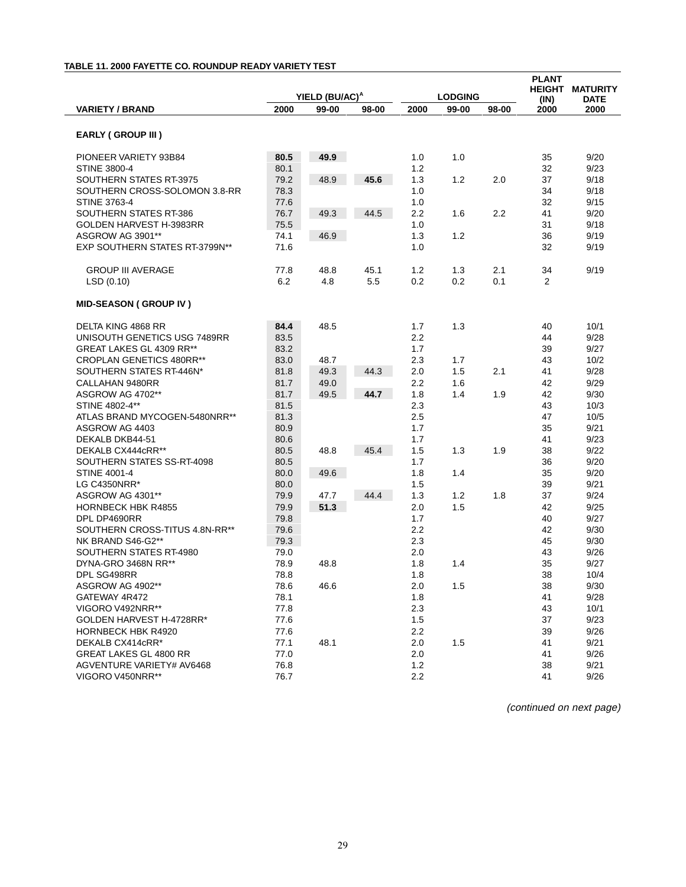## **TABLE 11. 2000 FAYETTE CO. ROUNDUP READY VARIETY TEST**

|                                       |                            |              |       |            |                |        | <b>PLANT</b>    |              |
|---------------------------------------|----------------------------|--------------|-------|------------|----------------|--------|-----------------|--------------|
|                                       | YIELD (BU/AC) <sup>A</sup> |              |       |            |                | HEIGHT | <b>MATURITY</b> |              |
|                                       |                            |              |       |            | <b>LODGING</b> |        | (IN)            | DATE         |
| <b>VARIETY / BRAND</b>                | 2000                       | 99-00        | 98-00 | 2000       | 99-00          | 98-00  | 2000            | 2000         |
|                                       |                            |              |       |            |                |        |                 |              |
| <b>EARLY (GROUP III)</b>              |                            |              |       |            |                |        |                 |              |
| PIONEER VARIETY 93B84                 | 80.5                       | 49.9         |       | 1.0        | 1.0            |        | 35              | 9/20         |
| <b>STINE 3800-4</b>                   | 80.1                       |              |       | 1.2        |                |        | 32              | 9/23         |
| SOUTHERN STATES RT-3975               | 79.2                       | 48.9         | 45.6  | 1.3        | 1.2            | 2.0    | 37              | 9/18         |
| SOUTHERN CROSS-SOLOMON 3.8-RR         | 78.3                       |              |       | 1.0        |                |        | 34              | 9/18         |
| <b>STINE 3763-4</b>                   | 77.6                       |              |       | 1.0        |                |        | 32              | 9/15         |
| <b>SOUTHERN STATES RT-386</b>         | 76.7                       | 49.3         | 44.5  | 2.2        | 1.6            | 2.2    | 41              | 9/20         |
| GOLDEN HARVEST H-3983RR               | 75.5                       |              |       | 1.0        |                |        | 31              | 9/18         |
| ASGROW AG 3901**                      | 74.1                       | 46.9         |       | 1.3        | 1.2            |        | 36              | 9/19         |
| <b>EXP SOUTHERN STATES RT-3799N**</b> | 71.6                       |              |       | 1.0        |                |        | 32              | 9/19         |
|                                       |                            |              |       |            |                |        |                 |              |
| <b>GROUP III AVERAGE</b>              | 77.8                       | 48.8         | 45.1  | 1.2        | 1.3            | 2.1    | 34              | 9/19         |
| LSD(0.10)                             | 6.2                        | 4.8          | 5.5   | 0.2        | 0.2            | 0.1    | 2               |              |
| <b>MID-SEASON (GROUP IV)</b>          |                            |              |       |            |                |        |                 |              |
| DELTA KING 4868 RR                    | 84.4                       | 48.5         |       | 1.7        | 1.3            |        | 40              | 10/1         |
| UNISOUTH GENETICS USG 7489RR          | 83.5                       |              |       | 2.2        |                |        | 44              | 9/28         |
| GREAT LAKES GL 4309 RR**              | 83.2                       |              |       | 1.7        |                |        | 39              | 9/27         |
| <b>CROPLAN GENETICS 480RR**</b>       | 83.0                       | 48.7         |       | 2.3        | 1.7            |        | 43              | 10/2         |
| SOUTHERN STATES RT-446N*              | 81.8                       | 49.3         | 44.3  | 2.0        | 1.5            | 2.1    | 41              | 9/28         |
|                                       |                            |              |       |            |                |        |                 |              |
| CALLAHAN 9480RR<br>ASGROW AG 4702**   | 81.7<br>81.7               | 49.0<br>49.5 | 44.7  | 2.2<br>1.8 | 1.6<br>1.4     | 1.9    | 42<br>42        | 9/29<br>9/30 |
| STINE 4802-4**                        |                            |              |       | 2.3        |                |        | 43              |              |
|                                       | 81.5                       |              |       |            |                |        |                 | 10/3         |
| ATLAS BRAND MYCOGEN-5480NRR**         | 81.3                       |              |       | 2.5        |                |        | 47              | 10/5         |
| ASGROW AG 4403                        | 80.9                       |              |       | 1.7        |                |        | 35              | 9/21         |
| DEKALB DKB44-51                       | 80.6                       |              |       | 1.7        |                |        | 41              | 9/23         |
| DEKALB CX444cRR**                     | 80.5                       | 48.8         | 45.4  | 1.5        | 1.3            | 1.9    | 38              | 9/22         |
| SOUTHERN STATES SS-RT-4098            | 80.5                       |              |       | 1.7        |                |        | 36              | 9/20         |
| <b>STINE 4001-4</b>                   | 80.0                       | 49.6         |       | 1.8        | 1.4            |        | 35              | 9/20         |
| LG C4350NRR*                          | 80.0                       |              |       | 1.5        |                |        | 39              | 9/21         |
| ASGROW AG 4301**                      | 79.9                       | 47.7         | 44.4  | 1.3        | 1.2            | 1.8    | 37              | 9/24         |
| <b>HORNBECK HBK R4855</b>             | 79.9                       | 51.3         |       | 2.0        | 1.5            |        | 42              | 9/25         |
| DPL DP4690RR                          | 79.8                       |              |       | 1.7        |                |        | 40              | 9/27         |
| SOUTHERN CROSS-TITUS 4.8N-RR**        | 79.6                       |              |       | 2.2        |                |        | 42              | 9/30         |
| NK BRAND S46-G2**                     | 79.3                       |              |       | 2.3        |                |        | 45              | 9/30         |
| SOUTHERN STATES RT-4980               | 79.0                       |              |       | 2.0        |                |        | 43              | 9/26         |
| DYNA-GRO 3468N RR**                   | 78.9                       | 48.8         |       | 1.8        | 1.4            |        | 35              | 9/27         |
| DPL SG498RR                           | 78.8                       |              |       | 1.8        |                |        | 38              | 10/4         |
| ASGROW AG 4902**                      | 78.6                       | 46.6         |       | 2.0        | 1.5            |        | 38              | 9/30         |
| GATEWAY 4R472                         | 78.1                       |              |       | 1.8        |                |        | 41              | 9/28         |
| VIGORO V492NRR**                      | 77.8                       |              |       | 2.3        |                |        | 43              | 10/1         |
| GOLDEN HARVEST H-4728RR*              | 77.6                       |              |       | 1.5        |                |        | 37              | 9/23         |
| HORNBECK HBK R4920                    | 77.6                       |              |       | 2.2        |                |        | 39              | 9/26         |
| DEKALB CX414cRR*                      | 77.1                       | 48.1         |       | 2.0        | 1.5            |        | 41              | 9/21         |
| <b>GREAT LAKES GL 4800 RR</b>         | 77.0                       |              |       | 2.0        |                |        | 41              | 9/26         |
| AGVENTURE VARIETY# AV6468             | 76.8                       |              |       | 1.2        |                |        | 38              | 9/21         |
| VIGORO V450NRR**                      | 76.7                       |              |       | 2.2        |                |        | 41              | 9/26         |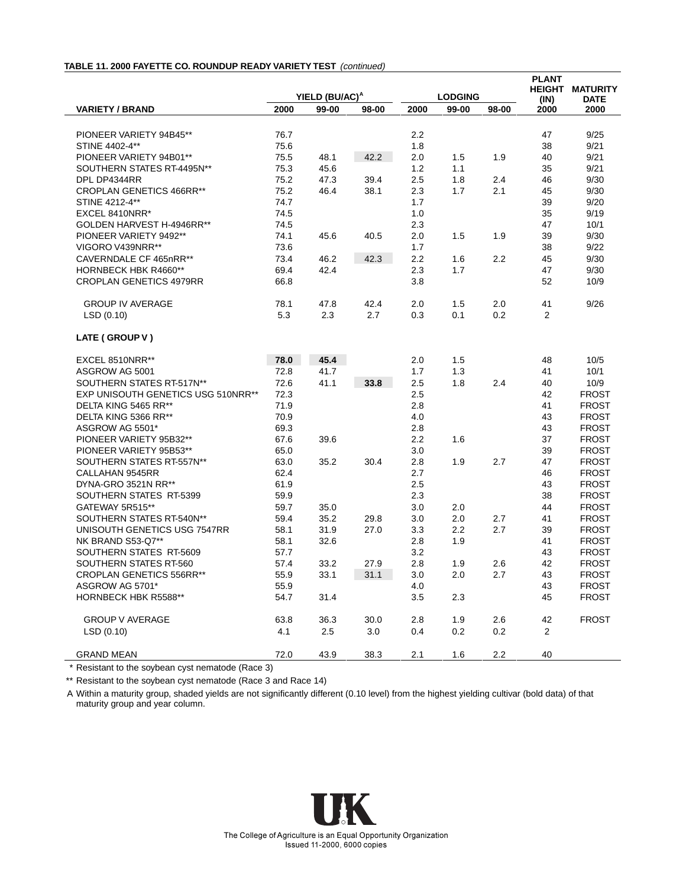#### **TABLE 11. 2000 FAYETTE CO. ROUNDUP READY VARIETY TEST** (continued)

|                                           |              | YIELD (BU/AC) <sup>A</sup> |       |            | <b>LODGING</b> |       | <b>PLANT</b><br><b>HEIGHT</b> | <b>MATURITY</b>              |
|-------------------------------------------|--------------|----------------------------|-------|------------|----------------|-------|-------------------------------|------------------------------|
| <b>VARIETY / BRAND</b>                    | 2000         | 99-00                      | 98-00 | 2000       | 99-00          | 98-00 | (IN)<br>2000                  | <b>DATE</b><br>2000          |
|                                           |              |                            |       |            |                |       |                               |                              |
| PIONEER VARIETY 94B45**                   | 76.7         |                            |       | $2.2\,$    |                |       | 47                            | 9/25                         |
| STINE 4402-4**                            | 75.6         |                            |       | 1.8        |                |       | 38                            | 9/21                         |
| PIONEER VARIETY 94B01**                   | 75.5         | 48.1                       | 42.2  | 2.0        | 1.5            | 1.9   | 40                            | 9/21                         |
| SOUTHERN STATES RT-4495N**                | 75.3         | 45.6                       |       | 1.2        | 1.1            |       | 35                            | 9/21                         |
| DPL DP4344RR                              | 75.2         | 47.3                       | 39.4  | 2.5        | 1.8            | 2.4   | 46                            | 9/30                         |
| <b>CROPLAN GENETICS 466RR**</b>           | 75.2         | 46.4                       | 38.1  | 2.3        | 1.7            | 2.1   | 45                            | 9/30                         |
| STINE 4212-4**                            | 74.7         |                            |       | 1.7        |                |       | 39                            | 9/20                         |
| EXCEL 8410NRR*                            | 74.5         |                            |       | 1.0        |                |       | 35                            | 9/19                         |
| GOLDEN HARVEST H-4946RR**                 | 74.5         |                            |       | 2.3        |                |       | 47                            | 10/1                         |
| PIONEER VARIETY 9492**                    | 74.1         | 45.6                       | 40.5  | 2.0        | 1.5            | 1.9   | 39                            | 9/30                         |
| VIGORO V439NRR**                          | 73.6         |                            |       | 1.7        |                |       | 38                            | 9/22                         |
| CAVERNDALE CF 465nRR**                    | 73.4         | 46.2                       | 42.3  | 2.2        | 1.6            | 2.2   | 45                            | 9/30                         |
| HORNBECK HBK R4660**                      | 69.4         | 42.4                       |       | 2.3        | 1.7            |       | 47                            | 9/30                         |
| <b>CROPLAN GENETICS 4979RR</b>            | 66.8         |                            |       | 3.8        |                |       | 52                            | 10/9                         |
|                                           |              |                            |       |            |                |       |                               |                              |
| <b>GROUP IV AVERAGE</b>                   | 78.1         | 47.8                       | 42.4  | 2.0        | 1.5            | 2.0   | 41                            | 9/26                         |
| LSD(0.10)                                 | 5.3          | 2.3                        | 2.7   | 0.3        | 0.1            | 0.2   | 2                             |                              |
| LATE (GROUP V)                            |              |                            |       |            |                |       |                               |                              |
| EXCEL 8510NRR**                           | 78.0         | 45.4                       |       | 2.0        | 1.5            |       | 48                            | 10/5                         |
| ASGROW AG 5001                            | 72.8         | 41.7                       |       | 1.7        | 1.3            |       | 41                            | 10/1                         |
| SOUTHERN STATES RT-517N**                 | 72.6         | 41.1                       | 33.8  | 2.5        | 1.8            | 2.4   | 40                            | 10/9                         |
| <b>EXP UNISOUTH GENETICS USG 510NRR**</b> | 72.3         |                            |       | 2.5        |                |       | 42                            | <b>FROST</b>                 |
| DELTA KING 5465 RR**                      | 71.9         |                            |       | 2.8        |                |       | 41                            | <b>FROST</b>                 |
| DELTA KING 5366 RR**                      | 70.9         |                            |       | 4.0        |                |       | 43                            | <b>FROST</b>                 |
| ASGROW AG 5501*                           | 69.3         |                            |       | 2.8        |                |       | 43                            | <b>FROST</b>                 |
| PIONEER VARIETY 95B32**                   | 67.6         | 39.6                       |       | 2.2        | 1.6            |       | 37                            | <b>FROST</b>                 |
|                                           |              |                            |       |            |                |       |                               |                              |
| PIONEER VARIETY 95B53**                   | 65.0<br>63.0 |                            |       | 3.0        |                |       | 39                            | <b>FROST</b><br><b>FROST</b> |
| SOUTHERN STATES RT-557N**                 | 62.4         | 35.2                       | 30.4  | 2.8<br>2.7 | 1.9            | 2.7   | 47                            | <b>FROST</b>                 |
| CALLAHAN 9545RR<br>DYNA-GRO 3521N RR**    | 61.9         |                            |       | 2.5        |                |       | 46<br>43                      | <b>FROST</b>                 |
| SOUTHERN STATES RT-5399                   | 59.9         |                            |       | 2.3        |                |       | 38                            | <b>FROST</b>                 |
| GATEWAY 5R515**                           |              |                            |       |            |                |       |                               | <b>FROST</b>                 |
| SOUTHERN STATES RT-540N**                 | 59.7         | 35.0<br>35.2               |       | 3.0        | 2.0            |       | 44                            | <b>FROST</b>                 |
|                                           | 59.4         |                            | 29.8  | 3.0        | 2.0            | 2.7   | 41                            |                              |
| UNISOUTH GENETICS USG 7547RR              | 58.1         | 31.9                       | 27.0  | 3.3        | $2.2\,$        | 2.7   | 39                            | <b>FROST</b>                 |
| NK BRAND S53-Q7**                         | 58.1         | 32.6                       |       | 2.8        | 1.9            |       | 41                            | <b>FROST</b>                 |
| SOUTHERN STATES RT-5609                   | 57.7         |                            |       | 3.2        |                |       | 43                            | <b>FROST</b>                 |
| SOUTHERN STATES RT-560                    | 57.4         | 33.2                       | 27.9  | 2.8        | 1.9            | 2.6   | 42                            | <b>FROST</b>                 |
| <b>CROPLAN GENETICS 556RR**</b>           | 55.9         | 33.1                       | 31.1  | 3.0        | 2.0            | 2.7   | 43                            | <b>FROST</b>                 |
| ASGROW AG 5701*                           | 55.9         |                            |       | 4.0        |                |       | 43                            | <b>FROST</b>                 |
| HORNBECK HBK R5588**                      | 54.7         | 31.4                       |       | 3.5        | 2.3            |       | 45                            | <b>FROST</b>                 |
| <b>GROUP V AVERAGE</b>                    | 63.8         | 36.3                       | 30.0  | 2.8        | 1.9            | 2.6   | 42                            | <b>FROST</b>                 |
| LSD(0.10)                                 | 4.1          | 2.5                        | 3.0   | 0.4        | 0.2            | 0.2   | 2                             |                              |
| <b>GRAND MEAN</b>                         | 72.0         | 43.9                       | 38.3  | 2.1        | 1.6            | 2.2   | 40                            |                              |

\* Resistant to the soybean cyst nematode (Race 3)

\*\* Resistant to the soybean cyst nematode (Race 3 and Race 14)

A Within a maturity group, shaded yields are not significantly different (0.10 level) from the highest yielding cultivar (bold data) of that maturity group and year column.

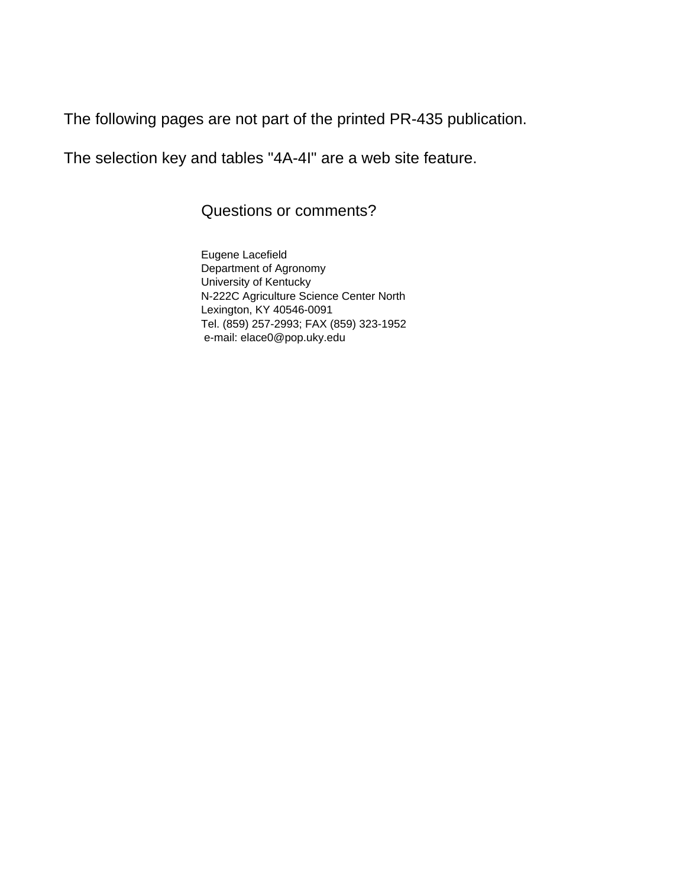The following pages are not part of the printed PR-435 publication.

The selection key and tables "4A-4I" are a web site feature.

Questions or comments?

Eugene Lacefield Department of Agronomy University of Kentucky N-222C Agriculture Science Center North Lexington, KY 40546-0091 Tel. (859) 257-2993; FAX (859) 323-1952 e-mail: elace0@pop.uky.edu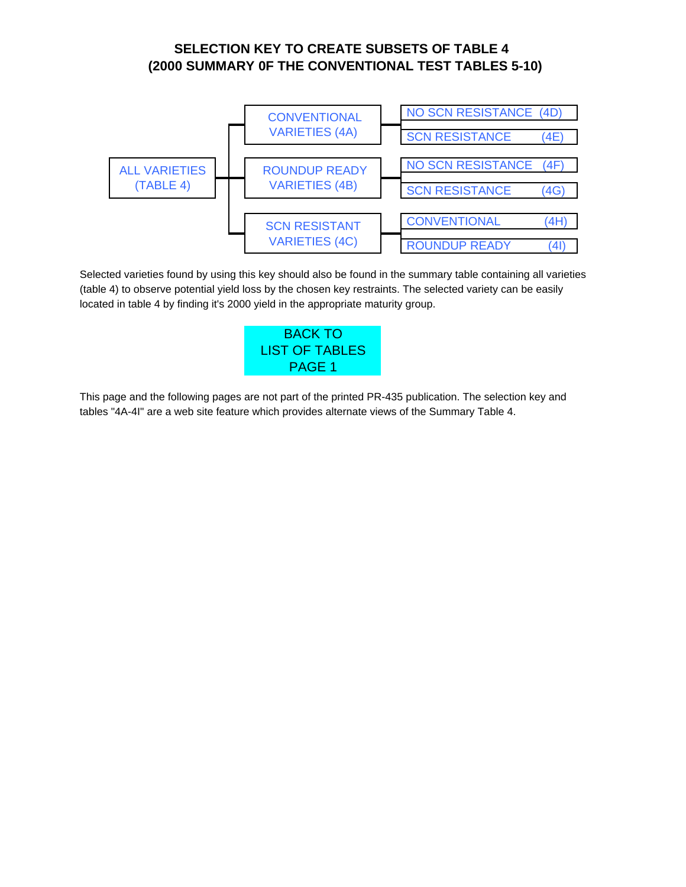# **(2000 SUMMARY 0F THE CONVENTIONAL TEST TABLES 5-10) SELECTION KEY TO CREATE SUBSETS OF TABLE 4**

<span id="page-31-0"></span>

Selected varieties found by using this key should also be found in the summary table containing all varieties (table 4) to observe potential yield loss by the chosen key restraints. The selected variety can be easily located in table 4 by finding it's 2000 yield in the appropriate maturity group.



This page and the following pages are not part of the printed PR-435 publication. The selection key and tables "4A-4I" are a web site feature which provides alternate views of the Summary Table 4.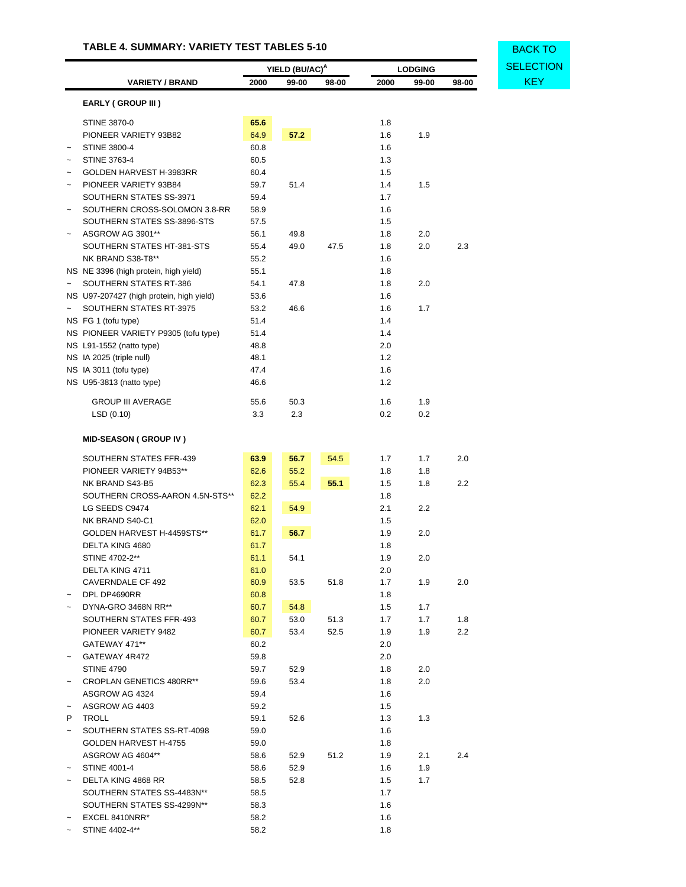### **TABLE 4. SUMMARY: VARIETY TEST TABLES 5-10**

<span id="page-32-0"></span>

|                       |                                                              | YIELD (BU/AC) <sup>A</sup> |       | <b>LODGING</b> |            |       |       | <b>SELECT</b> |            |
|-----------------------|--------------------------------------------------------------|----------------------------|-------|----------------|------------|-------|-------|---------------|------------|
|                       | <b>VARIETY / BRAND</b>                                       | 2000                       | 99-00 | 98-00          | 2000       | 99-00 | 98-00 |               | <b>KEY</b> |
|                       | <b>EARLY (GROUP III)</b>                                     |                            |       |                |            |       |       |               |            |
|                       |                                                              |                            |       |                |            |       |       |               |            |
|                       | <b>STINE 3870-0</b>                                          | 65.6                       |       |                | 1.8        |       |       |               |            |
|                       | PIONEER VARIETY 93B82                                        | 64.9                       | 57.2  |                | 1.6        | 1.9   |       |               |            |
|                       | <b>STINE 3800-4</b>                                          | 60.8                       |       |                | 1.6        |       |       |               |            |
|                       | <b>STINE 3763-4</b>                                          | 60.5                       |       |                | 1.3        |       |       |               |            |
|                       | GOLDEN HARVEST H-3983RR                                      | 60.4                       |       |                | 1.5        |       |       |               |            |
|                       | PIONEER VARIETY 93B84<br>SOUTHERN STATES SS-3971             | 59.7                       | 51.4  |                | 1.4        | 1.5   |       |               |            |
|                       |                                                              | 59.4                       |       |                | 1.7        |       |       |               |            |
|                       | SOUTHERN CROSS-SOLOMON 3.8-RR<br>SOUTHERN STATES SS-3896-STS | 58.9<br>57.5               |       |                | 1.6<br>1.5 |       |       |               |            |
|                       | ASGROW AG 3901**                                             | 56.1                       | 49.8  |                | 1.8        | 2.0   |       |               |            |
|                       | SOUTHERN STATES HT-381-STS                                   | 55.4                       | 49.0  | 47.5           | 1.8        | 2.0   | 2.3   |               |            |
|                       | NK BRAND S38-T8**                                            | 55.2                       |       |                | 1.6        |       |       |               |            |
|                       | NS NE 3396 (high protein, high yield)                        | 55.1                       |       |                | 1.8        |       |       |               |            |
|                       | SOUTHERN STATES RT-386                                       | 54.1                       | 47.8  |                | 1.8        | 2.0   |       |               |            |
|                       | NS U97-207427 (high protein, high yield)                     | 53.6                       |       |                | 1.6        |       |       |               |            |
|                       | SOUTHERN STATES RT-3975                                      | 53.2                       | 46.6  |                | 1.6        | 1.7   |       |               |            |
|                       | NS FG 1 (tofu type)                                          | 51.4                       |       |                | 1.4        |       |       |               |            |
|                       | NS PIONEER VARIETY P9305 (tofu type)                         | 51.4                       |       |                | 1.4        |       |       |               |            |
|                       | NS L91-1552 (natto type)                                     | 48.8                       |       |                | 2.0        |       |       |               |            |
|                       | NS IA 2025 (triple null)                                     | 48.1                       |       |                | 1.2        |       |       |               |            |
|                       | NS IA 3011 (tofu type)                                       | 47.4                       |       |                | 1.6        |       |       |               |            |
|                       | NS U95-3813 (natto type)                                     | 46.6                       |       |                | 1.2        |       |       |               |            |
|                       |                                                              |                            |       |                |            |       |       |               |            |
|                       | <b>GROUP III AVERAGE</b>                                     | 55.6                       | 50.3  |                | 1.6        | 1.9   |       |               |            |
|                       | LSD (0.10)                                                   | 3.3                        | 2.3   |                | 0.2        | 0.2   |       |               |            |
|                       |                                                              |                            |       |                |            |       |       |               |            |
|                       | <b>MID-SEASON (GROUP IV)</b>                                 |                            |       |                |            |       |       |               |            |
|                       | SOUTHERN STATES FFR-439                                      | 63.9                       | 56.7  | 54.5           | 1.7        | 1.7   | 2.0   |               |            |
|                       | PIONEER VARIETY 94B53**                                      | 62.6                       | 55.2  |                | 1.8        | 1.8   |       |               |            |
|                       | NK BRAND S43-B5                                              | 62.3                       | 55.4  | 55.1           | 1.5        | 1.8   | 2.2   |               |            |
|                       | SOUTHERN CROSS-AARON 4.5N-STS**                              | 62.2                       |       |                | 1.8        |       |       |               |            |
|                       | LG SEEDS C9474                                               | 62.1                       | 54.9  |                | 2.1        | 2.2   |       |               |            |
|                       | NK BRAND S40-C1                                              | 62.0                       |       |                | 1.5        |       |       |               |            |
|                       | GOLDEN HARVEST H-4459STS**                                   | 61.7                       | 56.7  |                | 1.9        | 2.0   |       |               |            |
|                       | DELTA KING 4680                                              | 61.7                       |       |                | 1.8        |       |       |               |            |
|                       | STINE 4702-2**                                               | 61.1                       | 54.1  |                | 1.9        | 2.0   |       |               |            |
|                       | DELTA KING 4711                                              | 61.0                       |       |                | 2.0        |       |       |               |            |
|                       | CAVERNDALE CF 492                                            | 60.9                       | 53.5  | 51.8           | 1.7        | 1.9   | 2.0   |               |            |
|                       | DPL DP4690RR                                                 | 60.8                       |       |                | 1.8        |       |       |               |            |
|                       | DYNA-GRO 3468N RR**                                          | 60.7                       | 54.8  |                | 1.5        | 1.7   |       |               |            |
|                       | SOUTHERN STATES FFR-493                                      | 60.7                       | 53.0  | 51.3           | 1.7        | 1.7   | 1.8   |               |            |
|                       | PIONEER VARIETY 9482                                         | 60.7                       | 53.4  | 52.5           | 1.9        | 1.9   | 2.2   |               |            |
|                       | GATEWAY 471**                                                | 60.2                       |       |                | 2.0        |       |       |               |            |
|                       | GATEWAY 4R472                                                | 59.8                       |       |                | 2.0        |       |       |               |            |
|                       | <b>STINE 4790</b>                                            | 59.7                       | 52.9  |                | 1.8        | 2.0   |       |               |            |
| $\tilde{}$            | <b>CROPLAN GENETICS 480RR**</b>                              | 59.6                       | 53.4  |                | 1.8        | 2.0   |       |               |            |
|                       | ASGROW AG 4324                                               | 59.4                       |       |                | 1.6        |       |       |               |            |
| $\tilde{}$            | ASGROW AG 4403                                               | 59.2                       |       |                | 1.5        |       |       |               |            |
| P                     | TROLL                                                        | 59.1                       | 52.6  |                | 1.3        | 1.3   |       |               |            |
| $\tilde{}$            | SOUTHERN STATES SS-RT-4098                                   | 59.0                       |       |                | 1.6        |       |       |               |            |
|                       | GOLDEN HARVEST H-4755                                        | 59.0                       |       |                | 1.8        |       |       |               |            |
|                       | ASGROW AG 4604**                                             | 58.6                       | 52.9  | 51.2           | 1.9        | 2.1   | 2.4   |               |            |
| $\tilde{\phantom{a}}$ | STINE 4001-4                                                 | 58.6                       | 52.9  |                | 1.6        | 1.9   |       |               |            |
|                       | DELTA KING 4868 RR                                           | 58.5                       | 52.8  |                | 1.5        | 1.7   |       |               |            |
|                       | SOUTHERN STATES SS-4483N**                                   | 58.5                       |       |                | 1.7        |       |       |               |            |
|                       | SOUTHERN STATES SS-4299N**                                   | 58.3                       |       |                | 1.6        |       |       |               |            |
|                       | EXCEL 8410NRR*                                               | 58.2                       |       |                | 1.6        |       |       |               |            |
|                       | STINE 4402-4**                                               | 58.2                       |       |                | 1.8        |       |       |               |            |

BACK TO **YELECTION**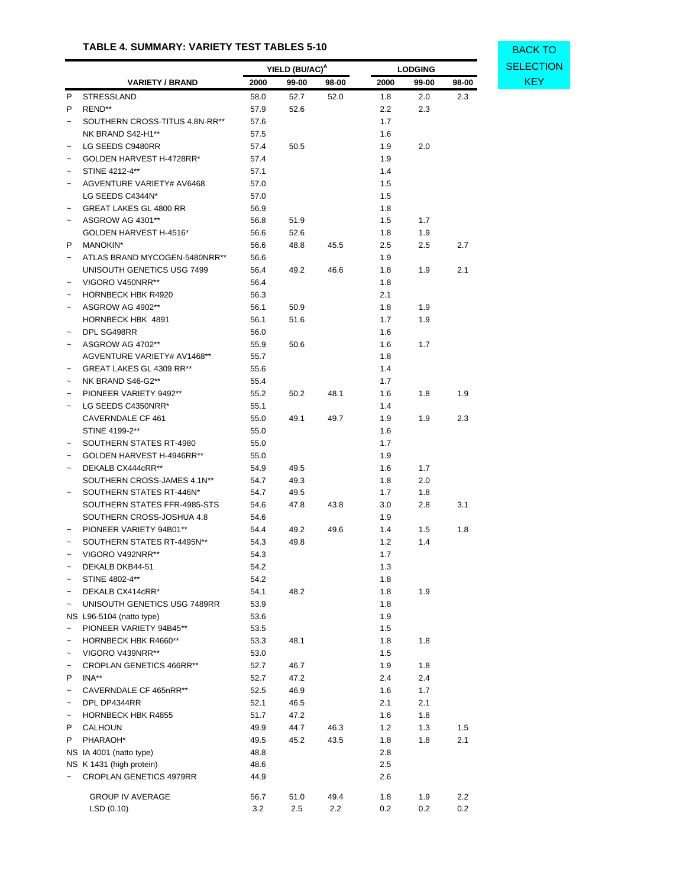### **TABLE 4. SUMMARY: VARIETY TEST TABLES 5-10**

|                           |                                 | YIELD (BU/AC) <sup>A</sup> |       |       | <b>LODGING</b> |       |       | SELECT     |
|---------------------------|---------------------------------|----------------------------|-------|-------|----------------|-------|-------|------------|
|                           | <b>VARIETY / BRAND</b>          | 2000                       | 99-00 | 98-00 | 2000           | 99-00 | 98-00 | <b>KEY</b> |
| P                         | <b>STRESSLAND</b>               | 58.0                       | 52.7  | 52.0  | 1.8            | 2.0   | 2.3   |            |
| P                         | REND**                          | 57.9                       | 52.6  |       | 2.2            | 2.3   |       |            |
| $\tilde{}$                | SOUTHERN CROSS-TITUS 4.8N-RR**  | 57.6                       |       |       | 1.7            |       |       |            |
|                           | NK BRAND S42-H1**               | 57.5                       |       |       | 1.6            |       |       |            |
| $\tilde{}$                | LG SEEDS C9480RR                | 57.4                       | 50.5  |       | 1.9            | 2.0   |       |            |
| $\tilde{}$                | GOLDEN HARVEST H-4728RR*        | 57.4                       |       |       | 1.9            |       |       |            |
|                           | STINE 4212-4**                  | 57.1                       |       |       | 1.4            |       |       |            |
| $\tilde{}$                | AGVENTURE VARIETY# AV6468       | 57.0                       |       |       | 1.5            |       |       |            |
|                           | LG SEEDS C4344N*                | 57.0                       |       |       | 1.5            |       |       |            |
| $\tilde{}$                | <b>GREAT LAKES GL 4800 RR</b>   | 56.9                       |       |       | 1.8            |       |       |            |
| $\tilde{}$                | ASGROW AG 4301**                | 56.8                       | 51.9  |       | 1.5            | 1.7   |       |            |
|                           | GOLDEN HARVEST H-4516*          | 56.6                       | 52.6  |       | 1.8            | 1.9   |       |            |
| P                         | <b>MANOKIN*</b>                 | 56.6                       | 48.8  | 45.5  | 2.5            | 2.5   | 2.7   |            |
| $\tilde{}$                | ATLAS BRAND MYCOGEN-5480NRR**   | 56.6                       |       |       | 1.9            |       |       |            |
|                           | UNISOUTH GENETICS USG 7499      | 56.4                       | 49.2  | 46.6  | 1.8            | 1.9   | 2.1   |            |
| $\tilde{\phantom{a}}$     | VIGORO V450NRR**                | 56.4                       |       |       | 1.8            |       |       |            |
| $\tilde{}$                | <b>HORNBECK HBK R4920</b>       | 56.3                       |       |       | 2.1            |       |       |            |
| $\tilde{}$                | ASGROW AG 4902**                | 56.1                       | 50.9  |       | 1.8            | 1.9   |       |            |
|                           | HORNBECK HBK 4891               | 56.1                       | 51.6  |       | 1.7            | 1.9   |       |            |
|                           | DPL SG498RR                     | 56.0                       |       |       | 1.6            |       |       |            |
|                           | ASGROW AG 4702**                | 55.9                       | 50.6  |       | 1.6            | 1.7   |       |            |
|                           | AGVENTURE VARIETY# AV1468**     | 55.7                       |       |       | 1.8            |       |       |            |
| $\tilde{}$                | GREAT LAKES GL 4309 RR**        | 55.6                       |       |       | 1.4            |       |       |            |
|                           | NK BRAND S46-G2**               | 55.4                       |       |       | 1.7            |       |       |            |
|                           | PIONEER VARIETY 9492**          | 55.2                       | 50.2  | 48.1  | 1.6            | 1.8   | 1.9   |            |
| $\tilde{}$                |                                 |                            |       |       |                |       |       |            |
|                           | LG SEEDS C4350NRR*              | 55.1                       |       |       | 1.4            |       |       |            |
|                           | CAVERNDALE CF 461               | 55.0                       | 49.1  | 49.7  | 1.9            | 1.9   | 2.3   |            |
|                           | STINE 4199-2**                  | 55.0                       |       |       | 1.6            |       |       |            |
| $\tilde{}$                | SOUTHERN STATES RT-4980         | 55.0                       |       |       | 1.7            |       |       |            |
| $\tilde{}$                | GOLDEN HARVEST H-4946RR**       | 55.0                       |       |       | 1.9            |       |       |            |
| $\widetilde{\phantom{m}}$ | DEKALB CX444cRR**               | 54.9                       | 49.5  |       | 1.6            | 1.7   |       |            |
|                           | SOUTHERN CROSS-JAMES 4.1N**     | 54.7                       | 49.3  |       | 1.8            | 2.0   |       |            |
| $\widetilde{\phantom{m}}$ | SOUTHERN STATES RT-446N*        | 54.7                       | 49.5  |       | 1.7            | 1.8   |       |            |
|                           | SOUTHERN STATES FFR-4985-STS    | 54.6                       | 47.8  | 43.8  | 3.0            | 2.8   | 3.1   |            |
|                           | SOUTHERN CROSS-JOSHUA 4.8       | 54.6                       |       |       | 1.9            |       |       |            |
| $\tilde{\phantom{a}}$     | PIONEER VARIETY 94B01**         | 54.4                       | 49.2  | 49.6  | 1.4            | 1.5   | 1.8   |            |
|                           | SOUTHERN STATES RT-4495N**      | 54.3                       | 49.8  |       | 1.2            | 1.4   |       |            |
|                           | VIGORO V492NRR**                | 54.3                       |       |       | 1.7            |       |       |            |
|                           | DEKALB DKB44-51                 | 54.2                       |       |       | 1.3            |       |       |            |
| $\tilde{}$                | STINE 4802-4**                  | 54.2                       |       |       | 1.8            |       |       |            |
|                           | DEKALB CX414cRR*                | 54.1                       | 48.2  |       | 1.8            | 1.9   |       |            |
| $\tilde{}$                | UNISOUTH GENETICS USG 7489RR    | 53.9                       |       |       | 1.8            |       |       |            |
|                           | NS L96-5104 (natto type)        | 53.6                       |       |       | 1.9            |       |       |            |
| $\widetilde{\phantom{m}}$ | PIONEER VARIETY 94B45**         | 53.5                       |       |       | 1.5            |       |       |            |
|                           | HORNBECK HBK R4660**            | 53.3                       | 48.1  |       | 1.8            | 1.8   |       |            |
| $\tilde{}$                | VIGORO V439NRR**                | 53.0                       |       |       | 1.5            |       |       |            |
| $\tilde{}$                | <b>CROPLAN GENETICS 466RR**</b> | 52.7                       | 46.7  |       | 1.9            | 1.8   |       |            |
| P                         | INA**                           | 52.7                       | 47.2  |       | 2.4            | 2.4   |       |            |
| $\tilde{}$                | CAVERNDALE CF 465nRR**          | 52.5                       | 46.9  |       | 1.6            | 1.7   |       |            |
| $\tilde{}$                | DPL DP4344RR                    | 52.1                       | 46.5  |       | 2.1            | 2.1   |       |            |
| $\widetilde{\phantom{m}}$ | <b>HORNBECK HBK R4855</b>       | 51.7                       | 47.2  |       | 1.6            | 1.8   |       |            |
| P                         | <b>CALHOUN</b>                  | 49.9                       | 44.7  | 46.3  | 1.2            | 1.3   | 1.5   |            |
| P                         | PHARAOH*                        | 49.5                       | 45.2  | 43.5  | 1.8            | 1.8   | 2.1   |            |
|                           | NS IA 4001 (natto type)         | 48.8                       |       |       | 2.8            |       |       |            |
|                           | NS K 1431 (high protein)        | 48.6                       |       |       | 2.5            |       |       |            |
|                           | CROPLAN GENETICS 4979RR         | 44.9                       |       |       | 2.6            |       |       |            |
|                           | <b>GROUP IV AVERAGE</b>         | 56.7                       | 51.0  | 49.4  | 1.8            | 1.9   | 2.2   |            |
|                           | LSD (0.10)                      | 3.2                        | 2.5   | 2.2   | 0.2            | 0.2   | 0.2   |            |

BACK TO **YIELECTION**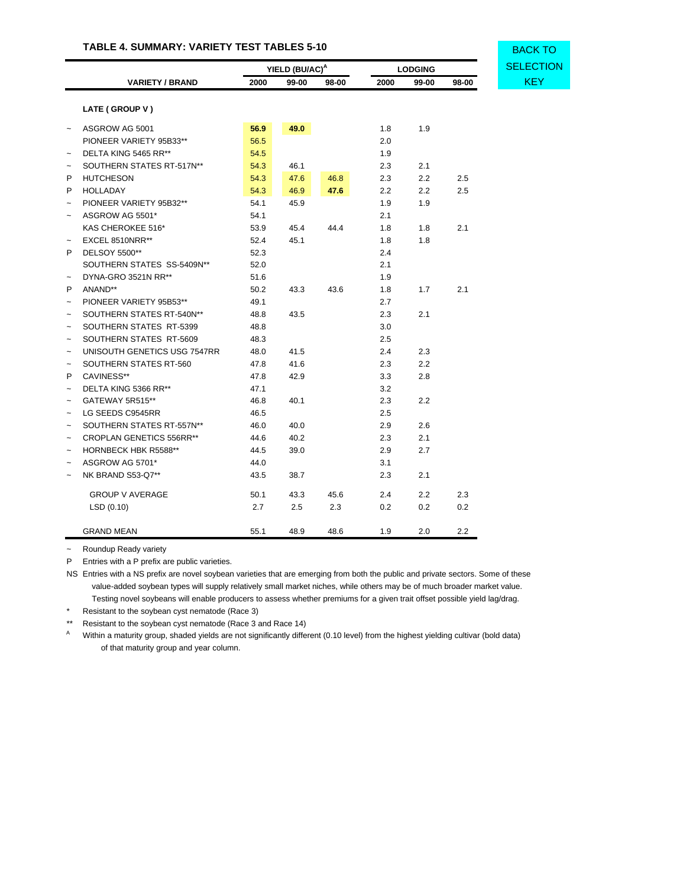### **TABLE 4. SUMMARY: VARIETY TEST TABLES 5-10**

|                                 | YIELD (BU/AC) <sup>A</sup> |       | <b>LODGING</b> |      |       |       |
|---------------------------------|----------------------------|-------|----------------|------|-------|-------|
| <b>VARIETY / BRAND</b>          | 2000                       | 99-00 | 98-00          | 2000 | 99-00 | 98-00 |
| LATE (GROUP V)                  |                            |       |                |      |       |       |
| ASGROW AG 5001                  | 56.9                       | 49.0  |                | 1.8  | 1.9   |       |
| PIONEER VARIETY 95B33**         | 56.5                       |       |                | 2.0  |       |       |
| DELTA KING 5465 RR**            | 54.5                       |       |                | 1.9  |       |       |
| SOUTHERN STATES RT-517N**       | 54.3                       | 46.1  |                | 2.3  | 2.1   |       |
| <b>HUTCHESON</b>                | 54.3                       | 47.6  | 46.8           | 2.3  | 2.2   | 2.5   |
| HOLLADAY                        | 54.3                       | 46.9  | 47.6           | 2.2  | 2.2   | 2.5   |
| PIONEER VARIETY 95B32**         | 54.1                       | 45.9  |                | 1.9  | 1.9   |       |
| ASGROW AG 5501*                 | 54.1                       |       |                | 2.1  |       |       |
| KAS CHEROKEE 516*               | 53.9                       | 45.4  | 44.4           | 1.8  | 1.8   | 2.1   |
| EXCEL 8510NRR**                 | 52.4                       | 45.1  |                | 1.8  | 1.8   |       |
| <b>DELSOY 5500**</b>            | 52.3                       |       |                | 2.4  |       |       |
| SOUTHERN STATES SS-5409N**      | 52.0                       |       |                | 2.1  |       |       |
| DYNA-GRO 3521N RR**             | 51.6                       |       |                | 1.9  |       |       |
| ANAND**                         | 50.2                       | 43.3  | 43.6           | 1.8  | 1.7   | 2.1   |
| PIONEER VARIETY 95B53**         | 49.1                       |       |                | 2.7  |       |       |
| SOUTHERN STATES RT-540N**       | 48.8                       | 43.5  |                | 2.3  | 2.1   |       |
| SOUTHERN STATES RT-5399         | 48.8                       |       |                | 3.0  |       |       |
| SOUTHERN STATES RT-5609         | 48.3                       |       |                | 2.5  |       |       |
| UNISOUTH GENETICS USG 7547RR    | 48.0                       | 41.5  |                | 2.4  | 2.3   |       |
| SOUTHERN STATES RT-560          | 47.8                       | 41.6  |                | 2.3  | 2.2   |       |
| CAVINESS**                      | 47.8                       | 42.9  |                | 3.3  | 2.8   |       |
| DELTA KING 5366 RR**            | 47.1                       |       |                | 3.2  |       |       |
| GATEWAY 5R515**                 | 46.8                       | 40.1  |                | 2.3  | 2.2   |       |
| LG SEEDS C9545RR                | 46.5                       |       |                | 2.5  |       |       |
| SOUTHERN STATES RT-557N**       | 46.0                       | 40.0  |                | 2.9  | 2.6   |       |
| <b>CROPLAN GENETICS 556RR**</b> | 44.6                       | 40.2  |                | 2.3  | 2.1   |       |
| <b>HORNBECK HBK R5588**</b>     | 44.5                       | 39.0  |                | 2.9  | 2.7   |       |
| ASGROW AG 5701*                 | 44.0                       |       |                | 3.1  |       |       |
| NK BRAND S53-Q7**               | 43.5                       | 38.7  |                | 2.3  | 2.1   |       |
| <b>GROUP V AVERAGE</b>          | 50.1                       | 43.3  | 45.6           | 2.4  | 2.2   | 2.3   |
| LSD (0.10)                      | 2.7                        | 2.5   | 2.3            | 0.2  | 0.2   | 0.2   |
| <b>GRAND MEAN</b>               | 55.1                       | 48.9  | 48.6           | 1.9  | 2.0   | 2.2   |

~ Roundup Ready variety

P Entries with a P prefix are public varieties.

NS Entries with a NS prefix are novel soybean varieties that are emerging from both the public and private sectors. Some of these value-added soybean types will supply relatively small market niches, while others may be of much broader market value. Testing novel soybeans will enable producers to assess whether premiums for a given trait offset possible yield lag/drag.

\* Resistant to the soybean cyst nematode (Race 3)

\*\* Resistant to the soybean cyst nematode (Race 3 and Race 14)

<sup>A</sup> Within a maturity group, shaded yields are not significantly different (0.10 level) from the highest yielding cultivar (bold data) of that maturity group and year column.

BACK TO **LECTION**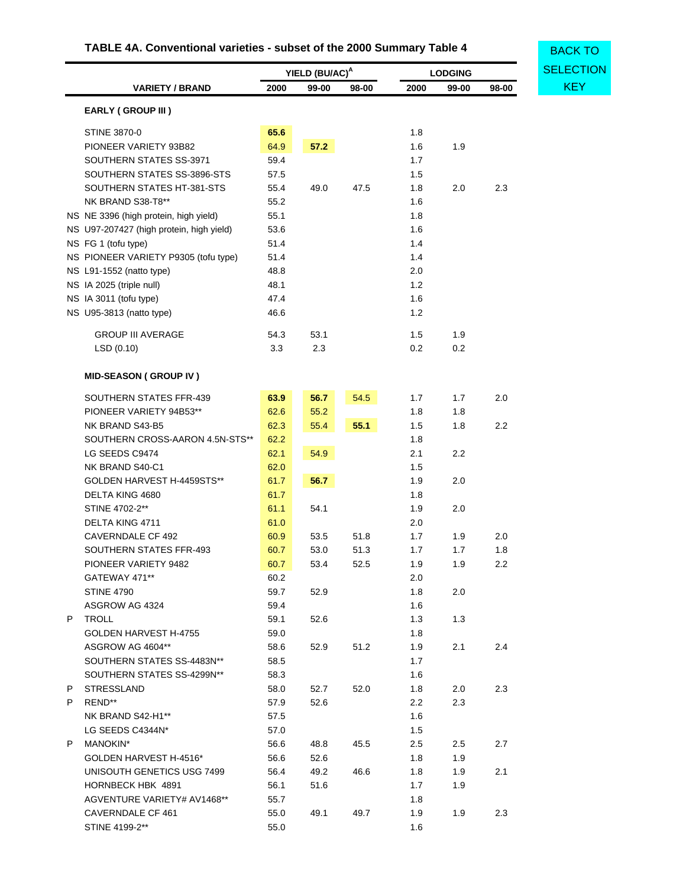# **TABLE 4A. Conventional varieties - subset of the 2000 Summary Table 4**

<span id="page-35-0"></span>

|    |                                          | YIELD (BU/AC) <sup>A</sup> |       |       | <b>LODGING</b> | <b>SELECTION</b> |       |            |
|----|------------------------------------------|----------------------------|-------|-------|----------------|------------------|-------|------------|
|    | <b>VARIETY / BRAND</b>                   | 2000                       | 99-00 | 98-00 | 2000           | 99-00            | 98-00 | <b>KEY</b> |
|    | <b>EARLY (GROUP III)</b>                 |                            |       |       |                |                  |       |            |
|    | <b>STINE 3870-0</b>                      | 65.6                       |       |       | 1.8            |                  |       |            |
|    | PIONEER VARIETY 93B82                    | 64.9                       | 57.2  |       | 1.6            | 1.9              |       |            |
|    | SOUTHERN STATES SS-3971                  | 59.4                       |       |       | 1.7            |                  |       |            |
|    | SOUTHERN STATES SS-3896-STS              | 57.5                       |       |       | 1.5            |                  |       |            |
|    | SOUTHERN STATES HT-381-STS               | 55.4                       | 49.0  | 47.5  | 1.8            | 2.0              | 2.3   |            |
|    | NK BRAND S38-T8**                        | 55.2                       |       |       | 1.6            |                  |       |            |
|    | NS NE 3396 (high protein, high yield)    | 55.1                       |       |       | 1.8            |                  |       |            |
|    | NS U97-207427 (high protein, high yield) | 53.6                       |       |       | 1.6            |                  |       |            |
|    | NS FG 1 (tofu type)                      | 51.4                       |       |       | 1.4            |                  |       |            |
|    | NS PIONEER VARIETY P9305 (tofu type)     | 51.4                       |       |       | 1.4            |                  |       |            |
|    | NS L91-1552 (natto type)                 | 48.8                       |       |       | 2.0            |                  |       |            |
|    | NS IA 2025 (triple null)                 | 48.1                       |       |       | 1.2            |                  |       |            |
|    | NS IA 3011 (tofu type)                   | 47.4                       |       |       | 1.6            |                  |       |            |
|    | NS U95-3813 (natto type)                 | 46.6                       |       |       | 1.2            |                  |       |            |
|    |                                          |                            |       |       |                |                  |       |            |
|    | <b>GROUP III AVERAGE</b>                 | 54.3                       | 53.1  |       | 1.5            | 1.9              |       |            |
|    | LSD(0.10)                                | 3.3                        | 2.3   |       | 0.2            | 0.2              |       |            |
|    | <b>MID-SEASON (GROUP IV)</b>             |                            |       |       |                |                  |       |            |
|    | SOUTHERN STATES FFR-439                  | 63.9                       | 56.7  | 54.5  | 1.7            | 1.7              | 2.0   |            |
|    | PIONEER VARIETY 94B53**                  | 62.6                       | 55.2  |       | 1.8            | 1.8              |       |            |
|    | NK BRAND S43-B5                          | 62.3                       | 55.4  | 55.1  | 1.5            | 1.8              | 2.2   |            |
|    | SOUTHERN CROSS-AARON 4.5N-STS**          | 62.2                       |       |       | 1.8            |                  |       |            |
|    | LG SEEDS C9474                           | 62.1                       | 54.9  |       | 2.1            | $2.2\,$          |       |            |
|    | NK BRAND S40-C1                          | 62.0                       |       |       | 1.5            |                  |       |            |
|    | GOLDEN HARVEST H-4459STS**               | 61.7                       | 56.7  |       | 1.9            | 2.0              |       |            |
|    | DELTA KING 4680                          | 61.7                       |       |       | 1.8            |                  |       |            |
|    | STINE 4702-2**                           | 61.1                       | 54.1  |       | 1.9            | 2.0              |       |            |
|    | DELTA KING 4711                          | 61.0                       |       |       | 2.0            |                  |       |            |
|    | <b>CAVERNDALE CF 492</b>                 | 60.9                       | 53.5  | 51.8  | 1.7            | 1.9              | 2.0   |            |
|    | SOUTHERN STATES FFR-493                  | 60.7                       | 53.0  | 51.3  | 1.7            | 1.7              | 1.8   |            |
|    | PIONEER VARIETY 9482                     | 60.7                       | 53.4  | 52.5  | 1.9            | 1.9              | 2.2   |            |
|    | GATEWAY 471**                            | 60.2                       |       |       | 2.0            |                  |       |            |
|    | <b>STINE 4790</b>                        | 59.7                       | 52.9  |       | 1.8            | 2.0              |       |            |
|    | ASGROW AG 4324                           | 59.4                       |       |       | 1.6            |                  |       |            |
| P  | TROLL                                    | 59.1                       | 52.6  |       | 1.3            | 1.3              |       |            |
|    | GOLDEN HARVEST H-4755                    | 59.0                       |       |       | 1.8            |                  |       |            |
|    | ASGROW AG 4604**                         | 58.6                       | 52.9  | 51.2  | 1.9            | 2.1              | 2.4   |            |
|    | SOUTHERN STATES SS-4483N**               | 58.5                       |       |       | 1.7            |                  |       |            |
|    | SOUTHERN STATES SS-4299N**               | 58.3                       |       |       | 1.6            |                  |       |            |
| P. | STRESSLAND                               | 58.0                       | 52.7  | 52.0  | 1.8            | 2.0              | 2.3   |            |
| P. | REND**                                   | 57.9                       | 52.6  |       | 2.2            | 2.3              |       |            |
|    | NK BRAND S42-H1**                        | 57.5                       |       |       | 1.6            |                  |       |            |
|    | LG SEEDS C4344N*                         | 57.0                       |       |       | 1.5            |                  |       |            |
| P  | MANOKIN*                                 | 56.6                       | 48.8  | 45.5  | 2.5            | 2.5              | 2.7   |            |
|    | GOLDEN HARVEST H-4516*                   | 56.6                       | 52.6  |       | 1.8            | 1.9              |       |            |
|    | UNISOUTH GENETICS USG 7499               | 56.4                       | 49.2  | 46.6  | 1.8            | 1.9              | 2.1   |            |
|    | HORNBECK HBK 4891                        | 56.1                       | 51.6  |       | 1.7            | 1.9              |       |            |
|    | AGVENTURE VARIETY# AV1468**              | 55.7                       |       |       | 1.8            |                  |       |            |
|    | CAVERNDALE CF 461                        | 55.0                       | 49.1  | 49.7  | 1.9            | 1.9              | 2.3   |            |
|    | STINE 4199-2**                           | 55.0                       |       |       | 1.6            |                  |       |            |
|    |                                          |                            |       |       |                |                  |       |            |

**BACK TO**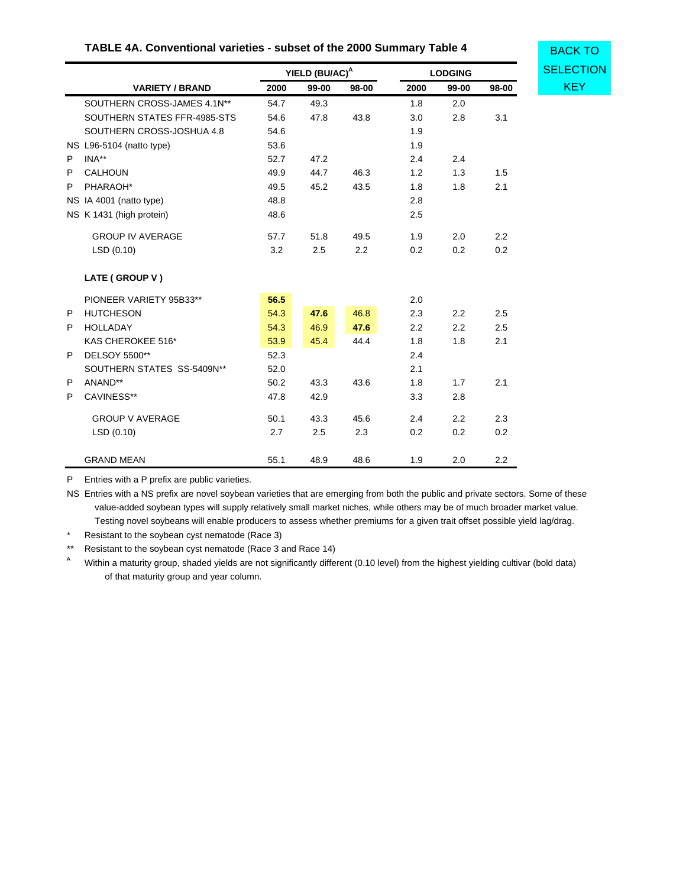| TABLE 4A. Conventional varieties - subset of the 2000 Summary Table 4 |                              |      |                            |       |      |                  |       |                  |  |  |  |
|-----------------------------------------------------------------------|------------------------------|------|----------------------------|-------|------|------------------|-------|------------------|--|--|--|
|                                                                       |                              |      | YIELD (BU/AC) <sup>A</sup> |       |      | <b>LODGING</b>   |       | <b>SELECTION</b> |  |  |  |
|                                                                       | <b>VARIETY / BRAND</b>       | 2000 | 99-00                      | 98-00 | 2000 | 99-00            | 98-00 | <b>KEY</b>       |  |  |  |
|                                                                       | SOUTHERN CROSS-JAMES 4.1N**  | 54.7 | 49.3                       |       | 1.8  | 2.0              |       |                  |  |  |  |
|                                                                       | SOUTHERN STATES FFR-4985-STS | 54.6 | 47.8                       | 43.8  | 3.0  | 2.8              | 3.1   |                  |  |  |  |
|                                                                       | SOUTHERN CROSS-JOSHUA 4.8    | 54.6 |                            |       | 1.9  |                  |       |                  |  |  |  |
|                                                                       | NS L96-5104 (natto type)     | 53.6 |                            |       | 1.9  |                  |       |                  |  |  |  |
| P                                                                     | INA**                        | 52.7 | 47.2                       |       | 2.4  | 2.4              |       |                  |  |  |  |
| P                                                                     | <b>CALHOUN</b>               | 49.9 | 44.7                       | 46.3  | 1.2  | 1.3              | 1.5   |                  |  |  |  |
| P                                                                     | PHARAOH*                     | 49.5 | 45.2                       | 43.5  | 1.8  | 1.8              | 2.1   |                  |  |  |  |
|                                                                       | NS IA 4001 (natto type)      | 48.8 |                            |       | 2.8  |                  |       |                  |  |  |  |
|                                                                       | NS K 1431 (high protein)     | 48.6 |                            |       | 2.5  |                  |       |                  |  |  |  |
|                                                                       | <b>GROUP IV AVERAGE</b>      | 57.7 | 51.8                       | 49.5  | 1.9  | 2.0              | 2.2   |                  |  |  |  |
|                                                                       | LSD(0.10)                    | 3.2  | 2.5                        | 2.2   | 0.2  | 0.2              | 0.2   |                  |  |  |  |
|                                                                       | LATE (GROUP V)               |      |                            |       |      |                  |       |                  |  |  |  |
|                                                                       | PIONEER VARIETY 95B33**      | 56.5 |                            |       | 2.0  |                  |       |                  |  |  |  |
| P                                                                     | <b>HUTCHESON</b>             | 54.3 | 47.6                       | 46.8  | 2.3  | $2.2\phantom{0}$ | 2.5   |                  |  |  |  |
| P                                                                     | <b>HOLLADAY</b>              | 54.3 | 46.9                       | 47.6  | 2.2  | $2.2\phantom{0}$ | 2.5   |                  |  |  |  |
|                                                                       | KAS CHEROKEE 516*            | 53.9 | 45.4                       | 44.4  | 1.8  | 1.8              | 2.1   |                  |  |  |  |
| P                                                                     | DELSOY 5500**                | 52.3 |                            |       | 2.4  |                  |       |                  |  |  |  |
|                                                                       | SOUTHERN STATES SS-5409N**   | 52.0 |                            |       | 2.1  |                  |       |                  |  |  |  |
| P                                                                     | ANAND**                      | 50.2 | 43.3                       | 43.6  | 1.8  | 1.7              | 2.1   |                  |  |  |  |
| P                                                                     | CAVINESS**                   | 47.8 | 42.9                       |       | 3.3  | 2.8              |       |                  |  |  |  |
|                                                                       | <b>GROUP V AVERAGE</b>       | 50.1 | 43.3                       | 45.6  | 2.4  | 2.2              | 2.3   |                  |  |  |  |
|                                                                       | LSD(0.10)                    | 2.7  | 2.5                        | 2.3   | 0.2  | 0.2              | 0.2   |                  |  |  |  |
|                                                                       | <b>GRAND MEAN</b>            | 55.1 | 48.9                       | 48.6  | 1.9  | 2.0              | 2.2   |                  |  |  |  |

### **TABLE 4A. Conventional varieties - subset of the 2000 Summary Table 4**

P Entries with a P prefix are public varieties.

NS Entries with a NS prefix are novel soybean varieties that are emerging from both the public and private sectors. Some of these value-added soybean types will supply relatively small market niches, while others may be of much broader market value. Testing novel soybeans will enable producers to assess whether premiums for a given trait offset possible yield lag/drag.

\* Resistant to the soybean cyst nematode (Race 3)

\*\* Resistant to the soybean cyst nematode (Race 3 and Race 14)

Within a maturity group, shaded yields are not significantly different (0.10 level) from the highest yielding cultivar (bold data) of that maturity group and year column.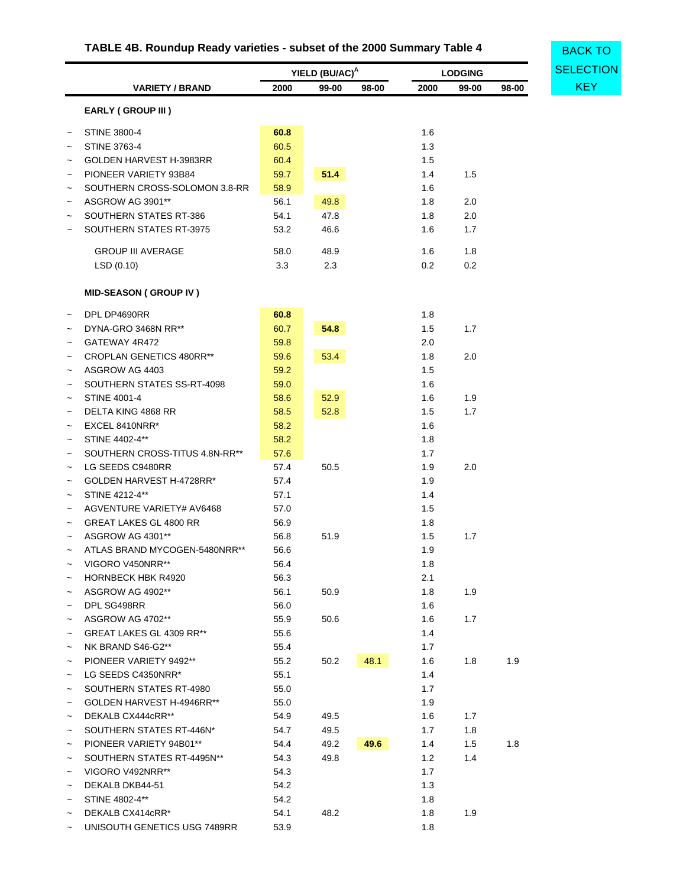# **TABLE 4B. Roundup Ready varieties - subset of the 2000 Summary Table 4**

<span id="page-37-0"></span>

|                           | TABLE 4B. Roundup Ready varieties - subset of the 2000 Summary Table 4 |      |                            |       | <b>BACK TO</b> |                |       |                  |  |  |
|---------------------------|------------------------------------------------------------------------|------|----------------------------|-------|----------------|----------------|-------|------------------|--|--|
|                           |                                                                        |      | YIELD (BU/AC) <sup>A</sup> |       |                | <b>LODGING</b> |       | <b>SELECTION</b> |  |  |
|                           | <b>VARIETY / BRAND</b>                                                 | 2000 | 99-00                      | 98-00 | 2000           | 99-00          | 98-00 | <b>KEY</b>       |  |  |
|                           | EARLY (GROUP III)                                                      |      |                            |       |                |                |       |                  |  |  |
| $\tilde{}$                | <b>STINE 3800-4</b>                                                    | 60.8 |                            |       | 1.6            |                |       |                  |  |  |
|                           | <b>STINE 3763-4</b>                                                    | 60.5 |                            |       | 1.3            |                |       |                  |  |  |
|                           | GOLDEN HARVEST H-3983RR                                                | 60.4 |                            |       | 1.5            |                |       |                  |  |  |
|                           | PIONEER VARIETY 93B84                                                  | 59.7 | 51.4                       |       | 1.4            | 1.5            |       |                  |  |  |
| $\tilde{\phantom{a}}$     | SOUTHERN CROSS-SOLOMON 3.8-RR                                          | 58.9 |                            |       | 1.6            |                |       |                  |  |  |
| $\tilde{\phantom{a}}$     | ASGROW AG 3901**                                                       | 56.1 | 49.8                       |       | 1.8            | 2.0            |       |                  |  |  |
|                           | SOUTHERN STATES RT-386                                                 | 54.1 | 47.8                       |       | 1.8            | 2.0            |       |                  |  |  |
|                           | SOUTHERN STATES RT-3975                                                | 53.2 | 46.6                       |       | 1.6            | 1.7            |       |                  |  |  |
|                           | <b>GROUP III AVERAGE</b>                                               | 58.0 | 48.9                       |       | 1.6            | 1.8            |       |                  |  |  |
|                           | LSD (0.10)                                                             | 3.3  | 2.3                        |       | 0.2            | 0.2            |       |                  |  |  |
|                           | <b>MID-SEASON (GROUP IV)</b>                                           |      |                            |       |                |                |       |                  |  |  |
| $\tilde{}$                | DPL DP4690RR                                                           | 60.8 |                            |       | 1.8            |                |       |                  |  |  |
|                           | DYNA-GRO 3468N RR**                                                    | 60.7 | 54.8                       |       | 1.5            | 1.7            |       |                  |  |  |
|                           | GATEWAY 4R472                                                          | 59.8 |                            |       | 2.0            |                |       |                  |  |  |
|                           | CROPLAN GENETICS 480RR**                                               | 59.6 | 53.4                       |       | 1.8            | 2.0            |       |                  |  |  |
|                           | ASGROW AG 4403                                                         | 59.2 |                            |       | 1.5            |                |       |                  |  |  |
|                           | SOUTHERN STATES SS-RT-4098                                             | 59.0 |                            |       | 1.6            |                |       |                  |  |  |
| $\tilde{}$                | <b>STINE 4001-4</b>                                                    | 58.6 | 52.9                       |       | 1.6            | 1.9            |       |                  |  |  |
|                           | DELTA KING 4868 RR                                                     | 58.5 | 52.8                       |       | 1.5            | 1.7            |       |                  |  |  |
| $\tilde{}$                | EXCEL 8410NRR*                                                         | 58.2 |                            |       | 1.6            |                |       |                  |  |  |
|                           | STINE 4402-4**                                                         | 58.2 |                            |       | 1.8            |                |       |                  |  |  |
| $\tilde{}$                | SOUTHERN CROSS-TITUS 4.8N-RR**                                         | 57.6 |                            |       | 1.7            |                |       |                  |  |  |
| $\tilde{}$                | LG SEEDS C9480RR                                                       | 57.4 | 50.5                       |       | 1.9            | 2.0            |       |                  |  |  |
| $\tilde{}$                | GOLDEN HARVEST H-4728RR*                                               | 57.4 |                            |       | 1.9            |                |       |                  |  |  |
|                           | STINE 4212-4**                                                         | 57.1 |                            |       | 1.4            |                |       |                  |  |  |
| $\tilde{}$                | AGVENTURE VARIETY# AV6468                                              | 57.0 |                            |       | 1.5            |                |       |                  |  |  |
|                           | <b>GREAT LAKES GL 4800 RR</b>                                          | 56.9 |                            |       | 1.8            |                |       |                  |  |  |
| $\tilde{}$                | ASGROW AG 4301**                                                       | 56.8 | 51.9                       |       | 1.5            | 1.7            |       |                  |  |  |
|                           | ATLAS BRAND MYCOGEN-5480NRR**                                          | 56.6 |                            |       | 1.9            |                |       |                  |  |  |
|                           | VIGORO V450NRR**                                                       | 56.4 |                            |       | 1.8            |                |       |                  |  |  |
|                           | <b>HORNBECK HBK R4920</b>                                              | 56.3 |                            |       | 2.1            |                |       |                  |  |  |
|                           | ASGROW AG 4902**                                                       | 56.1 | 50.9                       |       | 1.8            | 1.9            |       |                  |  |  |
|                           | DPL SG498RR                                                            | 56.0 |                            |       | 1.6            |                |       |                  |  |  |
| $\tilde{}$                | ASGROW AG 4702**                                                       | 55.9 | 50.6                       |       | 1.6            | 1.7            |       |                  |  |  |
| $\tilde{}$                | GREAT LAKES GL 4309 RR**                                               | 55.6 |                            |       | 1.4            |                |       |                  |  |  |
| $\tilde{\phantom{a}}$     | NK BRAND S46-G2**                                                      | 55.4 |                            |       | 1.7            |                |       |                  |  |  |
| $\tilde{}$                | PIONEER VARIETY 9492**                                                 | 55.2 | 50.2                       | 48.1  | 1.6            | 1.8            | 1.9   |                  |  |  |
|                           | LG SEEDS C4350NRR*                                                     | 55.1 |                            |       | 1.4            |                |       |                  |  |  |
| $\tilde{}$                | SOUTHERN STATES RT-4980                                                | 55.0 |                            |       | 1.7            |                |       |                  |  |  |
| $\tilde{}$                | GOLDEN HARVEST H-4946RR**                                              | 55.0 |                            |       | 1.9            |                |       |                  |  |  |
| $\tilde{}$                | DEKALB CX444cRR**                                                      | 54.9 | 49.5                       |       | 1.6            | 1.7            |       |                  |  |  |
|                           | SOUTHERN STATES RT-446N*                                               | 54.7 | 49.5                       |       | 1.7            | 1.8            |       |                  |  |  |
| $\tilde{\phantom{a}}$     | PIONEER VARIETY 94B01**                                                | 54.4 | 49.2                       | 49.6  | 1.4            | 1.5            | 1.8   |                  |  |  |
| $\tilde{\phantom{a}}$     | SOUTHERN STATES RT-4495N**                                             | 54.3 | 49.8                       |       | 1.2            | 1.4            |       |                  |  |  |
|                           | VIGORO V492NRR**                                                       | 54.3 |                            |       | 1.7            |                |       |                  |  |  |
|                           | DEKALB DKB44-51                                                        | 54.2 |                            |       | 1.3            |                |       |                  |  |  |
| $\tilde{\phantom{a}}$     | STINE 4802-4**                                                         | 54.2 |                            |       | 1.8            |                |       |                  |  |  |
|                           | DEKALB CX414cRR*                                                       | 54.1 | 48.2                       |       | 1.8            | 1.9            |       |                  |  |  |
| $\widetilde{\phantom{m}}$ | UNISOUTH GENETICS USG 7489RR                                           | 53.9 |                            |       | 1.8            |                |       |                  |  |  |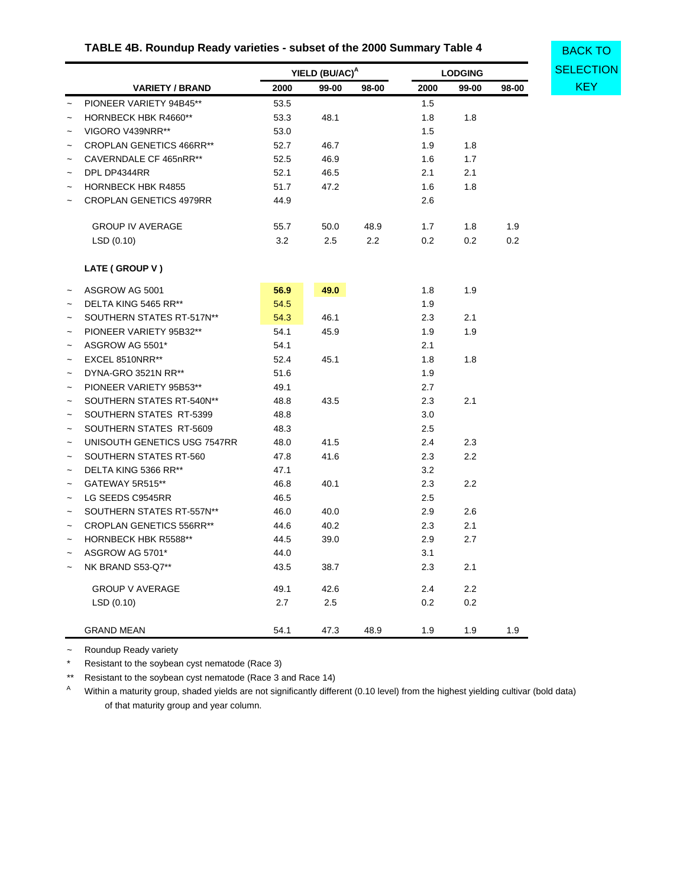# **TABLE 4B. Roundup Ready varieties - subset of the 2000 Summary Table 4**

|                       |                                 | YIELD (BU/AC) <sup>A</sup> |         | <b>LODGING</b> |         | <b>SELECT</b> |       |            |
|-----------------------|---------------------------------|----------------------------|---------|----------------|---------|---------------|-------|------------|
|                       | <b>VARIETY / BRAND</b>          | 2000                       | 99-00   | 98-00          | 2000    | 99-00         | 98-00 | <b>KEY</b> |
|                       | PIONEER VARIETY 94B45**         | 53.5                       |         |                | 1.5     |               |       |            |
| $\tilde{}$            | HORNBECK HBK R4660**            | 53.3                       | 48.1    |                | 1.8     | 1.8           |       |            |
| $\tilde{\phantom{a}}$ | VIGORO V439NRR**                | 53.0                       |         |                | 1.5     |               |       |            |
| $\overline{ }$        | <b>CROPLAN GENETICS 466RR**</b> | 52.7                       | 46.7    |                | 1.9     | 1.8           |       |            |
| $\overline{ }$        | CAVERNDALE CF 465nRR**          | 52.5                       | 46.9    |                | 1.6     | 1.7           |       |            |
| $\tilde{ }$           | DPL DP4344RR                    | 52.1                       | 46.5    |                | 2.1     | 2.1           |       |            |
|                       | <b>HORNBECK HBK R4855</b>       | 51.7                       | 47.2    |                | 1.6     | 1.8           |       |            |
|                       | <b>CROPLAN GENETICS 4979RR</b>  | 44.9                       |         |                | 2.6     |               |       |            |
|                       | <b>GROUP IV AVERAGE</b>         | 55.7                       | 50.0    | 48.9           | 1.7     | 1.8           | 1.9   |            |
|                       | LSD(0.10)                       | 3.2                        | $2.5\,$ | 2.2            | 0.2     | 0.2           | 0.2   |            |
|                       | LATE (GROUP V)                  |                            |         |                |         |               |       |            |
| $\tilde{}$            | ASGROW AG 5001                  | 56.9                       | 49.0    |                | 1.8     | 1.9           |       |            |
| $\overline{ }$        | DELTA KING 5465 RR**            | 54.5                       |         |                | 1.9     |               |       |            |
| $\tilde{ }$           | SOUTHERN STATES RT-517N**       | 54.3                       | 46.1    |                | 2.3     | 2.1           |       |            |
| $\tilde{ }$           | PIONEER VARIETY 95B32**         | 54.1                       | 45.9    |                | 1.9     | 1.9           |       |            |
| $\overline{ }$        | ASGROW AG 5501*                 | 54.1                       |         |                | 2.1     |               |       |            |
|                       | EXCEL 8510NRR**                 | 52.4                       | 45.1    |                | 1.8     | 1.8           |       |            |
| $\overline{ }$        | DYNA-GRO 3521N RR**             | 51.6                       |         |                | 1.9     |               |       |            |
|                       | PIONEER VARIETY 95B53**         | 49.1                       |         |                | 2.7     |               |       |            |
| $\tilde{\phantom{a}}$ | SOUTHERN STATES RT-540N**       | 48.8                       | 43.5    |                | 2.3     | 2.1           |       |            |
| $\tilde{}$            | SOUTHERN STATES RT-5399         | 48.8                       |         |                | 3.0     |               |       |            |
| $\tilde{}$            | SOUTHERN STATES RT-5609         | 48.3                       |         |                | $2.5\,$ |               |       |            |
| $\tilde{ }$           | UNISOUTH GENETICS USG 7547RR    | 48.0                       | 41.5    |                | 2.4     | 2.3           |       |            |
| $\tilde{}$            | SOUTHERN STATES RT-560          | 47.8                       | 41.6    |                | 2.3     | 2.2           |       |            |
| $\tilde{\phantom{a}}$ | DELTA KING 5366 RR**            | 47.1                       |         |                | 3.2     |               |       |            |
| $\tilde{\phantom{a}}$ | GATEWAY 5R515**                 | 46.8                       | 40.1    |                | 2.3     | 2.2           |       |            |
|                       | LG SEEDS C9545RR                | 46.5                       |         |                | 2.5     |               |       |            |
| $\overline{ }$        | SOUTHERN STATES RT-557N**       | 46.0                       | 40.0    |                | 2.9     | 2.6           |       |            |
| $\overline{ }$        | <b>CROPLAN GENETICS 556RR**</b> | 44.6                       | 40.2    |                | 2.3     | 2.1           |       |            |
| $\tilde{ }$           | <b>HORNBECK HBK R5588**</b>     | 44.5                       | 39.0    |                | 2.9     | 2.7           |       |            |
| $\tilde{ }$           | ASGROW AG 5701*                 | 44.0                       |         |                | 3.1     |               |       |            |
| $\tilde{}$            | NK BRAND S53-Q7**               | 43.5                       | 38.7    |                | 2.3     | 2.1           |       |            |
|                       | <b>GROUP V AVERAGE</b>          | 49.1                       | 42.6    |                | 2.4     | 2.2           |       |            |
|                       | LSD(0.10)                       | 2.7                        | 2.5     |                | 0.2     | 0.2           |       |            |

~ Roundup Ready variety

\* Resistant to the soybean cyst nematode (Race 3)

\*\* Resistant to the soybean cyst nematode (Race 3 and Race 14)

<sup>A</sup> Within a maturity group, shaded yields are not significantly different (0.10 level) from the highest yielding cultivar (bold data) of that maturity group and year column.

GRAND MEAN 54.1 47.3 48.9 1.9 1.9 1.9

BACK TO **[SELECTION](#page-31-0)**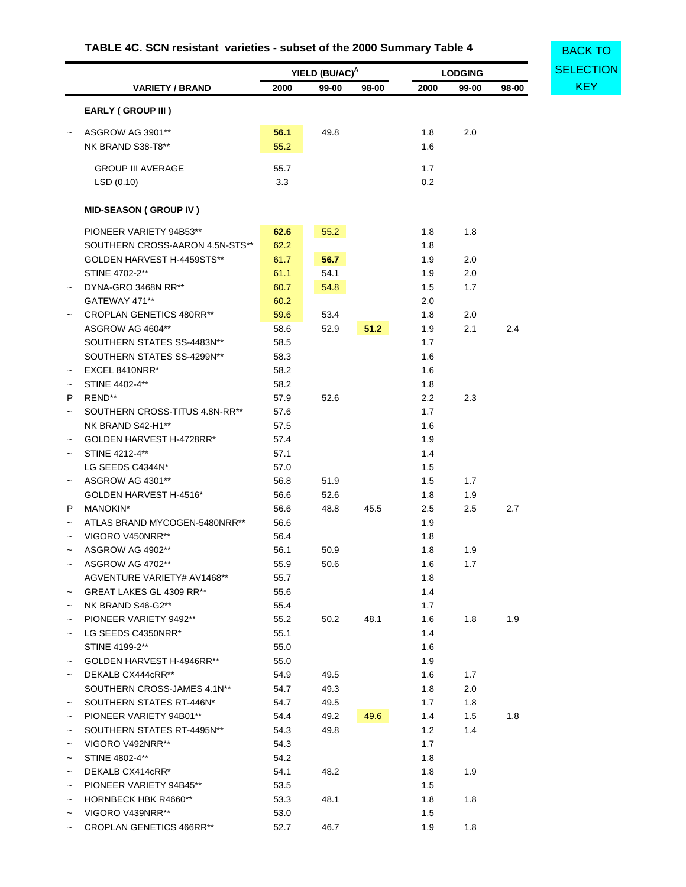# **TABLE 4C. SCN resistant varieties - subset of the 2000 Summary Table 4**

<span id="page-39-0"></span>

|                       |                                 |      | YIELD (BU/AC) <sup>A</sup> |       |      | <b>LODGING</b> |       | <b>SELECTIC</b> |
|-----------------------|---------------------------------|------|----------------------------|-------|------|----------------|-------|-----------------|
|                       | <b>VARIETY / BRAND</b>          | 2000 | 99-00                      | 98-00 | 2000 | 99-00          | 98-00 | <b>KEY</b>      |
|                       | <b>EARLY (GROUP III)</b>        |      |                            |       |      |                |       |                 |
|                       | ASGROW AG 3901**                | 56.1 | 49.8                       |       | 1.8  | 2.0            |       |                 |
|                       | NK BRAND S38-T8**               | 55.2 |                            |       | 1.6  |                |       |                 |
|                       | <b>GROUP III AVERAGE</b>        | 55.7 |                            |       | 1.7  |                |       |                 |
|                       | LSD(0.10)                       | 3.3  |                            |       | 0.2  |                |       |                 |
|                       | <b>MID-SEASON (GROUP IV)</b>    |      |                            |       |      |                |       |                 |
|                       | PIONEER VARIETY 94B53**         | 62.6 | 55.2                       |       | 1.8  | 1.8            |       |                 |
|                       | SOUTHERN CROSS-AARON 4.5N-STS** | 62.2 |                            |       | 1.8  |                |       |                 |
|                       | GOLDEN HARVEST H-4459STS**      | 61.7 | 56.7                       |       | 1.9  | 2.0            |       |                 |
|                       | STINE 4702-2**                  | 61.1 | 54.1                       |       | 1.9  | 2.0            |       |                 |
|                       | DYNA-GRO 3468N RR**             | 60.7 | 54.8                       |       | 1.5  | 1.7            |       |                 |
|                       | GATEWAY 471**                   | 60.2 |                            |       | 2.0  |                |       |                 |
|                       | <b>CROPLAN GENETICS 480RR**</b> | 59.6 | 53.4                       |       | 1.8  | 2.0            |       |                 |
|                       | ASGROW AG 4604**                | 58.6 | 52.9                       | 51.2  | 1.9  | 2.1            | 2.4   |                 |
|                       | SOUTHERN STATES SS-4483N**      | 58.5 |                            |       | 1.7  |                |       |                 |
|                       | SOUTHERN STATES SS-4299N**      | 58.3 |                            |       | 1.6  |                |       |                 |
| $\tilde{}$            | EXCEL 8410NRR*                  | 58.2 |                            |       | 1.6  |                |       |                 |
| $\tilde{}$            | STINE 4402-4**                  | 58.2 |                            |       | 1.8  |                |       |                 |
| P                     | REND**                          | 57.9 | 52.6                       |       | 2.2  | 2.3            |       |                 |
| $\tilde{\phantom{a}}$ | SOUTHERN CROSS-TITUS 4.8N-RR**  | 57.6 |                            |       | 1.7  |                |       |                 |
|                       | NK BRAND S42-H1**               | 57.5 |                            |       | 1.6  |                |       |                 |
|                       | GOLDEN HARVEST H-4728RR*        | 57.4 |                            |       | 1.9  |                |       |                 |
|                       | STINE 4212-4**                  | 57.1 |                            |       | 1.4  |                |       |                 |
|                       | LG SEEDS C4344N*                | 57.0 |                            |       | 1.5  |                |       |                 |
|                       | ASGROW AG 4301**                | 56.8 | 51.9                       |       | 1.5  | 1.7            |       |                 |
|                       | GOLDEN HARVEST H-4516*          | 56.6 | 52.6                       |       | 1.8  | 1.9            |       |                 |
| P                     | MANOKIN*                        | 56.6 | 48.8                       | 45.5  | 2.5  | 2.5            | 2.7   |                 |
| $\tilde{\phantom{a}}$ | ATLAS BRAND MYCOGEN-5480NRR**   | 56.6 |                            |       | 1.9  |                |       |                 |
|                       | VIGORO V450NRR**                | 56.4 |                            |       | 1.8  |                |       |                 |
|                       | ASGROW AG 4902**                | 56.1 | 50.9                       |       | 1.8  | 1.9            |       |                 |
| $\tilde{}$            | ASGROW AG 4702**                | 55.9 | 50.6                       |       | 1.6  | 1.7            |       |                 |
|                       | AGVENTURE VARIETY# AV1468**     | 55.7 |                            |       | 1.8  |                |       |                 |
| $\tilde{}$            | GREAT LAKES GL 4309 RR**        | 55.6 |                            |       | 1.4  |                |       |                 |
|                       | NK BRAND S46-G2**               | 55.4 |                            |       | 1.7  |                |       |                 |
|                       | PIONEER VARIETY 9492**          | 55.2 | 50.2                       | 48.1  | 1.6  | 1.8            | 1.9   |                 |
| $\tilde{}$            | LG SEEDS C4350NRR*              | 55.1 |                            |       | 1.4  |                |       |                 |
|                       | STINE 4199-2**                  | 55.0 |                            |       | 1.6  |                |       |                 |
|                       | GOLDEN HARVEST H-4946RR**       | 55.0 |                            |       | 1.9  |                |       |                 |
| $\tilde{}$            | DEKALB CX444cRR**               | 54.9 | 49.5                       |       | 1.6  | 1.7            |       |                 |
|                       | SOUTHERN CROSS-JAMES 4.1N**     | 54.7 | 49.3                       |       | 1.8  | 2.0            |       |                 |
|                       | SOUTHERN STATES RT-446N*        | 54.7 | 49.5                       |       | 1.7  | 1.8            |       |                 |
| $\tilde{}$            | PIONEER VARIETY 94B01**         |      |                            | 49.6  | 1.4  |                | 1.8   |                 |
| $\tilde{}$            | SOUTHERN STATES RT-4495N**      | 54.4 | 49.2<br>49.8               |       | 1.2  | 1.5<br>1.4     |       |                 |
| $\tilde{}$            |                                 | 54.3 |                            |       |      |                |       |                 |
|                       | VIGORO V492NRR**                | 54.3 |                            |       | 1.7  |                |       |                 |
| $\tilde{}$            | STINE 4802-4**                  | 54.2 |                            |       | 1.8  |                |       |                 |
| $\tilde{}$            | DEKALB CX414cRR*                | 54.1 | 48.2                       |       | 1.8  | 1.9            |       |                 |
|                       | PIONEER VARIETY 94B45**         | 53.5 |                            |       | 1.5  |                |       |                 |
|                       | <b>HORNBECK HBK R4660**</b>     | 53.3 | 48.1                       |       | 1.8  | 1.8            |       |                 |
| $\tilde{}$            | VIGORO V439NRR**                | 53.0 |                            |       | 1.5  |                |       |                 |
| $\tilde{}$            | <b>CROPLAN GENETICS 466RR**</b> | 52.7 | 46.7                       |       | 1.9  | 1.8            |       |                 |

**BACK TO** )N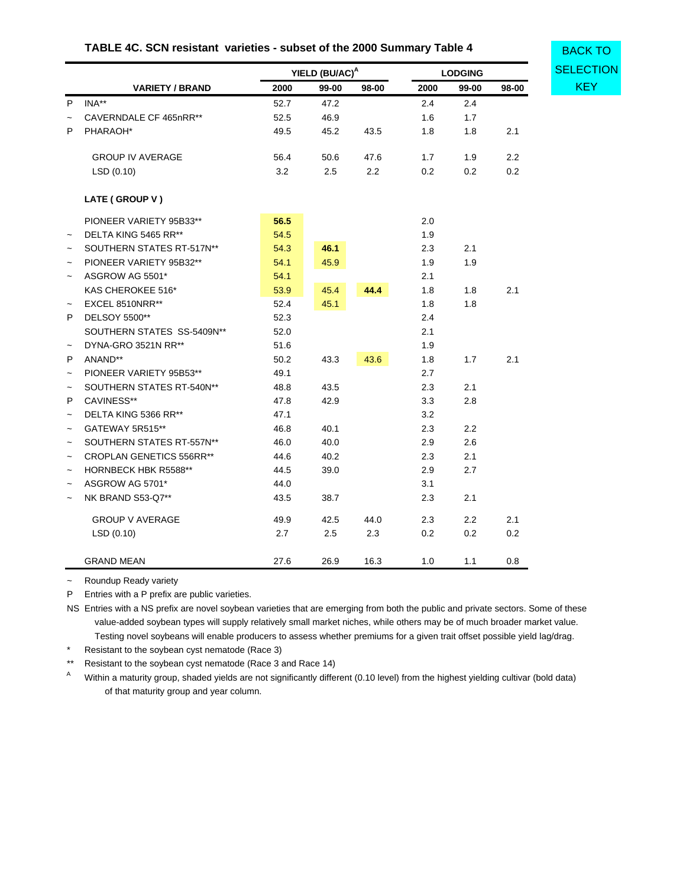|  | TABLE 4C. SCN resistant varieties - subset of the 2000 Summary Table 4 |  |
|--|------------------------------------------------------------------------|--|
|--|------------------------------------------------------------------------|--|

|                                      |                        |      | YIELD (BU/AC) <sup>A</sup> |       |      | <b>LODGING</b> |                  |
|--------------------------------------|------------------------|------|----------------------------|-------|------|----------------|------------------|
|                                      | <b>VARIETY / BRAND</b> | 2000 | 99-00                      | 98-00 | 2000 | 99-00          | 98-00            |
| INA**<br>P                           |                        | 52.7 | 47.2                       |       | 2.4  | 2.4            |                  |
| CAVERNDALE CF 465nRR**<br>$\tilde{}$ |                        | 52.5 | 46.9                       |       | 1.6  | 1.7            |                  |
| P<br>PHARAOH*                        |                        | 49.5 | 45.2                       | 43.5  | 1.8  | 1.8            | 2.1              |
| <b>GROUP IV AVERAGE</b>              |                        | 56.4 | 50.6                       | 47.6  | 1.7  | 1.9            | $2.2\phantom{0}$ |
| LSD(0.10)                            |                        | 3.2  | 2.5                        | 2.2   | 0.2  | 0.2            | 0.2              |
|                                      |                        |      |                            |       |      |                |                  |
| LATE (GROUP V)                       |                        |      |                            |       |      |                |                  |
| PIONEER VARIETY 95B33**              |                        | 56.5 |                            |       | 2.0  |                |                  |
| DELTA KING 5465 RR**                 |                        | 54.5 |                            |       | 1.9  |                |                  |
| SOUTHERN STATES RT-517N**            |                        | 54.3 | 46.1                       |       | 2.3  | 2.1            |                  |
| PIONEER VARIETY 95B32**              |                        | 54.1 | 45.9                       |       | 1.9  | 1.9            |                  |
| ASGROW AG 5501*                      |                        | 54.1 |                            |       | 2.1  |                |                  |
| KAS CHEROKEE 516*                    |                        | 53.9 | 45.4                       | 44.4  | 1.8  | 1.8            | 2.1              |
| EXCEL 8510NRR**                      |                        | 52.4 | 45.1                       |       | 1.8  | 1.8            |                  |
| DELSOY 5500**                        |                        | 52.3 |                            |       | 2.4  |                |                  |
| SOUTHERN STATES SS-5409N**           |                        | 52.0 |                            |       | 2.1  |                |                  |
| DYNA-GRO 3521N RR**                  |                        | 51.6 |                            |       | 1.9  |                |                  |
| ANAND**                              |                        | 50.2 | 43.3                       | 43.6  | 1.8  | 1.7            | 2.1              |
| PIONEER VARIETY 95B53**              |                        | 49.1 |                            |       | 2.7  |                |                  |
| SOUTHERN STATES RT-540N**            |                        | 48.8 | 43.5                       |       | 2.3  | 2.1            |                  |
| CAVINESS**                           |                        | 47.8 | 42.9                       |       | 3.3  | 2.8            |                  |
| DELTA KING 5366 RR**                 |                        | 47.1 |                            |       | 3.2  |                |                  |
| GATEWAY 5R515**                      |                        | 46.8 | 40.1                       |       | 2.3  | 2.2            |                  |
| SOUTHERN STATES RT-557N**            |                        | 46.0 | 40.0                       |       | 2.9  | 2.6            |                  |
| <b>CROPLAN GENETICS 556RR**</b>      |                        | 44.6 | 40.2                       |       | 2.3  | 2.1            |                  |
| <b>HORNBECK HBK R5588**</b>          |                        | 44.5 | 39.0                       |       | 2.9  | 2.7            |                  |
| ASGROW AG 5701*                      |                        | 44.0 |                            |       | 3.1  |                |                  |
| NK BRAND S53-Q7**                    |                        | 43.5 | 38.7                       |       | 2.3  | 2.1            |                  |
| <b>GROUP V AVERAGE</b>               |                        | 49.9 | 42.5                       | 44.0  | 2.3  | 2.2            | 2.1              |
| LSD(0.10)                            |                        | 2.7  | 2.5                        | 2.3   | 0.2  | 0.2            | 0.2              |
| <b>GRAND MEAN</b>                    |                        | 27.6 | 26.9                       | 16.3  | 1.0  | 1.1            | 0.8              |

~ Roundup Ready variety

P Entries with a P prefix are public varieties.

NS Entries with a NS prefix are novel soybean varieties that are emerging from both the public and private sectors. Some of these value-added soybean types will supply relatively small market niches, while others may be of much broader market value. Testing novel soybeans will enable producers to assess whether premiums for a given trait offset possible yield lag/drag.

\* Resistant to the soybean cyst nematode (Race 3)

\*\* Resistant to the soybean cyst nematode (Race 3 and Race 14)

A Within a maturity group, shaded yields are not significantly different (0.10 level) from the highest yielding cultivar (bold data) of that maturity group and year column.

BACK TO **[SELECTION](#page-31-0)**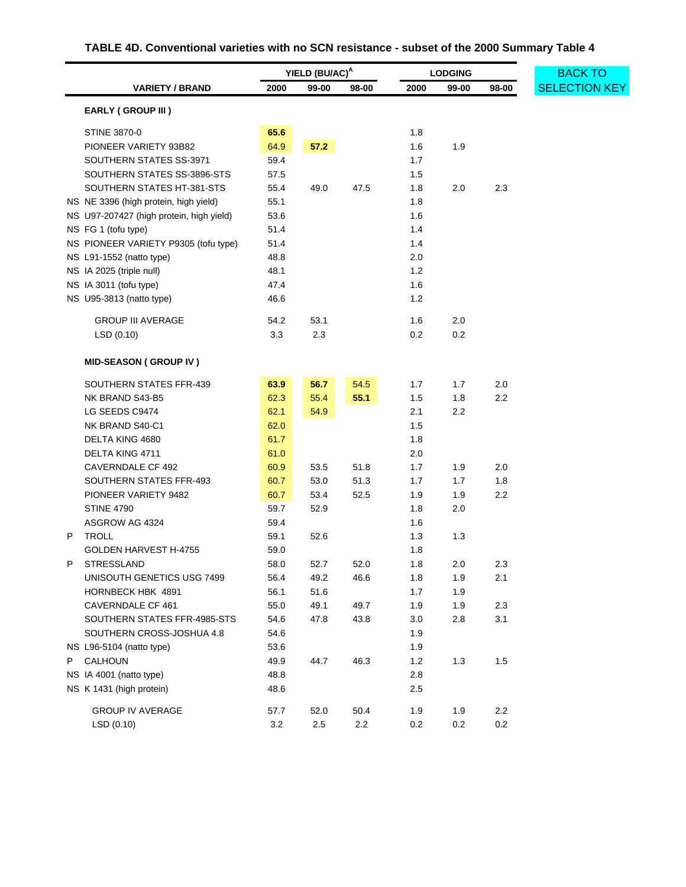# **TABLE 4D. Conventional varieties with no SCN resistance - subset of the 2000 Summary Table 4**

<span id="page-41-0"></span>

|                                                 | YIELD (BU/AC) <sup>A</sup> |              |       | <b>LODGING</b> | <b>BACK TO</b> |         |                      |
|-------------------------------------------------|----------------------------|--------------|-------|----------------|----------------|---------|----------------------|
| <b>VARIETY / BRAND</b>                          | 2000                       | 99-00        | 98-00 | 2000           | 99-00          | 98-00   | <b>SELECTION KEY</b> |
| EARLY (GROUP III)                               |                            |              |       |                |                |         |                      |
| STINE 3870-0                                    | 65.6                       |              |       | 1.8            |                |         |                      |
| PIONEER VARIETY 93B82                           | 64.9                       | 57.2         |       | 1.6            | 1.9            |         |                      |
| SOUTHERN STATES SS-3971                         | 59.4                       |              |       | 1.7            |                |         |                      |
| SOUTHERN STATES SS-3896-STS                     | 57.5                       |              |       | 1.5            |                |         |                      |
| SOUTHERN STATES HT-381-STS                      | 55.4                       | 49.0         | 47.5  | 1.8            | 2.0            | 2.3     |                      |
| NS NE 3396 (high protein, high yield)           | 55.1                       |              |       | 1.8            |                |         |                      |
| NS U97-207427 (high protein, high yield)        | 53.6                       |              |       | 1.6            |                |         |                      |
| NS FG 1 (tofu type)                             | 51.4                       |              |       | 1.4            |                |         |                      |
| NS PIONEER VARIETY P9305 (tofu type)            | 51.4                       |              |       | 1.4            |                |         |                      |
| NS L91-1552 (natto type)                        | 48.8                       |              |       | 2.0            |                |         |                      |
| NS IA 2025 (triple null)                        | 48.1                       |              |       | 1.2            |                |         |                      |
| NS IA 3011 (tofu type)                          | 47.4                       |              |       | 1.6            |                |         |                      |
| NS U95-3813 (natto type)                        | 46.6                       |              |       | 1.2            |                |         |                      |
| <b>GROUP III AVERAGE</b>                        | 54.2                       | 53.1         |       | 1.6            | 2.0            |         |                      |
| LSD(0.10)                                       | 3.3                        | 2.3          |       | 0.2            | 0.2            |         |                      |
|                                                 |                            |              |       |                |                |         |                      |
| <b>MID-SEASON (GROUP IV)</b>                    |                            |              |       |                |                |         |                      |
| SOUTHERN STATES FFR-439                         | 63.9                       | 56.7         | 54.5  | 1.7            | 1.7            | 2.0     |                      |
| NK BRAND S43-B5                                 | 62.3                       | 55.4         | 55.1  | 1.5            | 1.8            | 2.2     |                      |
| LG SEEDS C9474                                  | 62.1                       | 54.9         |       | 2.1            | 2.2            |         |                      |
| NK BRAND S40-C1                                 | 62.0                       |              |       | 1.5            |                |         |                      |
| DELTA KING 4680                                 | 61.7                       |              |       | 1.8            |                |         |                      |
| DELTA KING 4711                                 | 61.0                       |              |       | 2.0            |                |         |                      |
| CAVERNDALE CF 492                               | 60.9                       | 53.5         | 51.8  | 1.7            | 1.9            | 2.0     |                      |
| SOUTHERN STATES FFR-493                         | 60.7                       | 53.0         | 51.3  | 1.7            | 1.7            | 1.8     |                      |
| PIONEER VARIETY 9482                            | 60.7                       | 53.4         | 52.5  | 1.9            | 1.9            | 2.2     |                      |
| <b>STINE 4790</b>                               | 59.7                       | 52.9         |       | 1.8            | 2.0            |         |                      |
| ASGROW AG 4324                                  | 59.4                       |              |       | 1.6            |                |         |                      |
| <b>TROLL</b><br>P                               | 59.1                       | 52.6         |       | 1.3            | 1.3            |         |                      |
| GOLDEN HARVEST H-4755                           | 59.0                       |              |       | 1.8            |                |         |                      |
| STRESSLAND<br>٢                                 | 58.0                       | 52.7         | 52.0  | 1.8            | 2.0            | 2.3     |                      |
| UNISOUTH GENETICS USG 7499<br>HORNBECK HBK 4891 | 56.4<br>56.1               | 49.2<br>51.6 | 46.6  | 1.8<br>1.7     | 1.9            | 2.1     |                      |
| CAVERNDALE CF 461                               | 55.0                       | 49.1         | 49.7  | 1.9            | 1.9<br>1.9     | 2.3     |                      |
| SOUTHERN STATES FFR-4985-STS                    | 54.6                       | 47.8         | 43.8  | 3.0            | 2.8            | 3.1     |                      |
| SOUTHERN CROSS-JOSHUA 4.8                       | 54.6                       |              |       | 1.9            |                |         |                      |
| NS L96-5104 (natto type)                        | 53.6                       |              |       | 1.9            |                |         |                      |
| <b>CALHOUN</b><br>P.                            | 49.9                       | 44.7         | 46.3  | 1.2            | 1.3            | 1.5     |                      |
| NS IA 4001 (natto type)                         | 48.8                       |              |       | 2.8            |                |         |                      |
| NS K 1431 (high protein)                        | 48.6                       |              |       | 2.5            |                |         |                      |
|                                                 |                            |              |       |                |                |         |                      |
| <b>GROUP IV AVERAGE</b>                         | 57.7                       | 52.0         | 50.4  | 1.9            | 1.9            | $2.2\,$ |                      |
| LSD (0.10)                                      | 3.2                        | $2.5\,$      | 2.2   | 0.2            | $0.2\,$        | $0.2\,$ |                      |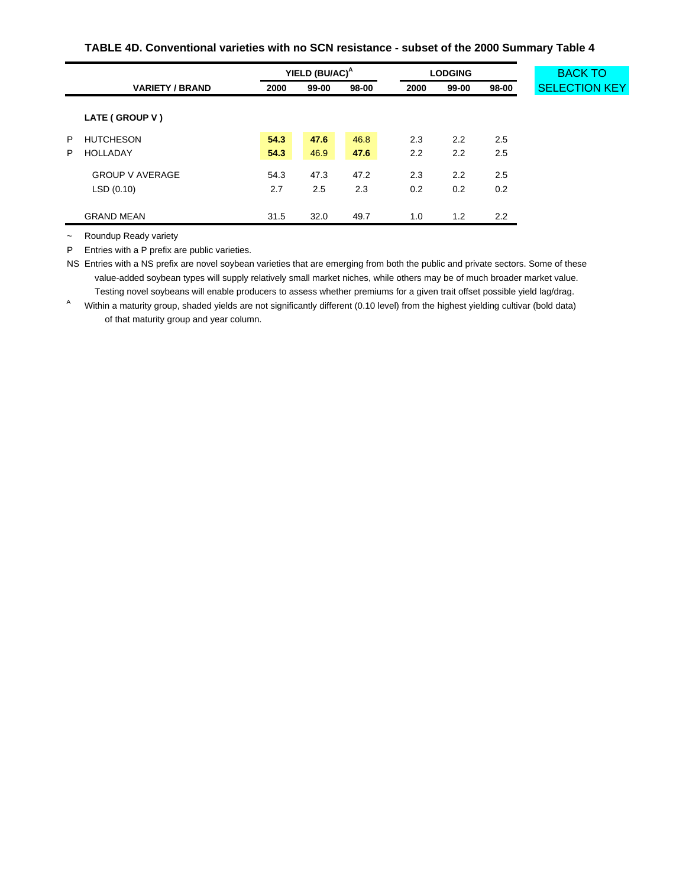### **TABLE 4D. Conventional varieties with no SCN resistance - subset of the 2000 Summary Table 4**

|        |                                     |              | YIELD (BU/AC) <sup>A</sup> |              |            | <b>LODGING</b> |            | <b>BACK TO</b>       |  |
|--------|-------------------------------------|--------------|----------------------------|--------------|------------|----------------|------------|----------------------|--|
|        | <b>VARIETY / BRAND</b>              | 2000         | $99-00$                    | 98-00        | 2000       | 99-00          | 98-00      | <b>SELECTION KEY</b> |  |
|        | LATE (GROUP V)                      |              |                            |              |            |                |            |                      |  |
| P<br>P | <b>HUTCHESON</b><br><b>HOLLADAY</b> | 54.3<br>54.3 | 47.6<br>46.9               | 46.8<br>47.6 | 2.3<br>2.2 | 2.2<br>2.2     | 2.5<br>2.5 |                      |  |
|        | <b>GROUP V AVERAGE</b><br>LSD(0.10) | 54.3<br>2.7  | 47.3<br>2.5                | 47.2<br>2.3  | 2.3<br>0.2 | 2.2<br>0.2     | 2.5<br>0.2 |                      |  |
|        | <b>GRAND MEAN</b>                   | 31.5         | 32.0                       | 49.7         | 1.0        | 1.2            | 2.2        |                      |  |

~ Roundup Ready variety

P Entries with a P prefix are public varieties.

NS Entries with a NS prefix are novel soybean varieties that are emerging from both the public and private sectors. Some of these value-added soybean types will supply relatively small market niches, while others may be of much broader market value. Testing novel soybeans will enable producers to assess whether premiums for a given trait offset possible yield lag/drag.

A Within a maturity group, shaded yields are not significantly different (0.10 level) from the highest yielding cultivar (bold data) of that maturity group and year column.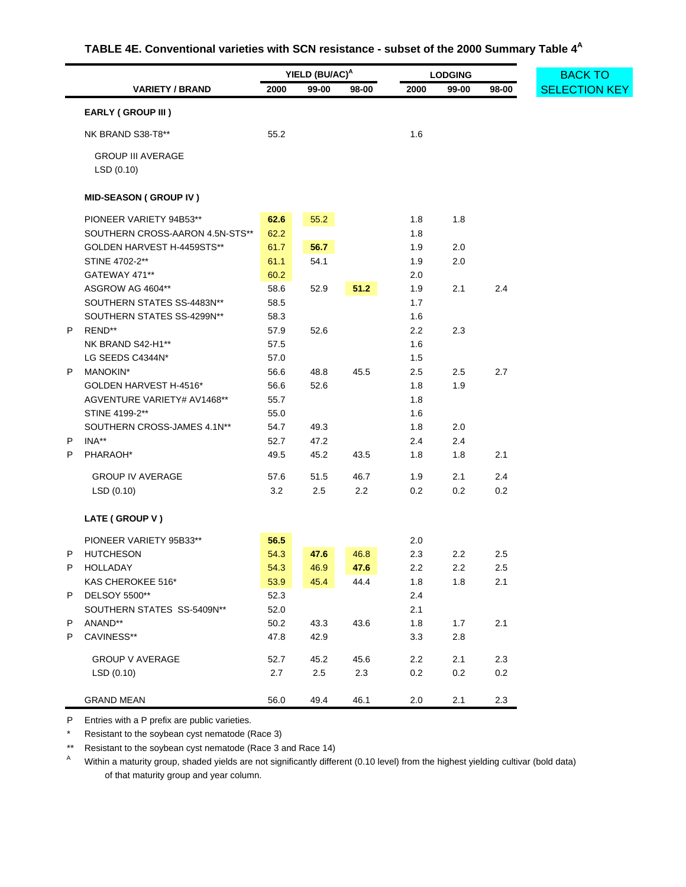# **TABLE 4E. Conventional varieties with SCN resistance - subset of the 2000 Summary Table 4<sup>A</sup>**

<span id="page-43-0"></span>

|   |                                       | YIELD (BU/AC) <sup>A</sup> |         |       | <b>LODGING</b> | <b>BACK TO</b> |       |                      |
|---|---------------------------------------|----------------------------|---------|-------|----------------|----------------|-------|----------------------|
|   | <b>VARIETY / BRAND</b>                | 2000                       | 99-00   | 98-00 | 2000           | 99-00          | 98-00 | <b>SELECTION KEY</b> |
|   | <b>EARLY (GROUP III)</b>              |                            |         |       |                |                |       |                      |
|   | NK BRAND S38-T8**                     | 55.2                       |         |       | 1.6            |                |       |                      |
|   | <b>GROUP III AVERAGE</b><br>LSD(0.10) |                            |         |       |                |                |       |                      |
|   | <b>MID-SEASON (GROUP IV)</b>          |                            |         |       |                |                |       |                      |
|   | PIONEER VARIETY 94B53**               | 62.6                       | 55.2    |       | 1.8            | 1.8            |       |                      |
|   | SOUTHERN CROSS-AARON 4.5N-STS**       | 62.2                       |         |       | 1.8            |                |       |                      |
|   | GOLDEN HARVEST H-4459STS**            | 61.7                       | 56.7    |       | 1.9            | 2.0            |       |                      |
|   | STINE 4702-2**                        | 61.1                       | 54.1    |       | 1.9            | 2.0            |       |                      |
|   | GATEWAY 471**                         | 60.2                       |         |       | 2.0            |                |       |                      |
|   | ASGROW AG 4604**                      | 58.6                       | 52.9    | 51.2  | 1.9            | 2.1            | 2.4   |                      |
|   | SOUTHERN STATES SS-4483N**            | 58.5                       |         |       | 1.7            |                |       |                      |
|   | SOUTHERN STATES SS-4299N**            | 58.3                       |         |       | 1.6            |                |       |                      |
| P | REND**                                | 57.9                       | 52.6    |       | 2.2            | 2.3            |       |                      |
|   | NK BRAND S42-H1**                     | 57.5                       |         |       | 1.6            |                |       |                      |
|   | LG SEEDS C4344N*                      | 57.0                       |         |       | 1.5            |                |       |                      |
| P | MANOKIN*                              | 56.6                       | 48.8    | 45.5  | 2.5            | 2.5            | 2.7   |                      |
|   | GOLDEN HARVEST H-4516*                | 56.6                       | 52.6    |       | 1.8            | 1.9            |       |                      |
|   | AGVENTURE VARIETY# AV1468**           | 55.7                       |         |       | 1.8            |                |       |                      |
|   | STINE 4199-2**                        | 55.0                       |         |       | 1.6            |                |       |                      |
|   | SOUTHERN CROSS-JAMES 4.1N**           | 54.7                       | 49.3    |       | 1.8            | 2.0            |       |                      |
| P | INA**                                 | 52.7                       | 47.2    |       | 2.4            | 2.4            |       |                      |
| P | PHARAOH*                              | 49.5                       | 45.2    | 43.5  | 1.8            | 1.8            | 2.1   |                      |
|   | <b>GROUP IV AVERAGE</b>               | 57.6                       | 51.5    | 46.7  | 1.9            | 2.1            | 2.4   |                      |
|   | LSD(0.10)                             | 3.2                        | 2.5     | 2.2   | 0.2            | 0.2            | 0.2   |                      |
|   | LATE (GROUP V)                        |                            |         |       |                |                |       |                      |
|   | PIONEER VARIETY 95B33**               | 56.5                       |         |       | 2.0            |                |       |                      |
| P | <b>HUTCHESON</b>                      | 54.3                       | 47.6    | 46.8  | 2.3            | 2.2            | 2.5   |                      |
| P | HOLLADAY                              | 54.3                       | 46.9    | 47.6  | 2.2            | 2.2            | 2.5   |                      |
|   | KAS CHEROKEE 516*                     | 53.9                       | 45.4    | 44.4  | 1.8            | 1.8            | 2.1   |                      |
| P | DELSOY 5500**                         | 52.3                       |         |       | 2.4            |                |       |                      |
|   | SOUTHERN STATES SS-5409N**            | 52.0                       |         |       | 2.1            |                |       |                      |
| P | ANAND**                               | 50.2                       | 43.3    | 43.6  | 1.8            | 1.7            | 2.1   |                      |
| P | CAVINESS**                            | 47.8                       | 42.9    |       | 3.3            | $2.8\,$        |       |                      |
|   | <b>GROUP V AVERAGE</b>                | 52.7                       | 45.2    | 45.6  | 2.2            | 2.1            | 2.3   |                      |
|   | LSD(0.10)                             | 2.7                        | $2.5\,$ | 2.3   | 0.2            | $0.2\,$        | 0.2   |                      |
|   | <b>GRAND MEAN</b>                     | 56.0                       | 49.4    | 46.1  | 2.0            | 2.1            | 2.3   |                      |

P Entries with a P prefix are public varieties.

\* Resistant to the soybean cyst nematode (Race 3)

\*\* Resistant to the soybean cyst nematode (Race 3 and Race 14)

A Within a maturity group, shaded yields are not significantly different (0.10 level) from the highest yielding cultivar (bold data) of that maturity group and year column.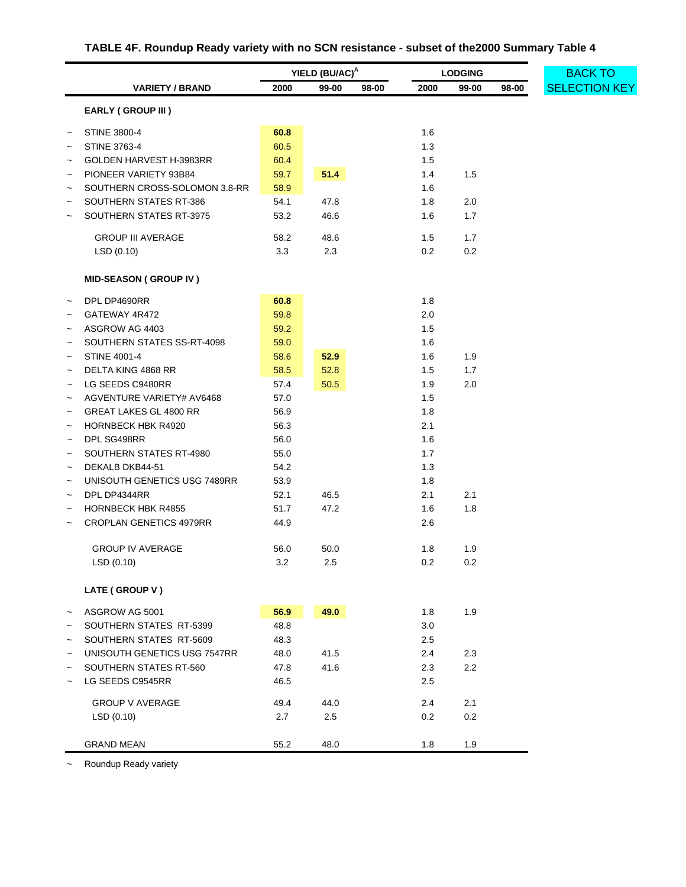# **TABLE 4F. Roundup Ready variety with no SCN resistance - subset of the2000 Summary Table 4**

<span id="page-44-0"></span>

|                          |                                |      | YIELD (BU/AC) <sup>A</sup> |       |      | <b>LODGING</b> |       | <b>BACK TO</b>       |  |  |
|--------------------------|--------------------------------|------|----------------------------|-------|------|----------------|-------|----------------------|--|--|
|                          | <b>VARIETY / BRAND</b>         | 2000 | 99-00                      | 98-00 | 2000 | 99-00          | 98-00 | <b>SELECTION KEY</b> |  |  |
|                          | <b>EARLY (GROUP III)</b>       |      |                            |       |      |                |       |                      |  |  |
|                          | <b>STINE 3800-4</b>            | 60.8 |                            |       | 1.6  |                |       |                      |  |  |
|                          | STINE 3763-4                   | 60.5 |                            |       | 1.3  |                |       |                      |  |  |
|                          | GOLDEN HARVEST H-3983RR        | 60.4 |                            |       | 1.5  |                |       |                      |  |  |
| $\tilde{}$               | PIONEER VARIETY 93B84          | 59.7 | 51.4                       |       | 1.4  | 1.5            |       |                      |  |  |
|                          | SOUTHERN CROSS-SOLOMON 3.8-RR  | 58.9 |                            |       | 1.6  |                |       |                      |  |  |
|                          | SOUTHERN STATES RT-386         | 54.1 | 47.8                       |       | 1.8  | 2.0            |       |                      |  |  |
| $\tilde{}$               | SOUTHERN STATES RT-3975        | 53.2 | 46.6                       |       | 1.6  | 1.7            |       |                      |  |  |
|                          | <b>GROUP III AVERAGE</b>       | 58.2 | 48.6                       |       | 1.5  | 1.7            |       |                      |  |  |
|                          | LSD(0.10)                      | 3.3  | 2.3                        |       | 0.2  | 0.2            |       |                      |  |  |
|                          | <b>MID-SEASON (GROUP IV)</b>   |      |                            |       |      |                |       |                      |  |  |
|                          | DPL DP4690RR                   | 60.8 |                            |       | 1.8  |                |       |                      |  |  |
| $\tilde{}$               | GATEWAY 4R472                  | 59.8 |                            |       | 2.0  |                |       |                      |  |  |
| $\tilde{}$               | ASGROW AG 4403                 | 59.2 |                            |       | 1.5  |                |       |                      |  |  |
| $\tilde{}$               | SOUTHERN STATES SS-RT-4098     | 59.0 |                            |       | 1.6  |                |       |                      |  |  |
| $\tilde{}$               | <b>STINE 4001-4</b>            | 58.6 | 52.9                       |       | 1.6  | 1.9            |       |                      |  |  |
| $\tilde{}$               | DELTA KING 4868 RR             | 58.5 | 52.8                       |       | 1.5  | 1.7            |       |                      |  |  |
| $\tilde{}$               | LG SEEDS C9480RR               | 57.4 | 50.5                       |       | 1.9  | 2.0            |       |                      |  |  |
| $\tilde{}$               | AGVENTURE VARIETY# AV6468      | 57.0 |                            |       | 1.5  |                |       |                      |  |  |
| $\overline{\phantom{0}}$ | <b>GREAT LAKES GL 4800 RR</b>  | 56.9 |                            |       | 1.8  |                |       |                      |  |  |
| $\tilde{}$               | <b>HORNBECK HBK R4920</b>      | 56.3 |                            |       | 2.1  |                |       |                      |  |  |
| $\tilde{}$               | DPL SG498RR                    | 56.0 |                            |       | 1.6  |                |       |                      |  |  |
| $\tilde{}$               | SOUTHERN STATES RT-4980        | 55.0 |                            |       | 1.7  |                |       |                      |  |  |
| $\tilde{}$               | DEKALB DKB44-51                | 54.2 |                            |       | 1.3  |                |       |                      |  |  |
| $\tilde{}$               | UNISOUTH GENETICS USG 7489RR   | 53.9 |                            |       | 1.8  |                |       |                      |  |  |
| $\tilde{}$               | DPL DP4344RR                   | 52.1 | 46.5                       |       | 2.1  | 2.1            |       |                      |  |  |
| $\tilde{}$               | <b>HORNBECK HBK R4855</b>      | 51.7 | 47.2                       |       | 1.6  | 1.8            |       |                      |  |  |
| $\tilde{}$               | <b>CROPLAN GENETICS 4979RR</b> | 44.9 |                            |       | 2.6  |                |       |                      |  |  |
|                          | <b>GROUP IV AVERAGE</b>        | 56.0 | 50.0                       |       | 1.8  | 1.9            |       |                      |  |  |
|                          | LSD (0.10)                     | 3.2  | 2.5                        |       | 0.2  | $0.2\,$        |       |                      |  |  |
|                          | LATE (GROUP V)                 |      |                            |       |      |                |       |                      |  |  |
| $\tilde{\phantom{a}}$    | ASGROW AG 5001                 | 56.9 | 49.0                       |       | 1.8  | 1.9            |       |                      |  |  |
|                          | SOUTHERN STATES RT-5399        | 48.8 |                            |       | 3.0  |                |       |                      |  |  |
|                          | SOUTHERN STATES RT-5609        | 48.3 |                            |       | 2.5  |                |       |                      |  |  |
|                          | UNISOUTH GENETICS USG 7547RR   | 48.0 | 41.5                       |       | 2.4  | 2.3            |       |                      |  |  |
|                          | SOUTHERN STATES RT-560         | 47.8 | 41.6                       |       | 2.3  | 2.2            |       |                      |  |  |
|                          | LG SEEDS C9545RR               | 46.5 |                            |       | 2.5  |                |       |                      |  |  |
|                          | <b>GROUP V AVERAGE</b>         | 49.4 | 44.0                       |       | 2.4  | 2.1            |       |                      |  |  |
|                          | LSD(0.10)                      | 2.7  | 2.5                        |       | 0.2  | 0.2            |       |                      |  |  |
|                          | <b>GRAND MEAN</b>              | 55.2 | 48.0                       |       | 1.8  | 1.9            |       |                      |  |  |

~ Roundup Ready variety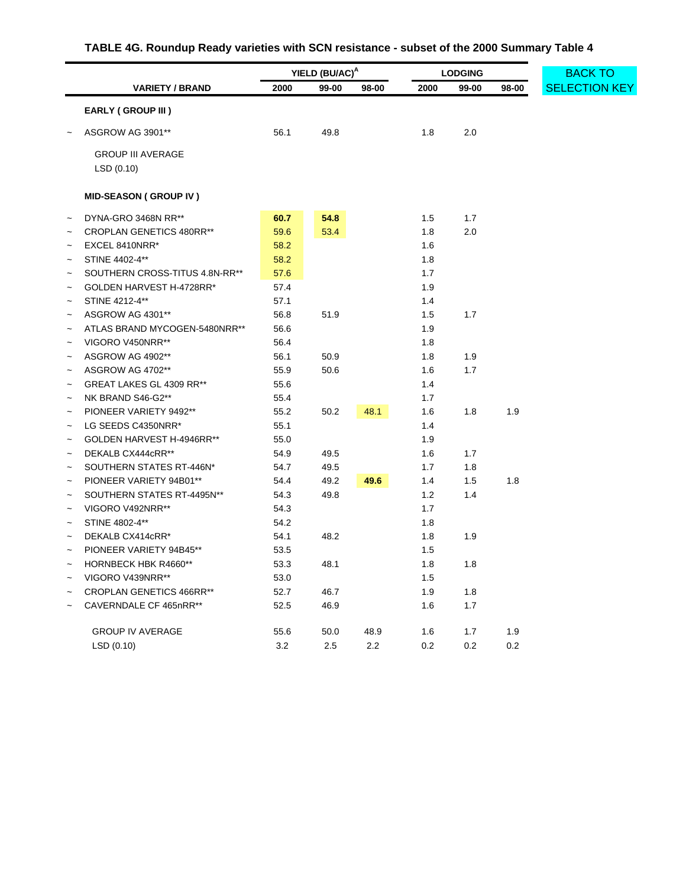# **TABLE 4G. Roundup Ready varieties with SCN resistance - subset of the 2000 Summary Table 4**

<span id="page-45-0"></span>

| 2000<br>2000<br><b>VARIETY / BRAND</b><br>99-00<br>98-00<br>99-00<br>98-00<br><b>EARLY (GROUP III)</b><br>2.0<br>ASGROW AG 3901**<br>56.1<br>49.8<br>1.8<br><b>GROUP III AVERAGE</b><br>LSD(0.10)<br><b>MID-SEASON (GROUP IV)</b><br>54.8<br>60.7<br>1.5<br>1.7<br>DYNA-GRO 3468N RR**<br>$\tilde{}$<br>59.6<br>53.4<br>1.8<br>2.0<br><b>CROPLAN GENETICS 480RR**</b><br>EXCEL 8410NRR*<br>58.2<br>1.6<br>$\tilde{}$<br>STINE 4402-4**<br>58.2<br>1.8<br>$\tilde{}$<br>57.6<br>1.7<br>SOUTHERN CROSS-TITUS 4.8N-RR**<br>GOLDEN HARVEST H-4728RR*<br>57.4<br>1.9<br>STINE 4212-4**<br>57.1<br>1.4<br>56.8<br>51.9<br>1.5<br>1.7<br>ASGROW AG 4301**<br>1.9<br>ATLAS BRAND MYCOGEN-5480NRR**<br>56.6<br>VIGORO V450NRR**<br>56.4<br>1.8<br>ASGROW AG 4902**<br>56.1<br>50.9<br>1.8<br>1.9<br>1.7<br>ASGROW AG 4702**<br>55.9<br>50.6<br>1.6<br>$\tilde{}$<br>55.6<br>1.4<br>GREAT LAKES GL 4309 RR**<br>$\tilde{}$<br>55.4<br>1.7<br>NK BRAND S46-G2**<br>$\tilde{\phantom{a}}$<br>1.9<br>PIONEER VARIETY 9492**<br>55.2<br>50.2<br>48.1<br>1.6<br>1.8<br>1.4<br>LG SEEDS C4350NRR*<br>55.1<br>$\tilde{\phantom{a}}$<br>1.9<br>GOLDEN HARVEST H-4946RR**<br>55.0<br>$\tilde{}$<br>1.7<br>DEKALB CX444cRR**<br>49.5<br>1.6<br>54.9<br>$\tilde{}$<br>1.8<br>SOUTHERN STATES RT-446N*<br>54.7<br>49.5<br>1.7<br>49.2<br>49.6<br>1.8<br>PIONEER VARIETY 94B01**<br>1.4<br>1.5<br>54.4<br>$\tilde{}$<br>SOUTHERN STATES RT-4495N**<br>49.8<br>1.2<br>1.4<br>54.3<br>$\widetilde{\phantom{m}}$<br>VIGORO V492NRR**<br>1.7<br>54.3<br>STINE 4802-4**<br>1.8<br>54.2<br>1.9<br>DEKALB CX414cRR*<br>48.2<br>1.8<br>54.1<br>PIONEER VARIETY 94B45**<br>53.5<br>1.5<br>$\tilde{}$<br>53.3<br>1.8<br>HORNBECK HBK R4660**<br>48.1<br>1.8<br>VIGORO V439NRR**<br>53.0<br>1.5<br>1.9<br>CROPLAN GENETICS 466RR**<br>52.7<br>46.7<br>1.8<br>$\widetilde{\phantom{m}}$<br>1.7<br>CAVERNDALE CF 465nRR**<br>52.5<br>46.9<br>1.6<br>$\tilde{}$<br><b>GROUP IV AVERAGE</b><br>55.6<br>1.9<br>50.0<br>48.9<br>1.6<br>1.7<br>$2.2\,$<br>$0.2\,$<br>LSD(0.10)<br>$3.2\,$<br>2.5<br>$0.2\,$<br>0.2 |  | YIELD (BU/AC) <sup>A</sup> |  |  | <b>LODGING</b> | <b>BACK TO</b> |                      |  |
|---------------------------------------------------------------------------------------------------------------------------------------------------------------------------------------------------------------------------------------------------------------------------------------------------------------------------------------------------------------------------------------------------------------------------------------------------------------------------------------------------------------------------------------------------------------------------------------------------------------------------------------------------------------------------------------------------------------------------------------------------------------------------------------------------------------------------------------------------------------------------------------------------------------------------------------------------------------------------------------------------------------------------------------------------------------------------------------------------------------------------------------------------------------------------------------------------------------------------------------------------------------------------------------------------------------------------------------------------------------------------------------------------------------------------------------------------------------------------------------------------------------------------------------------------------------------------------------------------------------------------------------------------------------------------------------------------------------------------------------------------------------------------------------------------------------------------------------------------------------------------------------------------------------------------------------------------------------------------------------------------------------------------------------------------------------------------|--|----------------------------|--|--|----------------|----------------|----------------------|--|
|                                                                                                                                                                                                                                                                                                                                                                                                                                                                                                                                                                                                                                                                                                                                                                                                                                                                                                                                                                                                                                                                                                                                                                                                                                                                                                                                                                                                                                                                                                                                                                                                                                                                                                                                                                                                                                                                                                                                                                                                                                                                           |  |                            |  |  |                |                | <b>SELECTION KEY</b> |  |
|                                                                                                                                                                                                                                                                                                                                                                                                                                                                                                                                                                                                                                                                                                                                                                                                                                                                                                                                                                                                                                                                                                                                                                                                                                                                                                                                                                                                                                                                                                                                                                                                                                                                                                                                                                                                                                                                                                                                                                                                                                                                           |  |                            |  |  |                |                |                      |  |
|                                                                                                                                                                                                                                                                                                                                                                                                                                                                                                                                                                                                                                                                                                                                                                                                                                                                                                                                                                                                                                                                                                                                                                                                                                                                                                                                                                                                                                                                                                                                                                                                                                                                                                                                                                                                                                                                                                                                                                                                                                                                           |  |                            |  |  |                |                |                      |  |
|                                                                                                                                                                                                                                                                                                                                                                                                                                                                                                                                                                                                                                                                                                                                                                                                                                                                                                                                                                                                                                                                                                                                                                                                                                                                                                                                                                                                                                                                                                                                                                                                                                                                                                                                                                                                                                                                                                                                                                                                                                                                           |  |                            |  |  |                |                |                      |  |
|                                                                                                                                                                                                                                                                                                                                                                                                                                                                                                                                                                                                                                                                                                                                                                                                                                                                                                                                                                                                                                                                                                                                                                                                                                                                                                                                                                                                                                                                                                                                                                                                                                                                                                                                                                                                                                                                                                                                                                                                                                                                           |  |                            |  |  |                |                |                      |  |
|                                                                                                                                                                                                                                                                                                                                                                                                                                                                                                                                                                                                                                                                                                                                                                                                                                                                                                                                                                                                                                                                                                                                                                                                                                                                                                                                                                                                                                                                                                                                                                                                                                                                                                                                                                                                                                                                                                                                                                                                                                                                           |  |                            |  |  |                |                |                      |  |
|                                                                                                                                                                                                                                                                                                                                                                                                                                                                                                                                                                                                                                                                                                                                                                                                                                                                                                                                                                                                                                                                                                                                                                                                                                                                                                                                                                                                                                                                                                                                                                                                                                                                                                                                                                                                                                                                                                                                                                                                                                                                           |  |                            |  |  |                |                |                      |  |
|                                                                                                                                                                                                                                                                                                                                                                                                                                                                                                                                                                                                                                                                                                                                                                                                                                                                                                                                                                                                                                                                                                                                                                                                                                                                                                                                                                                                                                                                                                                                                                                                                                                                                                                                                                                                                                                                                                                                                                                                                                                                           |  |                            |  |  |                |                |                      |  |
|                                                                                                                                                                                                                                                                                                                                                                                                                                                                                                                                                                                                                                                                                                                                                                                                                                                                                                                                                                                                                                                                                                                                                                                                                                                                                                                                                                                                                                                                                                                                                                                                                                                                                                                                                                                                                                                                                                                                                                                                                                                                           |  |                            |  |  |                |                |                      |  |
|                                                                                                                                                                                                                                                                                                                                                                                                                                                                                                                                                                                                                                                                                                                                                                                                                                                                                                                                                                                                                                                                                                                                                                                                                                                                                                                                                                                                                                                                                                                                                                                                                                                                                                                                                                                                                                                                                                                                                                                                                                                                           |  |                            |  |  |                |                |                      |  |
|                                                                                                                                                                                                                                                                                                                                                                                                                                                                                                                                                                                                                                                                                                                                                                                                                                                                                                                                                                                                                                                                                                                                                                                                                                                                                                                                                                                                                                                                                                                                                                                                                                                                                                                                                                                                                                                                                                                                                                                                                                                                           |  |                            |  |  |                |                |                      |  |
|                                                                                                                                                                                                                                                                                                                                                                                                                                                                                                                                                                                                                                                                                                                                                                                                                                                                                                                                                                                                                                                                                                                                                                                                                                                                                                                                                                                                                                                                                                                                                                                                                                                                                                                                                                                                                                                                                                                                                                                                                                                                           |  |                            |  |  |                |                |                      |  |
|                                                                                                                                                                                                                                                                                                                                                                                                                                                                                                                                                                                                                                                                                                                                                                                                                                                                                                                                                                                                                                                                                                                                                                                                                                                                                                                                                                                                                                                                                                                                                                                                                                                                                                                                                                                                                                                                                                                                                                                                                                                                           |  |                            |  |  |                |                |                      |  |
|                                                                                                                                                                                                                                                                                                                                                                                                                                                                                                                                                                                                                                                                                                                                                                                                                                                                                                                                                                                                                                                                                                                                                                                                                                                                                                                                                                                                                                                                                                                                                                                                                                                                                                                                                                                                                                                                                                                                                                                                                                                                           |  |                            |  |  |                |                |                      |  |
|                                                                                                                                                                                                                                                                                                                                                                                                                                                                                                                                                                                                                                                                                                                                                                                                                                                                                                                                                                                                                                                                                                                                                                                                                                                                                                                                                                                                                                                                                                                                                                                                                                                                                                                                                                                                                                                                                                                                                                                                                                                                           |  |                            |  |  |                |                |                      |  |
|                                                                                                                                                                                                                                                                                                                                                                                                                                                                                                                                                                                                                                                                                                                                                                                                                                                                                                                                                                                                                                                                                                                                                                                                                                                                                                                                                                                                                                                                                                                                                                                                                                                                                                                                                                                                                                                                                                                                                                                                                                                                           |  |                            |  |  |                |                |                      |  |
|                                                                                                                                                                                                                                                                                                                                                                                                                                                                                                                                                                                                                                                                                                                                                                                                                                                                                                                                                                                                                                                                                                                                                                                                                                                                                                                                                                                                                                                                                                                                                                                                                                                                                                                                                                                                                                                                                                                                                                                                                                                                           |  |                            |  |  |                |                |                      |  |
|                                                                                                                                                                                                                                                                                                                                                                                                                                                                                                                                                                                                                                                                                                                                                                                                                                                                                                                                                                                                                                                                                                                                                                                                                                                                                                                                                                                                                                                                                                                                                                                                                                                                                                                                                                                                                                                                                                                                                                                                                                                                           |  |                            |  |  |                |                |                      |  |
|                                                                                                                                                                                                                                                                                                                                                                                                                                                                                                                                                                                                                                                                                                                                                                                                                                                                                                                                                                                                                                                                                                                                                                                                                                                                                                                                                                                                                                                                                                                                                                                                                                                                                                                                                                                                                                                                                                                                                                                                                                                                           |  |                            |  |  |                |                |                      |  |
|                                                                                                                                                                                                                                                                                                                                                                                                                                                                                                                                                                                                                                                                                                                                                                                                                                                                                                                                                                                                                                                                                                                                                                                                                                                                                                                                                                                                                                                                                                                                                                                                                                                                                                                                                                                                                                                                                                                                                                                                                                                                           |  |                            |  |  |                |                |                      |  |
|                                                                                                                                                                                                                                                                                                                                                                                                                                                                                                                                                                                                                                                                                                                                                                                                                                                                                                                                                                                                                                                                                                                                                                                                                                                                                                                                                                                                                                                                                                                                                                                                                                                                                                                                                                                                                                                                                                                                                                                                                                                                           |  |                            |  |  |                |                |                      |  |
|                                                                                                                                                                                                                                                                                                                                                                                                                                                                                                                                                                                                                                                                                                                                                                                                                                                                                                                                                                                                                                                                                                                                                                                                                                                                                                                                                                                                                                                                                                                                                                                                                                                                                                                                                                                                                                                                                                                                                                                                                                                                           |  |                            |  |  |                |                |                      |  |
|                                                                                                                                                                                                                                                                                                                                                                                                                                                                                                                                                                                                                                                                                                                                                                                                                                                                                                                                                                                                                                                                                                                                                                                                                                                                                                                                                                                                                                                                                                                                                                                                                                                                                                                                                                                                                                                                                                                                                                                                                                                                           |  |                            |  |  |                |                |                      |  |
|                                                                                                                                                                                                                                                                                                                                                                                                                                                                                                                                                                                                                                                                                                                                                                                                                                                                                                                                                                                                                                                                                                                                                                                                                                                                                                                                                                                                                                                                                                                                                                                                                                                                                                                                                                                                                                                                                                                                                                                                                                                                           |  |                            |  |  |                |                |                      |  |
|                                                                                                                                                                                                                                                                                                                                                                                                                                                                                                                                                                                                                                                                                                                                                                                                                                                                                                                                                                                                                                                                                                                                                                                                                                                                                                                                                                                                                                                                                                                                                                                                                                                                                                                                                                                                                                                                                                                                                                                                                                                                           |  |                            |  |  |                |                |                      |  |
|                                                                                                                                                                                                                                                                                                                                                                                                                                                                                                                                                                                                                                                                                                                                                                                                                                                                                                                                                                                                                                                                                                                                                                                                                                                                                                                                                                                                                                                                                                                                                                                                                                                                                                                                                                                                                                                                                                                                                                                                                                                                           |  |                            |  |  |                |                |                      |  |
|                                                                                                                                                                                                                                                                                                                                                                                                                                                                                                                                                                                                                                                                                                                                                                                                                                                                                                                                                                                                                                                                                                                                                                                                                                                                                                                                                                                                                                                                                                                                                                                                                                                                                                                                                                                                                                                                                                                                                                                                                                                                           |  |                            |  |  |                |                |                      |  |
|                                                                                                                                                                                                                                                                                                                                                                                                                                                                                                                                                                                                                                                                                                                                                                                                                                                                                                                                                                                                                                                                                                                                                                                                                                                                                                                                                                                                                                                                                                                                                                                                                                                                                                                                                                                                                                                                                                                                                                                                                                                                           |  |                            |  |  |                |                |                      |  |
|                                                                                                                                                                                                                                                                                                                                                                                                                                                                                                                                                                                                                                                                                                                                                                                                                                                                                                                                                                                                                                                                                                                                                                                                                                                                                                                                                                                                                                                                                                                                                                                                                                                                                                                                                                                                                                                                                                                                                                                                                                                                           |  |                            |  |  |                |                |                      |  |
|                                                                                                                                                                                                                                                                                                                                                                                                                                                                                                                                                                                                                                                                                                                                                                                                                                                                                                                                                                                                                                                                                                                                                                                                                                                                                                                                                                                                                                                                                                                                                                                                                                                                                                                                                                                                                                                                                                                                                                                                                                                                           |  |                            |  |  |                |                |                      |  |
|                                                                                                                                                                                                                                                                                                                                                                                                                                                                                                                                                                                                                                                                                                                                                                                                                                                                                                                                                                                                                                                                                                                                                                                                                                                                                                                                                                                                                                                                                                                                                                                                                                                                                                                                                                                                                                                                                                                                                                                                                                                                           |  |                            |  |  |                |                |                      |  |
|                                                                                                                                                                                                                                                                                                                                                                                                                                                                                                                                                                                                                                                                                                                                                                                                                                                                                                                                                                                                                                                                                                                                                                                                                                                                                                                                                                                                                                                                                                                                                                                                                                                                                                                                                                                                                                                                                                                                                                                                                                                                           |  |                            |  |  |                |                |                      |  |
|                                                                                                                                                                                                                                                                                                                                                                                                                                                                                                                                                                                                                                                                                                                                                                                                                                                                                                                                                                                                                                                                                                                                                                                                                                                                                                                                                                                                                                                                                                                                                                                                                                                                                                                                                                                                                                                                                                                                                                                                                                                                           |  |                            |  |  |                |                |                      |  |
|                                                                                                                                                                                                                                                                                                                                                                                                                                                                                                                                                                                                                                                                                                                                                                                                                                                                                                                                                                                                                                                                                                                                                                                                                                                                                                                                                                                                                                                                                                                                                                                                                                                                                                                                                                                                                                                                                                                                                                                                                                                                           |  |                            |  |  |                |                |                      |  |
|                                                                                                                                                                                                                                                                                                                                                                                                                                                                                                                                                                                                                                                                                                                                                                                                                                                                                                                                                                                                                                                                                                                                                                                                                                                                                                                                                                                                                                                                                                                                                                                                                                                                                                                                                                                                                                                                                                                                                                                                                                                                           |  |                            |  |  |                |                |                      |  |
|                                                                                                                                                                                                                                                                                                                                                                                                                                                                                                                                                                                                                                                                                                                                                                                                                                                                                                                                                                                                                                                                                                                                                                                                                                                                                                                                                                                                                                                                                                                                                                                                                                                                                                                                                                                                                                                                                                                                                                                                                                                                           |  |                            |  |  |                |                |                      |  |
|                                                                                                                                                                                                                                                                                                                                                                                                                                                                                                                                                                                                                                                                                                                                                                                                                                                                                                                                                                                                                                                                                                                                                                                                                                                                                                                                                                                                                                                                                                                                                                                                                                                                                                                                                                                                                                                                                                                                                                                                                                                                           |  |                            |  |  |                |                |                      |  |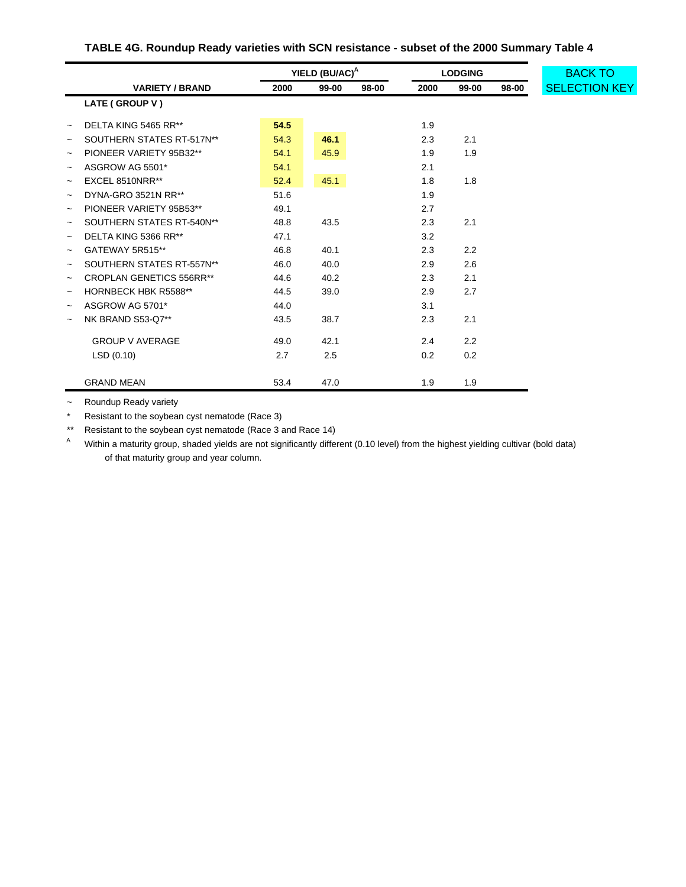# **TABLE 4G. Roundup Ready varieties with SCN resistance - subset of the 2000 Summary Table 4**

|                           |                                 | YIELD (BU/AC) <sup>A</sup> |       |       | <b>LODGING</b> | <b>BACK TO</b> |       |                      |
|---------------------------|---------------------------------|----------------------------|-------|-------|----------------|----------------|-------|----------------------|
|                           | <b>VARIETY / BRAND</b>          | 2000                       | 99-00 | 98-00 | 2000           | 99-00          | 98-00 | <b>SELECTION KEY</b> |
|                           | LATE (GROUP V)                  |                            |       |       |                |                |       |                      |
| $\widetilde{\phantom{m}}$ | DELTA KING 5465 RR**            | 54.5                       |       |       | 1.9            |                |       |                      |
| $\tilde{}$                | SOUTHERN STATES RT-517N**       | 54.3                       | 46.1  |       | 2.3            | 2.1            |       |                      |
| $\tilde{}$                | PIONEER VARIETY 95B32**         | 54.1                       | 45.9  |       | 1.9            | 1.9            |       |                      |
| $\tilde{}$                | ASGROW AG 5501*                 | 54.1                       |       |       | 2.1            |                |       |                      |
| $\tilde{}$                | EXCEL 8510NRR**                 | 52.4                       | 45.1  |       | 1.8            | 1.8            |       |                      |
| $\tilde{}$                | DYNA-GRO 3521N RR**             | 51.6                       |       |       | 1.9            |                |       |                      |
| $\tilde{}$                | PIONEER VARIETY 95B53**         | 49.1                       |       |       | 2.7            |                |       |                      |
| $\widetilde{\phantom{m}}$ | SOUTHERN STATES RT-540N**       | 48.8                       | 43.5  |       | 2.3            | 2.1            |       |                      |
| $\tilde{}$                | DELTA KING 5366 RR**            | 47.1                       |       |       | 3.2            |                |       |                      |
| $\tilde{}$                | GATEWAY 5R515**                 | 46.8                       | 40.1  |       | 2.3            | 2.2            |       |                      |
| $\widetilde{\phantom{m}}$ | SOUTHERN STATES RT-557N**       | 46.0                       | 40.0  |       | 2.9            | 2.6            |       |                      |
| $\tilde{}$                | <b>CROPLAN GENETICS 556RR**</b> | 44.6                       | 40.2  |       | 2.3            | 2.1            |       |                      |
| $\widetilde{\phantom{m}}$ | HORNBECK HBK R5588**            | 44.5                       | 39.0  |       | 2.9            | 2.7            |       |                      |
| $\tilde{}$                | ASGROW AG 5701*                 | 44.0                       |       |       | 3.1            |                |       |                      |
| $\tilde{}$                | NK BRAND S53-Q7**               | 43.5                       | 38.7  |       | 2.3            | 2.1            |       |                      |
|                           | <b>GROUP V AVERAGE</b>          | 49.0                       | 42.1  |       | 2.4            | 2.2            |       |                      |
|                           | LSD(0.10)                       | 2.7                        | 2.5   |       | 0.2            | 0.2            |       |                      |
|                           | <b>GRAND MEAN</b>               | 53.4                       | 47.0  |       | 1.9            | 1.9            |       |                      |

~ Roundup Ready variety

\* Resistant to the soybean cyst nematode (Race 3)

\*\* Resistant to the soybean cyst nematode (Race 3 and Race 14)

A Within a maturity group, shaded yields are not significantly different (0.10 level) from the highest yielding cultivar (bold data) of that maturity group and year column.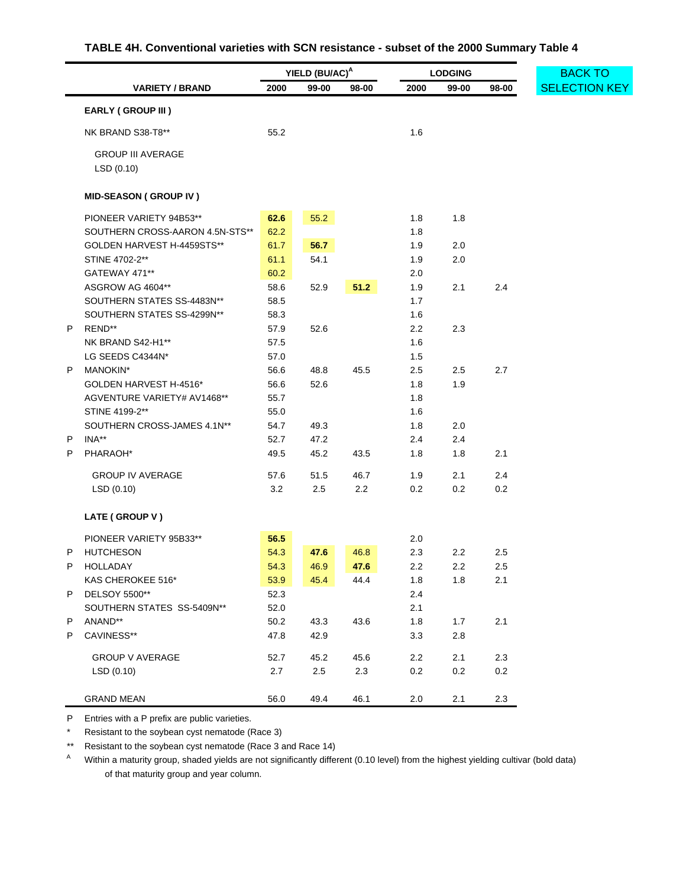## **TABLE 4H. Conventional varieties with SCN resistance - subset of the 2000 Summary Table 4**

<span id="page-47-0"></span>

|    |                                       | YIELD (BU/AC) <sup>A</sup> |         |       | <b>LODGING</b> | <b>BACK TO</b> |         |                      |
|----|---------------------------------------|----------------------------|---------|-------|----------------|----------------|---------|----------------------|
|    | <b>VARIETY / BRAND</b>                | 2000                       | 99-00   | 98-00 | 2000           | 99-00          | 98-00   | <b>SELECTION KEY</b> |
|    | <b>EARLY (GROUP III)</b>              |                            |         |       |                |                |         |                      |
|    | NK BRAND S38-T8**                     | 55.2                       |         |       | 1.6            |                |         |                      |
|    | <b>GROUP III AVERAGE</b><br>LSD(0.10) |                            |         |       |                |                |         |                      |
|    | <b>MID-SEASON (GROUP IV)</b>          |                            |         |       |                |                |         |                      |
|    | PIONEER VARIETY 94B53**               | 62.6                       | 55.2    |       | 1.8            | 1.8            |         |                      |
|    | SOUTHERN CROSS-AARON 4.5N-STS**       | 62.2                       |         |       | 1.8            |                |         |                      |
|    | GOLDEN HARVEST H-4459STS**            | 61.7                       | 56.7    |       | 1.9            | 2.0            |         |                      |
|    | STINE 4702-2**                        | 61.1                       | 54.1    |       | 1.9            | 2.0            |         |                      |
|    | GATEWAY 471**                         | 60.2                       |         |       | 2.0            |                |         |                      |
|    | ASGROW AG 4604**                      | 58.6                       | 52.9    | 51.2  | 1.9            | 2.1            | 2.4     |                      |
|    | SOUTHERN STATES SS-4483N**            | 58.5                       |         |       | 1.7            |                |         |                      |
|    | SOUTHERN STATES SS-4299N**            | 58.3                       |         |       | 1.6            |                |         |                      |
| P  | REND**                                | 57.9                       | 52.6    |       | 2.2            | 2.3            |         |                      |
|    | NK BRAND S42-H1**                     | 57.5                       |         |       | 1.6            |                |         |                      |
|    | LG SEEDS C4344N*                      | 57.0                       |         |       | 1.5            |                |         |                      |
| Ρ  | MANOKIN*                              | 56.6                       | 48.8    | 45.5  | 2.5            | 2.5            | 2.7     |                      |
|    | GOLDEN HARVEST H-4516*                | 56.6                       | 52.6    |       | 1.8            | 1.9            |         |                      |
|    | AGVENTURE VARIETY# AV1468**           | 55.7                       |         |       | 1.8            |                |         |                      |
|    | STINE 4199-2**                        | 55.0                       |         |       | 1.6            |                |         |                      |
|    | SOUTHERN CROSS-JAMES 4.1N**           | 54.7                       | 49.3    |       | 1.8            | 2.0            |         |                      |
| P  | INA**                                 | 52.7                       | 47.2    |       | 2.4            | 2.4            |         |                      |
| Ρ  | PHARAOH*                              | 49.5                       | 45.2    | 43.5  | 1.8            | 1.8            | 2.1     |                      |
|    |                                       |                            |         |       |                |                |         |                      |
|    | <b>GROUP IV AVERAGE</b>               | 57.6                       | 51.5    | 46.7  | 1.9            | 2.1            | 2.4     |                      |
|    | LSD(0.10)                             | 3.2                        | 2.5     | 2.2   | 0.2            | 0.2            | 0.2     |                      |
|    | LATE (GROUP V)                        |                            |         |       |                |                |         |                      |
|    | PIONEER VARIETY 95B33**               | 56.5                       |         |       | 2.0            |                |         |                      |
| Ρ  | <b>HUTCHESON</b>                      | 54.3                       | 47.6    | 46.8  | 2.3            | 2.2            | 2.5     |                      |
| P. | <b>HOLLADAY</b>                       | 54.3                       | 46.9    | 47.6  | 2.2            | 2.2            | 2.5     |                      |
|    | KAS CHEROKEE 516*                     | 53.9                       | 45.4    | 44.4  | 1.8            | 1.8            | 2.1     |                      |
| Ρ  | DELSOY 5500**                         | 52.3                       |         |       | 2.4            |                |         |                      |
|    | SOUTHERN STATES SS-5409N**            | 52.0                       |         |       | 2.1            |                |         |                      |
| Ρ  | ANAND**                               | 50.2                       | 43.3    | 43.6  | 1.8            | 1.7            | 2.1     |                      |
| Ρ  | CAVINESS**                            | 47.8                       | 42.9    |       | 3.3            | $2.8\,$        |         |                      |
|    | <b>GROUP V AVERAGE</b>                | 52.7                       |         |       | $2.2\,$        |                | $2.3\,$ |                      |
|    |                                       |                            | 45.2    | 45.6  |                | 2.1            | $0.2\,$ |                      |
|    | LSD(0.10)                             | 2.7                        | $2.5\,$ | 2.3   | $0.2\,$        | $0.2\,$        |         |                      |
|    | <b>GRAND MEAN</b>                     | 56.0                       | 49.4    | 46.1  | 2.0            | 2.1            | 2.3     |                      |

P Entries with a P prefix are public varieties.

\* Resistant to the soybean cyst nematode (Race 3)

\*\* Resistant to the soybean cyst nematode (Race 3 and Race 14)

A Within a maturity group, shaded yields are not significantly different (0.10 level) from the highest yielding cultivar (bold data) of that maturity group and year column.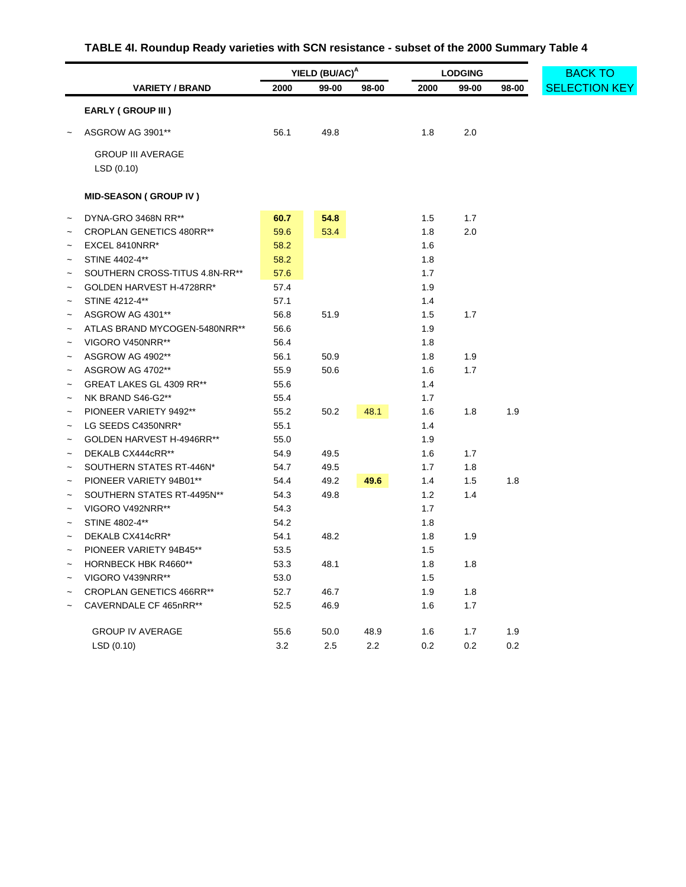# **TABLE 4I. Roundup Ready varieties with SCN resistance - subset of the 2000 Summary Table 4**

<span id="page-48-0"></span>

|                           |                                 | YIELD (BU/AC) <sup>A</sup> |       |       | <b>LODGING</b> |         |       | <b>BACK TO</b>       |
|---------------------------|---------------------------------|----------------------------|-------|-------|----------------|---------|-------|----------------------|
|                           | <b>VARIETY / BRAND</b>          | 2000                       | 99-00 | 98-00 | 2000           | 99-00   | 98-00 | <b>SELECTION KEY</b> |
|                           | <b>EARLY (GROUP III)</b>        |                            |       |       |                |         |       |                      |
|                           | ASGROW AG 3901**                | 56.1                       | 49.8  |       | 1.8            | 2.0     |       |                      |
|                           | <b>GROUP III AVERAGE</b>        |                            |       |       |                |         |       |                      |
|                           | LSD(0.10)                       |                            |       |       |                |         |       |                      |
|                           | <b>MID-SEASON (GROUP IV)</b>    |                            |       |       |                |         |       |                      |
|                           | DYNA-GRO 3468N RR**             | 60.7                       | 54.8  |       | 1.5            | 1.7     |       |                      |
| $\tilde{\phantom{a}}$     | <b>CROPLAN GENETICS 480RR**</b> | 59.6                       | 53.4  |       | 1.8            | 2.0     |       |                      |
| $\tilde{\phantom{a}}$     | EXCEL 8410NRR*                  | 58.2                       |       |       | 1.6            |         |       |                      |
|                           | STINE 4402-4**                  | 58.2                       |       |       | 1.8            |         |       |                      |
|                           | SOUTHERN CROSS-TITUS 4.8N-RR**  | 57.6                       |       |       | 1.7            |         |       |                      |
|                           | GOLDEN HARVEST H-4728RR*        | 57.4                       |       |       | 1.9            |         |       |                      |
|                           | STINE 4212-4**                  | 57.1                       |       |       | 1.4            |         |       |                      |
|                           | ASGROW AG 4301**                | 56.8                       | 51.9  |       | 1.5            | 1.7     |       |                      |
|                           | ATLAS BRAND MYCOGEN-5480NRR**   | 56.6                       |       |       | 1.9            |         |       |                      |
|                           | VIGORO V450NRR**                | 56.4                       |       |       | 1.8            |         |       |                      |
| $\tilde{}$                | ASGROW AG 4902**                | 56.1                       | 50.9  |       | 1.8            | 1.9     |       |                      |
| $\tilde{\phantom{a}}$     | ASGROW AG 4702**                | 55.9                       | 50.6  |       | 1.6            | 1.7     |       |                      |
| $\tilde{\phantom{a}}$     | GREAT LAKES GL 4309 RR**        | 55.6                       |       |       | 1.4            |         |       |                      |
|                           | NK BRAND S46-G2**               | 55.4                       |       |       | 1.7            |         |       |                      |
| $\tilde{\phantom{a}}$     | PIONEER VARIETY 9492**          | 55.2                       | 50.2  | 48.1  | 1.6            | 1.8     | 1.9   |                      |
| $\tilde{}$                | LG SEEDS C4350NRR*              | 55.1                       |       |       | 1.4            |         |       |                      |
| $\overline{\phantom{0}}$  | GOLDEN HARVEST H-4946RR**       | 55.0                       |       |       | 1.9            |         |       |                      |
|                           | DEKALB CX444cRR**               | 54.9                       | 49.5  |       | 1.6            | 1.7     |       |                      |
| $\tilde{}$                | SOUTHERN STATES RT-446N*        | 54.7                       | 49.5  |       | 1.7            | 1.8     |       |                      |
| $\tilde{}$                | PIONEER VARIETY 94B01**         | 54.4                       | 49.2  | 49.6  | 1.4            | 1.5     | 1.8   |                      |
|                           | SOUTHERN STATES RT-4495N**      | 54.3                       | 49.8  |       | 1.2            | 1.4     |       |                      |
|                           | VIGORO V492NRR**                | 54.3                       |       |       | 1.7            |         |       |                      |
|                           | STINE 4802-4**                  | 54.2                       |       |       | 1.8            |         |       |                      |
|                           | DEKALB CX414cRR*                | 54.1                       | 48.2  |       | 1.8            | 1.9     |       |                      |
|                           | PIONEER VARIETY 94B45**         | 53.5                       |       |       | 1.5            |         |       |                      |
|                           | HORNBECK HBK R4660**            | 53.3                       | 48.1  |       | 1.8            | 1.8     |       |                      |
| $\widetilde{\phantom{m}}$ | VIGORO V439NRR**                | 53.0                       |       |       | 1.5            |         |       |                      |
| $\widetilde{\phantom{m}}$ | <b>CROPLAN GENETICS 466RR**</b> | 52.7                       | 46.7  |       | 1.9            | 1.8     |       |                      |
| $\tilde{\phantom{a}}$     | CAVERNDALE CF 465nRR**          | 52.5                       | 46.9  |       | 1.6            | 1.7     |       |                      |
|                           | <b>GROUP IV AVERAGE</b>         | 55.6                       | 50.0  | 48.9  | 1.6            | $1.7$   | 1.9   |                      |
|                           | LSD (0.10)                      | $3.2\,$                    | 2.5   | 2.2   | $0.2\,$        | $0.2\,$ | 0.2   |                      |